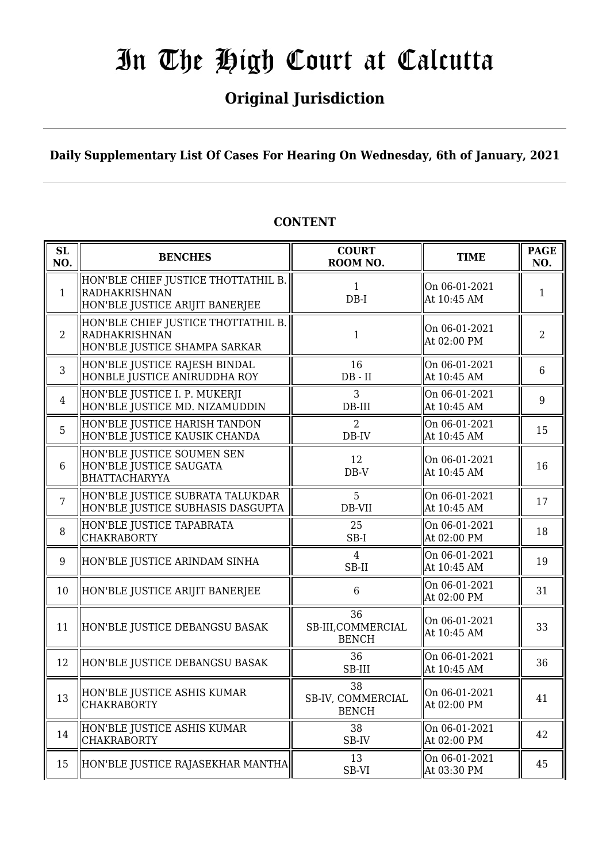## **Original Jurisdiction**

**Daily Supplementary List Of Cases For Hearing On Wednesday, 6th of January, 2021**

#### **SL SL BENCHES COURT**<br> **NO. BENCHES COURT ROOM NO.** TIME PAGE ROOM NO. **NO.** 1 HON'BLE CHIEF JUSTICE THOTTATHIL B. RADHAKRISHNAN HON'BLE JUSTICE ARIJIT BANERJEE 1 DB-I On 06-01-2021  $\begin{array}{|c|c|c|c|c|c|} \hline \text{At 10:45 AM} & & & 1 \ \hline \end{array}$ 2 HON'BLE CHIEF JUSTICE THOTTATHIL B. RADHAKRISHNAN HON'BLE JUSTICE SHAMPA SARKAR 1 On 06-01-2021  $\begin{array}{|c|c|c|c|c|} \hline \text{Out 00-01-2021} & & 2 \\ \hline \text{At 02:00 PM} & & \end{array}$ 3 HON'BLE JUSTICE RAJESH BINDAL HONBLE JUSTICE ANIRUDDHA ROY 16 DB - II On 06-01-2021  $\begin{array}{|c|c|c|c|c|} \hline \text{At 10:45 AM} & & \text{6} \ \hline \end{array}$ 4 HON'BLE JUSTICE I. P. MUKERJI HON'BLE JUSTICE MD. NIZAMUDDIN 3 DB-III On 06-01-2021  $\begin{array}{|c|c|c|c|c|} \hline \text{Un 00-01-2021} & & 9 \\ \hline \text{At 10:45 AM} & & \end{array}$ 5 HON'BLE JUSTICE HARISH TANDON HON'BLE JUSTICE KAUSIK CHANDA  $\overline{2}$ DB-IV On 06-01-2021  $\begin{array}{|c|c|c|c|c|c|}\n\hline\n\text{At 10:45 AM} & & 15\n\end{array}$ 6 HON'BLE JUSTICE SOUMEN SEN HON'BLE JUSTICE SAUGATA BHATTACHARYYA 12 DB-V On 06-01-2021  $\begin{array}{|c|c|c|c|c|c|c|c|} \hline \text{At 10:45 AM} & & 16 \hline \end{array}$ 7 HON'BLE JUSTICE SUBRATA TALUKDAR HON'BLE JUSTICE SUBHASIS DASGUPTA 5 DB-VII On 06-01-2021  $\begin{array}{|c|c|c|c|c|}\n\hline\n\text{At 10:45 AM} & & 17\n\end{array}$ 8 HON'BLE JUSTICE TAPABRATA CHAKRABORTY 25 SB-I On 06-01-2021  $\begin{array}{|c|c|c|c|c|} \hline \text{Un 00-01-2021} & & 18 \\ \hline \text{At 02:00 PM} & & 18 \end{array}$ 9 HON'BLE JUSTICE ARINDAM SINHA  $\parallel$  4 SB-II On 06-01-2021  $\begin{array}{|c|c|c|c|c|c|c|c|} \hline \text{Out 00-01-2021} & & & 19 \\ \hline \text{At 10:45 AM} & & & \end{array}$ 10 HON'BLE JUSTICE ARIJIT BANERJEE | 6 On 06-01-2021  $\begin{array}{|c|c|c|c|c|c|c|c|} \hline \text{At 02:00 PM} & & 31 \hline \end{array}$ 11 HON'BLE JUSTICE DEBANGSU BASAK 36 SB-III,COMMERCIAL BENCH On 06-01-2021  $\begin{array}{|c|c|c|c|c|c|} \hline \text{At 10:45 AM} & & 33 \end{array}$ 12 HON'BLE JUSTICE DEBANGSU BASAK 36 SB-III On 06-01-2021  $\begin{array}{|c|c|c|c|c|c|c|c|} \hline \text{Out 00-01-2021} & & 36 \\ \hline \text{At 10:45 AM} & & 36 \hline \end{array}$  $\parallel$  HON'BLE JUSTICE ASHIS KUMAR CHAKRABORTY 38 SB-IV, COMMERCIAL BENCH On 06-01-2021  $\begin{array}{|c|c|c|c|c|} \hline \text{At 02:00 PM} & & 41 \ \hline \end{array}$  $14$  HON'BLE JUSTICE ASHIS KUMAR CHAKRABORTY 38 SB-IV On 06-01-2021  $\begin{array}{|c|c|c|c|c|} \hline \text{Un 00-01-2021} & & 42 \\ \text{At 02:00 PM} & & \text{42} \end{array}$ 15 HON'BLE JUSTICE RAJASEKHAR MANTHA SB-VI On 06-01-2021  $\begin{array}{|c|c|c|c|c|} \hline \text{At 03:30 PM} & & 45 \hline \end{array}$

### **CONTENT**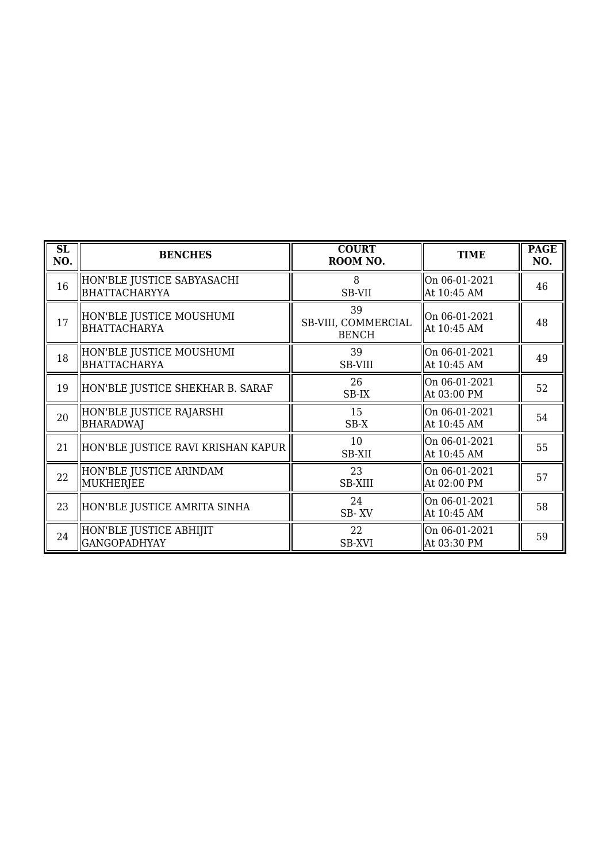| SL<br>NO. | <b>BENCHES</b>                                     | <b>COURT</b><br>ROOM NO.                  | <b>TIME</b>                     | <b>PAGE</b><br>NO. |
|-----------|----------------------------------------------------|-------------------------------------------|---------------------------------|--------------------|
| 16        | HON'BLE JUSTICE SABYASACHI<br><b>BHATTACHARYYA</b> | 8<br>SB-VII                               | On 06-01-2021<br>At 10:45 AM    | 46                 |
| 17        | HON'BLE JUSTICE MOUSHUMI<br>BHATTACHARYA           | 39<br>SB-VIII, COMMERCIAL<br><b>BENCH</b> | On 06-01-2021<br>At 10:45 AM    | 48                 |
| 18        | HON'BLE JUSTICE MOUSHUMI<br>BHATTACHARYA           | 39<br>SB-VIII                             | On 06-01-2021<br>At 10:45 AM    | 49                 |
| 19        | HON'BLE JUSTICE SHEKHAR B. SARAF                   | 26<br>SB-IX                               | On 06-01-2021<br>At 03:00 PM    | 52                 |
| 20        | HON'BLE JUSTICE RAJARSHI<br><b>BHARADWAJ</b>       | 15<br>$SB-X$                              | On 06-01-2021<br>At 10:45 AM    | 54                 |
| 21        | HON'BLE JUSTICE RAVI KRISHAN KAPUR                 | 10<br>SB-XII                              | $ On 06-01-2021$<br>At 10:45 AM | 55                 |
| 22        | HON'BLE JUSTICE ARINDAM<br>MUKHERJEE               | 23<br><b>SB-XIII</b>                      | On 06-01-2021<br>At 02:00 PM    | 57                 |
| 23        | HON'BLE JUSTICE AMRITA SINHA                       | 24<br>SB-XV                               | On 06-01-2021<br>At 10:45 AM    | 58                 |
| 24        | HON'BLE JUSTICE ABHIJIT <br><b>GANGOPADHYAY</b>    | 22<br>SB-XVI                              | On 06-01-2021<br>  At 03:30 PM  | 59                 |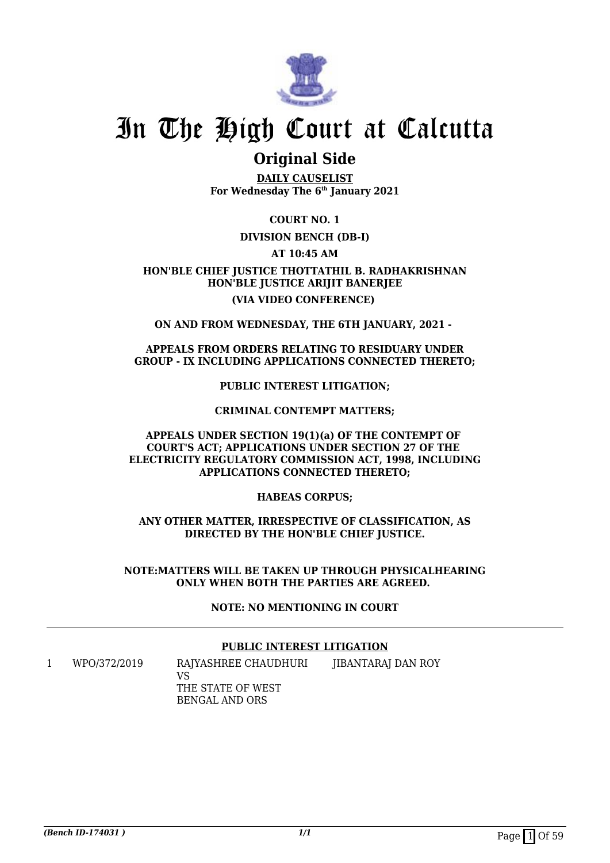

### **Original Side**

**DAILY CAUSELIST For Wednesday The 6th January 2021**

**COURT NO. 1**

### **DIVISION BENCH (DB-I)**

**AT 10:45 AM**

### **HON'BLE CHIEF JUSTICE THOTTATHIL B. RADHAKRISHNAN HON'BLE JUSTICE ARIJIT BANERJEE (VIA VIDEO CONFERENCE)**

**ON AND FROM WEDNESDAY, THE 6TH JANUARY, 2021 -** 

### **APPEALS FROM ORDERS RELATING TO RESIDUARY UNDER GROUP - IX INCLUDING APPLICATIONS CONNECTED THERETO;**

**PUBLIC INTEREST LITIGATION;**

### **CRIMINAL CONTEMPT MATTERS;**

### **APPEALS UNDER SECTION 19(1)(a) OF THE CONTEMPT OF COURT'S ACT; APPLICATIONS UNDER SECTION 27 OF THE ELECTRICITY REGULATORY COMMISSION ACT, 1998, INCLUDING APPLICATIONS CONNECTED THERETO;**

**HABEAS CORPUS;**

### **ANY OTHER MATTER, IRRESPECTIVE OF CLASSIFICATION, AS DIRECTED BY THE HON'BLE CHIEF JUSTICE.**

### **NOTE:MATTERS WILL BE TAKEN UP THROUGH PHYSICALHEARING ONLY WHEN BOTH THE PARTIES ARE AGREED.**

### **NOTE: NO MENTIONING IN COURT**

### **PUBLIC INTEREST LITIGATION**

1 WPO/372/2019 RAJYASHREE CHAUDHURI VS THE STATE OF WEST BENGAL AND ORS JIBANTARAJ DAN ROY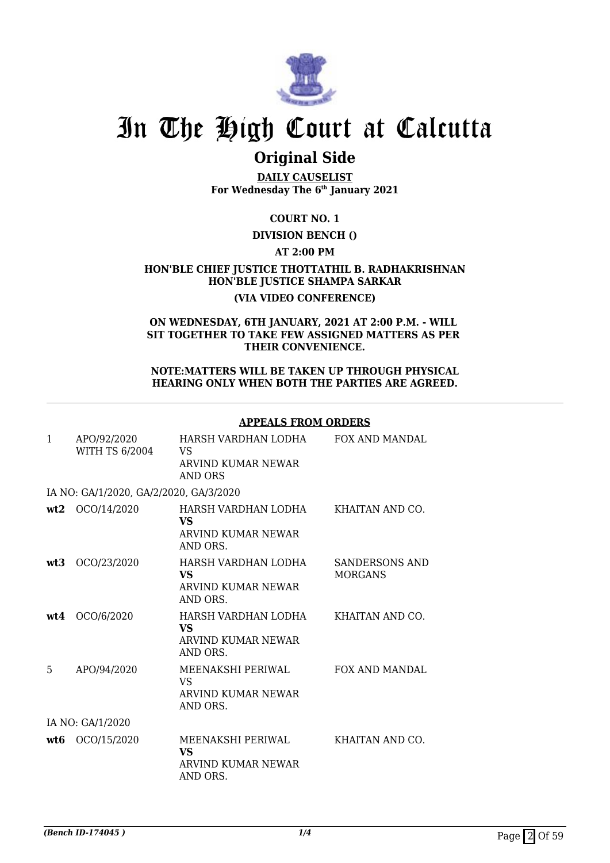

## **Original Side**

**DAILY CAUSELIST For Wednesday The 6th January 2021**

### **COURT NO. 1**

### **DIVISION BENCH ()**

### **AT 2:00 PM**

### **HON'BLE CHIEF JUSTICE THOTTATHIL B. RADHAKRISHNAN HON'BLE JUSTICE SHAMPA SARKAR (VIA VIDEO CONFERENCE)**

### **ON WEDNESDAY, 6TH JANUARY, 2021 AT 2:00 P.M. - WILL SIT TOGETHER TO TAKE FEW ASSIGNED MATTERS AS PER THEIR CONVENIENCE.**

#### **NOTE:MATTERS WILL BE TAKEN UP THROUGH PHYSICAL HEARING ONLY WHEN BOTH THE PARTIES ARE AGREED.**

### **APPEALS FROM ORDERS**

| $\mathbf{1}$ | APO/92/2020<br><b>WITH TS 6/2004</b>   | HARSH VARDHAN LODHA<br>VS<br>ARVIND KUMAR NEWAR<br><b>AND ORS</b>  | <b>FOX AND MANDAL</b>                   |
|--------------|----------------------------------------|--------------------------------------------------------------------|-----------------------------------------|
|              | IA NO: GA/1/2020, GA/2/2020, GA/3/2020 |                                                                    |                                         |
| wt2          | OCO/14/2020                            | HARSH VARDHAN LODHA<br><b>VS</b><br>ARVIND KUMAR NEWAR<br>AND ORS. | KHAITAN AND CO.                         |
| wt3          | OCO/23/2020                            | HARSH VARDHAN LODHA<br><b>VS</b><br>ARVIND KUMAR NEWAR<br>AND ORS. | <b>SANDERSONS AND</b><br><b>MORGANS</b> |
| wt4          | OCO/6/2020                             | HARSH VARDHAN LODHA<br>VS.<br>ARVIND KUMAR NEWAR<br>AND ORS.       | KHAITAN AND CO.                         |
| 5            | APO/94/2020                            | MEENAKSHI PERIWAL<br><b>VS</b><br>ARVIND KUMAR NEWAR<br>AND ORS.   | <b>FOX AND MANDAL</b>                   |
|              | IA NO: GA/1/2020                       |                                                                    |                                         |
| wt6          | OCO/15/2020                            | MEENAKSHI PERIWAL<br>VS.<br>ARVIND KUMAR NEWAR<br>AND ORS.         | KHAITAN AND CO.                         |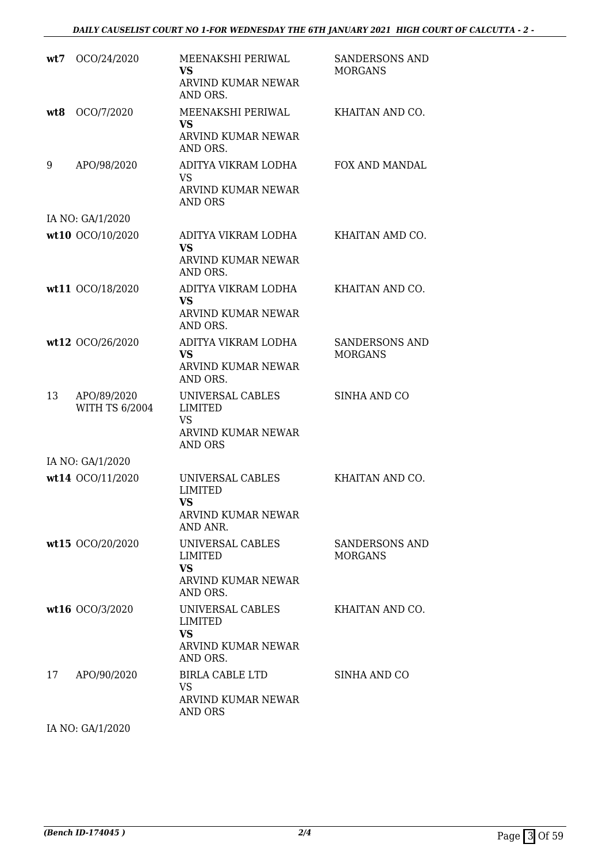| OCO/24/2020                          | MEENAKSHI PERIWAL<br>VS.<br>ARVIND KUMAR NEWAR<br>AND ORS.                                                                                                  | <b>SANDERSONS AND</b><br><b>MORGANS</b> |
|--------------------------------------|-------------------------------------------------------------------------------------------------------------------------------------------------------------|-----------------------------------------|
| OCO/7/2020                           | MEENAKSHI PERIWAL<br><b>VS</b><br>ARVIND KUMAR NEWAR<br>AND ORS.                                                                                            | KHAITAN AND CO.                         |
| APO/98/2020                          | ADITYA VIKRAM LODHA<br><b>VS</b><br>ARVIND KUMAR NEWAR<br><b>AND ORS</b>                                                                                    | FOX AND MANDAL                          |
|                                      |                                                                                                                                                             |                                         |
|                                      | ADITYA VIKRAM LODHA<br><b>VS</b><br><b>ARVIND KUMAR NEWAR</b><br>AND ORS.                                                                                   | KHAITAN AMD CO.                         |
|                                      | ADITYA VIKRAM LODHA<br><b>VS</b><br>ARVIND KUMAR NEWAR<br>AND ORS.                                                                                          | KHAITAN AND CO.                         |
|                                      | ADITYA VIKRAM LODHA<br>VS.<br>ARVIND KUMAR NEWAR<br>AND ORS.                                                                                                | <b>SANDERSONS AND</b><br><b>MORGANS</b> |
| APO/89/2020<br><b>WITH TS 6/2004</b> | UNIVERSAL CABLES<br><b>LIMITED</b><br><b>VS</b><br>ARVIND KUMAR NEWAR<br><b>AND ORS</b>                                                                     | <b>SINHA AND CO</b>                     |
|                                      |                                                                                                                                                             |                                         |
|                                      | UNIVERSAL CABLES<br><b>LIMITED</b><br><b>VS</b><br>ARVIND KUMAR NEWAR<br>AND ANR.                                                                           | KHAITAN AND CO.                         |
|                                      | UNIVERSAL CABLES<br>LIMITED<br><b>VS</b><br>ARVIND KUMAR NEWAR<br>AND ORS.                                                                                  | <b>SANDERSONS AND</b><br><b>MORGANS</b> |
|                                      | UNIVERSAL CABLES<br>LIMITED<br><b>VS</b><br>ARVIND KUMAR NEWAR<br>AND ORS.                                                                                  | KHAITAN AND CO.                         |
| APO/90/2020                          | BIRLA CABLE LTD<br><b>VS</b><br>ARVIND KUMAR NEWAR<br><b>AND ORS</b>                                                                                        | SINHA AND CO                            |
|                                      | IA NO: GA/1/2020<br>wt10 OCO/10/2020<br>wt11 OCO/18/2020<br>wt12 OCO/26/2020<br>IA NO: GA/1/2020<br>wt14 OCO/11/2020<br>wt15 OCO/20/2020<br>wt16 OCO/3/2020 |                                         |

IA NO: GA/1/2020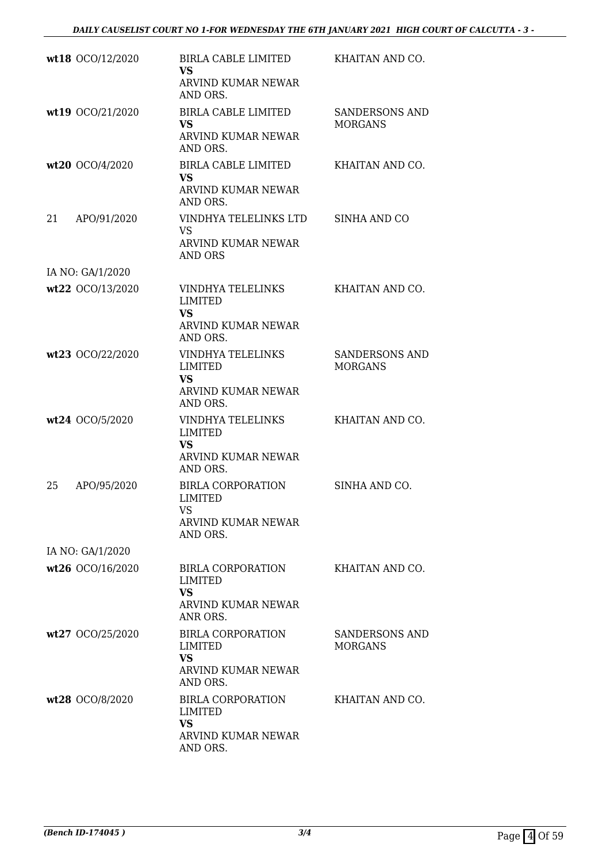|    | wt18 OCO/12/2020 | BIRLA CABLE LIMITED<br><b>VS</b><br>ARVIND KUMAR NEWAR<br>AND ORS.                             | KHAITAN AND CO.                         |
|----|------------------|------------------------------------------------------------------------------------------------|-----------------------------------------|
|    | wt19 OCO/21/2020 | <b>BIRLA CABLE LIMITED</b><br><b>VS</b><br><b>ARVIND KUMAR NEWAR</b><br>AND ORS.               | <b>SANDERSONS AND</b><br><b>MORGANS</b> |
|    | wt20 OCO/4/2020  | <b>BIRLA CABLE LIMITED</b><br><b>VS</b><br>ARVIND KUMAR NEWAR<br>AND ORS.                      | KHAITAN AND CO.                         |
| 21 | APO/91/2020      | VINDHYA TELELINKS LTD<br><b>VS</b><br>ARVIND KUMAR NEWAR<br>AND ORS                            | SINHA AND CO                            |
|    | IA NO: GA/1/2020 |                                                                                                |                                         |
|    | wt22 OCO/13/2020 | VINDHYA TELELINKS<br><b>LIMITED</b><br><b>VS</b><br>ARVIND KUMAR NEWAR                         | KHAITAN AND CO.                         |
|    | wt23 OCO/22/2020 | AND ORS.<br>VINDHYA TELELINKS<br><b>LIMITED</b><br><b>VS</b><br>ARVIND KUMAR NEWAR<br>AND ORS. | SANDERSONS AND<br><b>MORGANS</b>        |
|    | wt24 OCO/5/2020  | VINDHYA TELELINKS<br><b>LIMITED</b><br><b>VS</b><br>ARVIND KUMAR NEWAR<br>AND ORS.             | KHAITAN AND CO.                         |
| 25 | APO/95/2020      | <b>BIRLA CORPORATION</b><br>LIMITED<br>VS<br>ARVIND KUMAR NEWAR<br>AND ORS.                    | SINHA AND CO.                           |
|    | IA NO: GA/1/2020 |                                                                                                |                                         |
|    | wt26 OCO/16/2020 | <b>BIRLA CORPORATION</b><br><b>LIMITED</b><br><b>VS</b><br>ARVIND KUMAR NEWAR<br>ANR ORS.      | KHAITAN AND CO.                         |
|    | wt27 OCO/25/2020 | <b>BIRLA CORPORATION</b><br>LIMITED<br>VS<br>ARVIND KUMAR NEWAR<br>AND ORS.                    | <b>SANDERSONS AND</b><br><b>MORGANS</b> |
|    | wt28 OCO/8/2020  | <b>BIRLA CORPORATION</b><br><b>LIMITED</b><br><b>VS</b><br>ARVIND KUMAR NEWAR<br>AND ORS.      | KHAITAN AND CO.                         |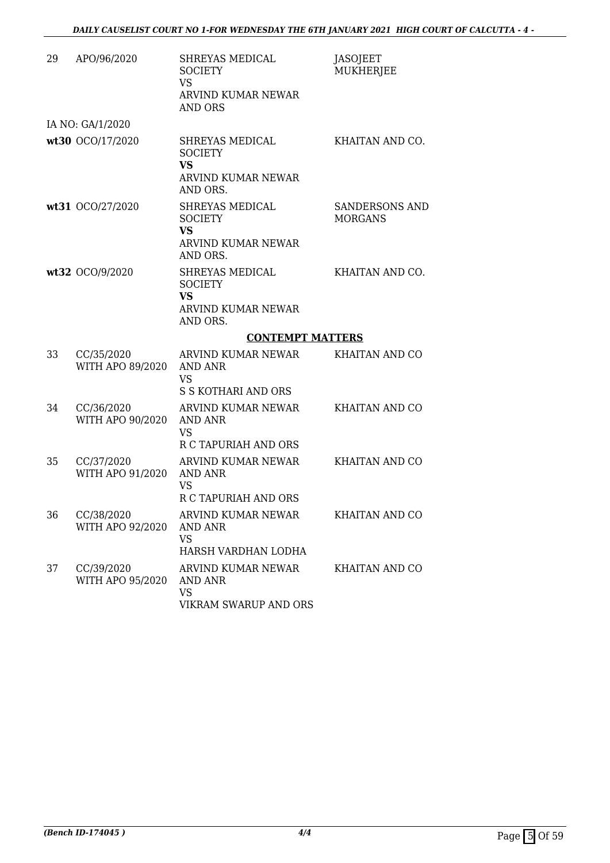| 29 | APO/96/2020                    | SHREYAS MEDICAL<br><b>SOCIETY</b><br><b>VS</b><br>ARVIND KUMAR NEWAR<br><b>AND ORS</b>  | <b>JASOJEET</b><br><b>MUKHERJEE</b> |
|----|--------------------------------|-----------------------------------------------------------------------------------------|-------------------------------------|
|    | IA NO: GA/1/2020               |                                                                                         |                                     |
|    | wt30 OCO/17/2020               | SHREYAS MEDICAL<br><b>SOCIETY</b><br><b>VS</b><br><b>ARVIND KUMAR NEWAR</b><br>AND ORS. | KHAITAN AND CO.                     |
|    | wt31 OCO/27/2020               | SHREYAS MEDICAL<br><b>SOCIETY</b><br><b>VS</b><br>ARVIND KUMAR NEWAR<br>AND ORS.        | SANDERSONS AND<br><b>MORGANS</b>    |
|    | wt32 OCO/9/2020                | SHREYAS MEDICAL<br><b>SOCIETY</b><br><b>VS</b><br><b>ARVIND KUMAR NEWAR</b><br>AND ORS. | KHAITAN AND CO.                     |
|    |                                | <b>CONTEMPT MATTERS</b>                                                                 |                                     |
| 33 | CC/35/2020<br>WITH APO 89/2020 | ARVIND KUMAR NEWAR<br>AND ANR                                                           | KHAITAN AND CO                      |
|    |                                | <b>VS</b><br><b>S S KOTHARI AND ORS</b>                                                 |                                     |
| 34 | CC/36/2020<br>WITH APO 90/2020 | ARVIND KUMAR NEWAR<br><b>AND ANR</b><br><b>VS</b><br>R C TAPURIAH AND ORS               | KHAITAN AND CO                      |
| 35 | CC/37/2020<br>WITH APO 91/2020 | ARVIND KUMAR NEWAR<br>AND ANR<br>VS<br>R C TAPURIAH AND ORS                             | <b>KHAITAN AND CO</b>               |
| 36 | CC/38/2020<br>WITH APO 92/2020 | ARVIND KUMAR NEWAR<br><b>AND ANR</b><br><b>VS</b><br>HARSH VARDHAN LODHA                | KHAITAN AND CO                      |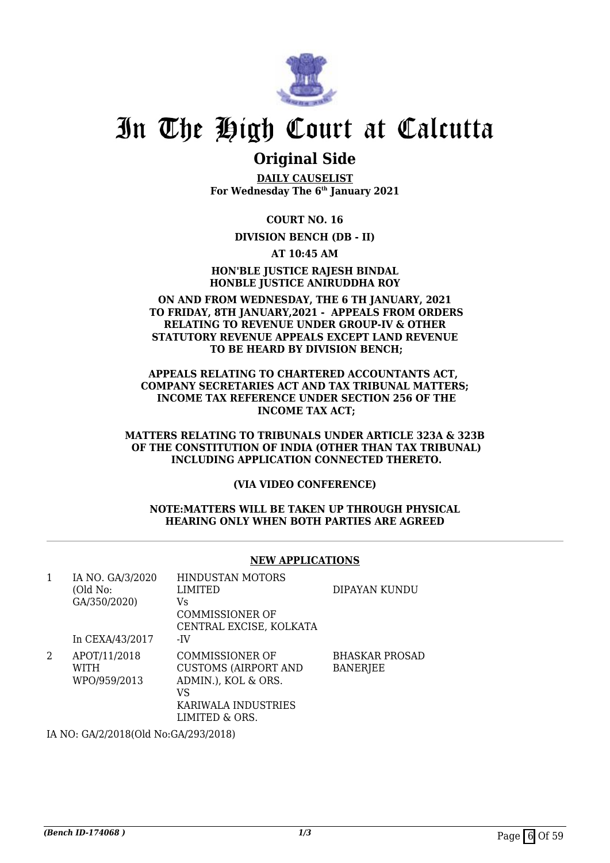

### **Original Side**

**DAILY CAUSELIST For Wednesday The 6th January 2021**

**COURT NO. 16**

### **DIVISION BENCH (DB - II)**

**AT 10:45 AM**

**HON'BLE JUSTICE RAJESH BINDAL HONBLE JUSTICE ANIRUDDHA ROY**

#### **ON AND FROM WEDNESDAY, THE 6 TH JANUARY, 2021 TO FRIDAY, 8TH JANUARY,2021 - APPEALS FROM ORDERS RELATING TO REVENUE UNDER GROUP-IV & OTHER STATUTORY REVENUE APPEALS EXCEPT LAND REVENUE TO BE HEARD BY DIVISION BENCH;**

**APPEALS RELATING TO CHARTERED ACCOUNTANTS ACT, COMPANY SECRETARIES ACT AND TAX TRIBUNAL MATTERS; INCOME TAX REFERENCE UNDER SECTION 256 OF THE INCOME TAX ACT;**

**MATTERS RELATING TO TRIBUNALS UNDER ARTICLE 323A & 323B OF THE CONSTITUTION OF INDIA (OTHER THAN TAX TRIBUNAL) INCLUDING APPLICATION CONNECTED THERETO.**

**(VIA VIDEO CONFERENCE)**

#### **NOTE:MATTERS WILL BE TAKEN UP THROUGH PHYSICAL HEARING ONLY WHEN BOTH PARTIES ARE AGREED**

### **NEW APPLICATIONS**

|                 | <b>HINDUSTAN MOTORS</b>     |                                      |
|-----------------|-----------------------------|--------------------------------------|
| (Old No:        | <b>LIMITED</b>              | DIPAYAN KUNDU                        |
| GA/350/2020)    | Vs                          |                                      |
|                 | COMMISSIONER OF             |                                      |
|                 | CENTRAL EXCISE, KOLKATA     |                                      |
| In CEXA/43/2017 | -IV                         |                                      |
| APOT/11/2018    | COMMISSIONER OF             | <b>BHASKAR PROSAD</b>                |
| WITH            | <b>CUSTOMS (AIRPORT AND</b> | <b>BANERJEE</b>                      |
| WPO/959/2013    | ADMIN.), KOL & ORS.         |                                      |
|                 | VS                          |                                      |
|                 | KARIWALA INDUSTRIES         |                                      |
|                 | LIMITED & ORS.              |                                      |
|                 |                             |                                      |
|                 | IA NO. GA/3/2020            | IA NO: GA/2/2018(Old No:GA/293/2018) |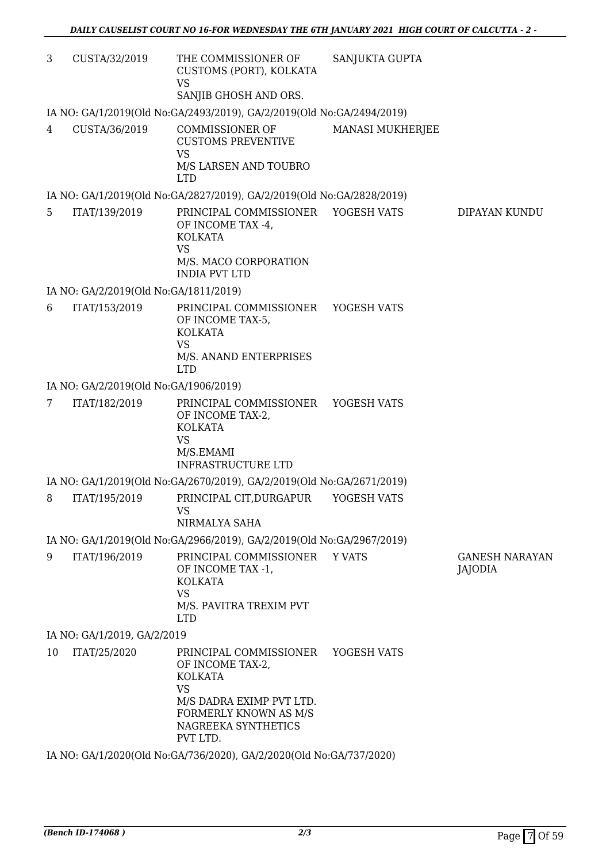| 3              | CUSTA/32/2019                         | THE COMMISSIONER OF<br>CUSTOMS (PORT), KOLKATA<br><b>VS</b>                                                                                                       | SANJUKTA GUPTA          |                                  |
|----------------|---------------------------------------|-------------------------------------------------------------------------------------------------------------------------------------------------------------------|-------------------------|----------------------------------|
|                |                                       | SANJIB GHOSH AND ORS.                                                                                                                                             |                         |                                  |
|                |                                       | IA NO: GA/1/2019(Old No:GA/2493/2019), GA/2/2019(Old No:GA/2494/2019)                                                                                             |                         |                                  |
| $\overline{4}$ | CUSTA/36/2019                         | COMMISSIONER OF<br><b>CUSTOMS PREVENTIVE</b><br><b>VS</b><br>M/S LARSEN AND TOUBRO<br><b>LTD</b>                                                                  | <b>MANASI MUKHERJEE</b> |                                  |
|                |                                       | IA NO: GA/1/2019(Old No:GA/2827/2019), GA/2/2019(Old No:GA/2828/2019)                                                                                             |                         |                                  |
| 5              | ITAT/139/2019                         | PRINCIPAL COMMISSIONER YOGESH VATS<br>OF INCOME TAX -4,<br><b>KOLKATA</b><br><b>VS</b><br>M/S. MACO CORPORATION<br><b>INDIA PVT LTD</b>                           |                         | DIPAYAN KUNDU                    |
|                | IA NO: GA/2/2019(Old No:GA/1811/2019) |                                                                                                                                                                   |                         |                                  |
| 6              | ITAT/153/2019                         | PRINCIPAL COMMISSIONER YOGESH VATS<br>OF INCOME TAX-5,<br><b>KOLKATA</b><br><b>VS</b><br>M/S. ANAND ENTERPRISES<br><b>LTD</b>                                     |                         |                                  |
|                | IA NO: GA/2/2019(Old No:GA/1906/2019) |                                                                                                                                                                   |                         |                                  |
| 7              | ITAT/182/2019                         | PRINCIPAL COMMISSIONER YOGESH VATS<br>OF INCOME TAX-2,<br><b>KOLKATA</b><br><b>VS</b><br>M/S.EMAMI<br><b>INFRASTRUCTURE LTD</b>                                   |                         |                                  |
|                |                                       | IA NO: GA/1/2019(Old No:GA/2670/2019), GA/2/2019(Old No:GA/2671/2019)                                                                                             |                         |                                  |
|                |                                       | 8 ITAT/195/2019 PRINCIPAL CIT, DURGAPUR YOGESH VATS<br><b>VS</b><br>NIRMALYA SAHA                                                                                 |                         |                                  |
|                |                                       | IA NO: GA/1/2019(Old No:GA/2966/2019), GA/2/2019(Old No:GA/2967/2019)                                                                                             |                         |                                  |
| 9              | ITAT/196/2019                         | PRINCIPAL COMMISSIONER<br>OF INCOME TAX -1,<br><b>KOLKATA</b><br><b>VS</b><br>M/S. PAVITRA TREXIM PVT<br><b>LTD</b>                                               | Y VATS                  | <b>GANESH NARAYAN</b><br>JAJODIA |
|                | IA NO: GA/1/2019, GA/2/2019           |                                                                                                                                                                   |                         |                                  |
| 10             | ITAT/25/2020                          | PRINCIPAL COMMISSIONER<br>OF INCOME TAX-2,<br><b>KOLKATA</b><br><b>VS</b><br>M/S DADRA EXIMP PVT LTD.<br>FORMERLY KNOWN AS M/S<br>NAGREEKA SYNTHETICS<br>PVT LTD. | YOGESH VATS             |                                  |

IA NO: GA/1/2020(Old No:GA/736/2020), GA/2/2020(Old No:GA/737/2020)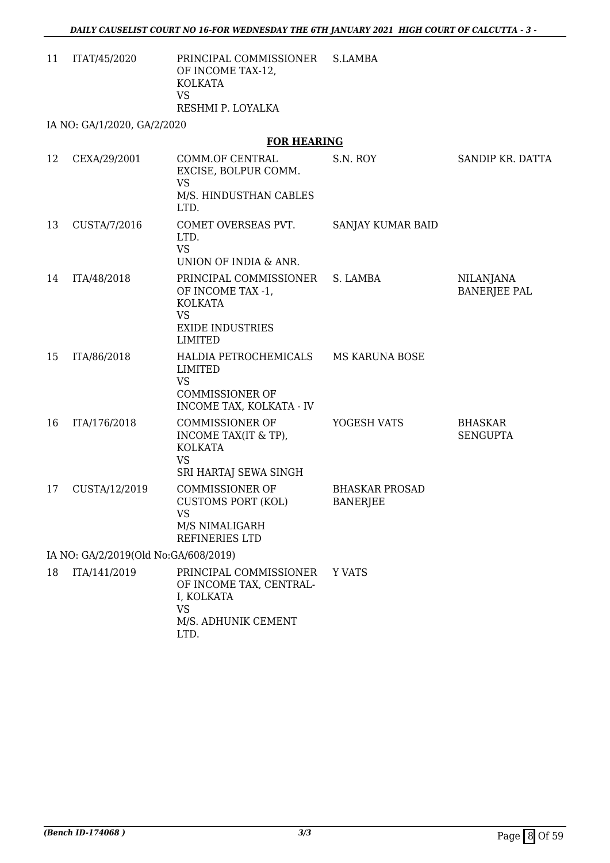11 ITAT/45/2020 PRINCIPAL COMMISSIONER OF INCOME TAX-12, KOLKATA VS RESHMI P. LOYALKA S.LAMBA

IA NO: GA/1/2020, GA/2/2020

### **FOR HEARING**

| 12 | CEXA/29/2001                         | COMM.OF CENTRAL<br>EXCISE, BOLPUR COMM.<br><b>VS</b><br>M/S. HINDUSTHAN CABLES<br>LTD.                                  | S.N. ROY                                 | SANDIP KR. DATTA                        |
|----|--------------------------------------|-------------------------------------------------------------------------------------------------------------------------|------------------------------------------|-----------------------------------------|
| 13 | CUSTA/7/2016                         | COMET OVERSEAS PVT.<br>LTD.<br><b>VS</b><br>UNION OF INDIA & ANR.                                                       | SANJAY KUMAR BAID                        |                                         |
| 14 | ITA/48/2018                          | PRINCIPAL COMMISSIONER<br>OF INCOME TAX -1,<br><b>KOLKATA</b><br><b>VS</b><br><b>EXIDE INDUSTRIES</b><br><b>LIMITED</b> | S. LAMBA                                 | <b>NILANJANA</b><br><b>BANERJEE PAL</b> |
| 15 | ITA/86/2018                          | HALDIA PETROCHEMICALS MS KARUNA BOSE<br>LIMITED<br><b>VS</b><br><b>COMMISSIONER OF</b><br>INCOME TAX, KOLKATA - IV      |                                          |                                         |
| 16 | ITA/176/2018                         | <b>COMMISSIONER OF</b><br>INCOME TAX(IT & TP),<br><b>KOLKATA</b><br><b>VS</b><br>SRI HARTAJ SEWA SINGH                  | YOGESH VATS                              | <b>BHASKAR</b><br><b>SENGUPTA</b>       |
| 17 | CUSTA/12/2019                        | <b>COMMISSIONER OF</b><br><b>CUSTOMS PORT (KOL)</b><br><b>VS</b><br>M/S NIMALIGARH<br>REFINERIES LTD                    | <b>BHASKAR PROSAD</b><br><b>BANERJEE</b> |                                         |
|    | IA NO: GA/2/2019(Old No:GA/608/2019) |                                                                                                                         |                                          |                                         |
| 18 | ITA/141/2019                         | PRINCIPAL COMMISSIONER<br>OF INCOME TAX, CENTRAL-<br>I, KOLKATA<br><b>VS</b><br>M/S. ADHUNIK CEMENT<br>LTD.             | Y VATS                                   |                                         |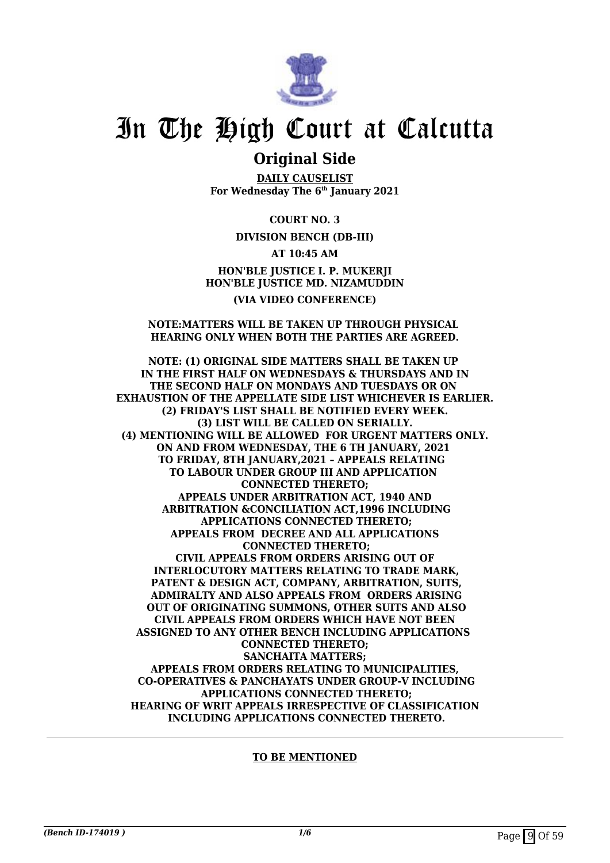

### **Original Side**

**DAILY CAUSELIST For Wednesday The 6th January 2021**

**COURT NO. 3**

**DIVISION BENCH (DB-III)**

**AT 10:45 AM HON'BLE JUSTICE I. P. MUKERJI HON'BLE JUSTICE MD. NIZAMUDDIN (VIA VIDEO CONFERENCE)**

### **NOTE:MATTERS WILL BE TAKEN UP THROUGH PHYSICAL HEARING ONLY WHEN BOTH THE PARTIES ARE AGREED.**

**NOTE: (1) ORIGINAL SIDE MATTERS SHALL BE TAKEN UP IN THE FIRST HALF ON WEDNESDAYS & THURSDAYS AND IN THE SECOND HALF ON MONDAYS AND TUESDAYS OR ON EXHAUSTION OF THE APPELLATE SIDE LIST WHICHEVER IS EARLIER. (2) FRIDAY'S LIST SHALL BE NOTIFIED EVERY WEEK. (3) LIST WILL BE CALLED ON SERIALLY. (4) MENTIONING WILL BE ALLOWED FOR URGENT MATTERS ONLY. ON AND FROM WEDNESDAY, THE 6 TH JANUARY, 2021 TO FRIDAY, 8TH JANUARY,2021 – APPEALS RELATING TO LABOUR UNDER GROUP III AND APPLICATION CONNECTED THERETO; APPEALS UNDER ARBITRATION ACT, 1940 AND ARBITRATION &CONCILIATION ACT,1996 INCLUDING APPLICATIONS CONNECTED THERETO; APPEALS FROM DECREE AND ALL APPLICATIONS CONNECTED THERETO; CIVIL APPEALS FROM ORDERS ARISING OUT OF INTERLOCUTORY MATTERS RELATING TO TRADE MARK, PATENT & DESIGN ACT, COMPANY, ARBITRATION, SUITS, ADMIRALTY AND ALSO APPEALS FROM ORDERS ARISING OUT OF ORIGINATING SUMMONS, OTHER SUITS AND ALSO CIVIL APPEALS FROM ORDERS WHICH HAVE NOT BEEN ASSIGNED TO ANY OTHER BENCH INCLUDING APPLICATIONS CONNECTED THERETO; SANCHAITA MATTERS; APPEALS FROM ORDERS RELATING TO MUNICIPALITIES, CO-OPERATIVES & PANCHAYATS UNDER GROUP-V INCLUDING APPLICATIONS CONNECTED THERETO; HEARING OF WRIT APPEALS IRRESPECTIVE OF CLASSIFICATION INCLUDING APPLICATIONS CONNECTED THERETO.**

**TO BE MENTIONED**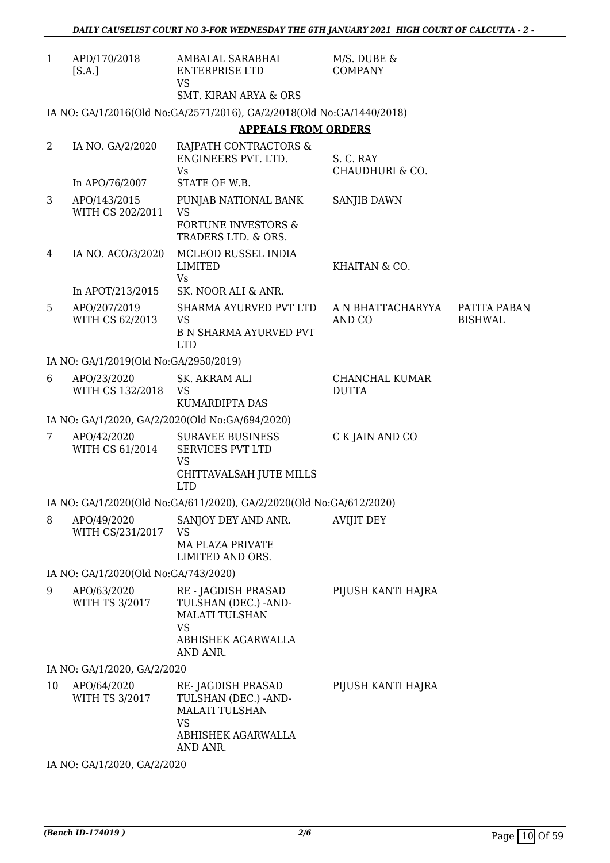| APD/170/2018<br>M/S. DUBE &<br>1<br>AMBALAL SARABHAI<br>ENTERPRISE LTD<br><b>COMPANY</b><br>[S.A.]<br><b>VS</b><br><b>SMT. KIRAN ARYA &amp; ORS</b><br>IA NO: GA/1/2016(Old No:GA/2571/2016), GA/2/2018(Old No:GA/1440/2018)<br><b>APPEALS FROM ORDERS</b><br>$\overline{2}$<br>IA NO. GA/2/2020<br>RAJPATH CONTRACTORS &<br>ENGINEERS PVT. LTD.<br>S. C. RAY<br><b>Vs</b><br>CHAUDHURI & CO.<br>STATE OF W.B.<br>In APO/76/2007<br>3<br>APO/143/2015<br>PUNJAB NATIONAL BANK<br>SANJIB DAWN<br>WITH CS 202/2011<br><b>VS</b><br><b>FORTUNE INVESTORS &amp;</b><br>TRADERS LTD. & ORS.<br>IA NO. ACO/3/2020<br>MCLEOD RUSSEL INDIA<br>4<br><b>LIMITED</b><br>KHAITAN & CO.<br>Vs<br>SK. NOOR ALI & ANR.<br>In APOT/213/2015<br>5<br>APO/207/2019<br>SHARMA AYURVED PVT LTD<br>A N BHATTACHARYYA<br>WITH CS 62/2013<br><b>VS</b><br>AND CO<br><b>BISHWAL</b><br><b>B N SHARMA AYURVED PVT</b><br><b>LTD</b><br>IA NO: GA/1/2019(Old No:GA/2950/2019)<br>APO/23/2020<br>SK. AKRAM ALI<br>CHANCHAL KUMAR<br>6<br>WITH CS 132/2018<br><b>DUTTA</b><br><b>VS</b><br>KUMARDIPTA DAS<br>IA NO: GA/1/2020, GA/2/2020(Old No:GA/694/2020)<br>APO/42/2020<br><b>SURAVEE BUSINESS</b><br>C K JAIN AND CO<br>7<br>WITH CS 61/2014<br><b>SERVICES PVT LTD</b><br><b>VS</b><br>CHITTAVALSAH JUTE MILLS<br><b>LTD</b><br>IA NO: GA/1/2020(Old No:GA/611/2020), GA/2/2020(Old No:GA/612/2020)<br>SANJOY DEY AND ANR.<br><b>AVIJIT DEY</b><br>8<br>APO/49/2020<br>WITH CS/231/2017<br><b>VS</b><br><b>MA PLAZA PRIVATE</b><br>LIMITED AND ORS.<br>IA NO: GA/1/2020(Old No:GA/743/2020)<br>PIJUSH KANTI HAJRA<br>9<br>APO/63/2020<br>RE - JAGDISH PRASAD<br><b>WITH TS 3/2017</b><br>TULSHAN (DEC.) - AND-<br><b>MALATI TULSHAN</b><br><b>VS</b><br>ABHISHEK AGARWALLA<br>AND ANR.<br>IA NO: GA/1/2020, GA/2/2020<br>APO/64/2020<br>RE-JAGDISH PRASAD<br>PIJUSH KANTI HAJRA<br>10<br>WITH TS 3/2017<br>TULSHAN (DEC.) - AND- |              |
|------------------------------------------------------------------------------------------------------------------------------------------------------------------------------------------------------------------------------------------------------------------------------------------------------------------------------------------------------------------------------------------------------------------------------------------------------------------------------------------------------------------------------------------------------------------------------------------------------------------------------------------------------------------------------------------------------------------------------------------------------------------------------------------------------------------------------------------------------------------------------------------------------------------------------------------------------------------------------------------------------------------------------------------------------------------------------------------------------------------------------------------------------------------------------------------------------------------------------------------------------------------------------------------------------------------------------------------------------------------------------------------------------------------------------------------------------------------------------------------------------------------------------------------------------------------------------------------------------------------------------------------------------------------------------------------------------------------------------------------------------------------------------------------------------------------------------------------------------------------------------------------------------------|--------------|
|                                                                                                                                                                                                                                                                                                                                                                                                                                                                                                                                                                                                                                                                                                                                                                                                                                                                                                                                                                                                                                                                                                                                                                                                                                                                                                                                                                                                                                                                                                                                                                                                                                                                                                                                                                                                                                                                                                            |              |
|                                                                                                                                                                                                                                                                                                                                                                                                                                                                                                                                                                                                                                                                                                                                                                                                                                                                                                                                                                                                                                                                                                                                                                                                                                                                                                                                                                                                                                                                                                                                                                                                                                                                                                                                                                                                                                                                                                            |              |
|                                                                                                                                                                                                                                                                                                                                                                                                                                                                                                                                                                                                                                                                                                                                                                                                                                                                                                                                                                                                                                                                                                                                                                                                                                                                                                                                                                                                                                                                                                                                                                                                                                                                                                                                                                                                                                                                                                            |              |
|                                                                                                                                                                                                                                                                                                                                                                                                                                                                                                                                                                                                                                                                                                                                                                                                                                                                                                                                                                                                                                                                                                                                                                                                                                                                                                                                                                                                                                                                                                                                                                                                                                                                                                                                                                                                                                                                                                            |              |
|                                                                                                                                                                                                                                                                                                                                                                                                                                                                                                                                                                                                                                                                                                                                                                                                                                                                                                                                                                                                                                                                                                                                                                                                                                                                                                                                                                                                                                                                                                                                                                                                                                                                                                                                                                                                                                                                                                            |              |
|                                                                                                                                                                                                                                                                                                                                                                                                                                                                                                                                                                                                                                                                                                                                                                                                                                                                                                                                                                                                                                                                                                                                                                                                                                                                                                                                                                                                                                                                                                                                                                                                                                                                                                                                                                                                                                                                                                            |              |
|                                                                                                                                                                                                                                                                                                                                                                                                                                                                                                                                                                                                                                                                                                                                                                                                                                                                                                                                                                                                                                                                                                                                                                                                                                                                                                                                                                                                                                                                                                                                                                                                                                                                                                                                                                                                                                                                                                            |              |
|                                                                                                                                                                                                                                                                                                                                                                                                                                                                                                                                                                                                                                                                                                                                                                                                                                                                                                                                                                                                                                                                                                                                                                                                                                                                                                                                                                                                                                                                                                                                                                                                                                                                                                                                                                                                                                                                                                            |              |
|                                                                                                                                                                                                                                                                                                                                                                                                                                                                                                                                                                                                                                                                                                                                                                                                                                                                                                                                                                                                                                                                                                                                                                                                                                                                                                                                                                                                                                                                                                                                                                                                                                                                                                                                                                                                                                                                                                            |              |
|                                                                                                                                                                                                                                                                                                                                                                                                                                                                                                                                                                                                                                                                                                                                                                                                                                                                                                                                                                                                                                                                                                                                                                                                                                                                                                                                                                                                                                                                                                                                                                                                                                                                                                                                                                                                                                                                                                            | PATITA PABAN |
|                                                                                                                                                                                                                                                                                                                                                                                                                                                                                                                                                                                                                                                                                                                                                                                                                                                                                                                                                                                                                                                                                                                                                                                                                                                                                                                                                                                                                                                                                                                                                                                                                                                                                                                                                                                                                                                                                                            |              |
|                                                                                                                                                                                                                                                                                                                                                                                                                                                                                                                                                                                                                                                                                                                                                                                                                                                                                                                                                                                                                                                                                                                                                                                                                                                                                                                                                                                                                                                                                                                                                                                                                                                                                                                                                                                                                                                                                                            |              |
|                                                                                                                                                                                                                                                                                                                                                                                                                                                                                                                                                                                                                                                                                                                                                                                                                                                                                                                                                                                                                                                                                                                                                                                                                                                                                                                                                                                                                                                                                                                                                                                                                                                                                                                                                                                                                                                                                                            |              |
|                                                                                                                                                                                                                                                                                                                                                                                                                                                                                                                                                                                                                                                                                                                                                                                                                                                                                                                                                                                                                                                                                                                                                                                                                                                                                                                                                                                                                                                                                                                                                                                                                                                                                                                                                                                                                                                                                                            |              |
|                                                                                                                                                                                                                                                                                                                                                                                                                                                                                                                                                                                                                                                                                                                                                                                                                                                                                                                                                                                                                                                                                                                                                                                                                                                                                                                                                                                                                                                                                                                                                                                                                                                                                                                                                                                                                                                                                                            |              |
|                                                                                                                                                                                                                                                                                                                                                                                                                                                                                                                                                                                                                                                                                                                                                                                                                                                                                                                                                                                                                                                                                                                                                                                                                                                                                                                                                                                                                                                                                                                                                                                                                                                                                                                                                                                                                                                                                                            |              |
|                                                                                                                                                                                                                                                                                                                                                                                                                                                                                                                                                                                                                                                                                                                                                                                                                                                                                                                                                                                                                                                                                                                                                                                                                                                                                                                                                                                                                                                                                                                                                                                                                                                                                                                                                                                                                                                                                                            |              |
|                                                                                                                                                                                                                                                                                                                                                                                                                                                                                                                                                                                                                                                                                                                                                                                                                                                                                                                                                                                                                                                                                                                                                                                                                                                                                                                                                                                                                                                                                                                                                                                                                                                                                                                                                                                                                                                                                                            |              |
|                                                                                                                                                                                                                                                                                                                                                                                                                                                                                                                                                                                                                                                                                                                                                                                                                                                                                                                                                                                                                                                                                                                                                                                                                                                                                                                                                                                                                                                                                                                                                                                                                                                                                                                                                                                                                                                                                                            |              |
|                                                                                                                                                                                                                                                                                                                                                                                                                                                                                                                                                                                                                                                                                                                                                                                                                                                                                                                                                                                                                                                                                                                                                                                                                                                                                                                                                                                                                                                                                                                                                                                                                                                                                                                                                                                                                                                                                                            |              |
| <b>MALATI TULSHAN</b><br><b>VS</b><br>ABHISHEK AGARWALLA<br>AND ANR.                                                                                                                                                                                                                                                                                                                                                                                                                                                                                                                                                                                                                                                                                                                                                                                                                                                                                                                                                                                                                                                                                                                                                                                                                                                                                                                                                                                                                                                                                                                                                                                                                                                                                                                                                                                                                                       |              |

IA NO: GA/1/2020, GA/2/2020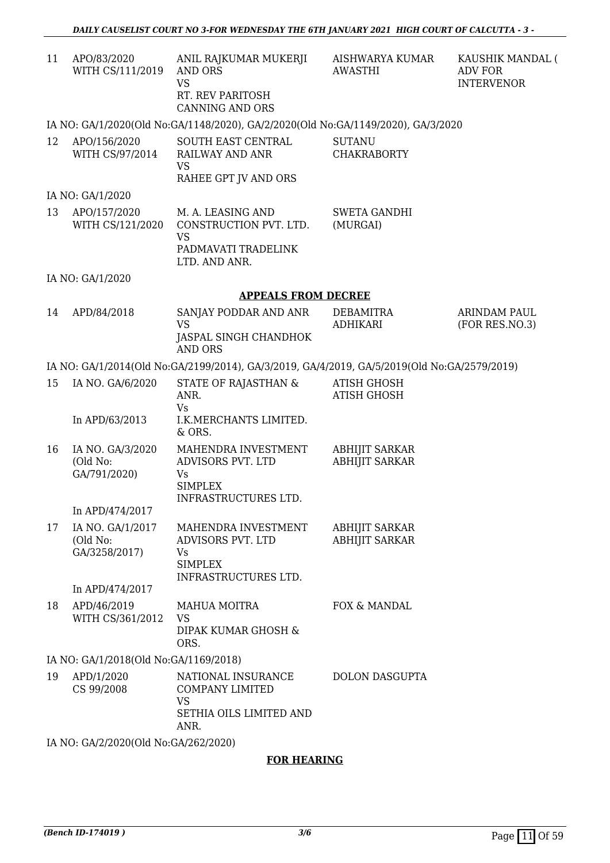| 11 | APO/83/2020      | ANIL RAJKUMAR MUKERJI  |
|----|------------------|------------------------|
|    | WITH CS/111/2019 | AND ORS                |
|    |                  | VS                     |
|    |                  | RT. REV PARITOSH       |
|    |                  | <b>CANNING AND ORS</b> |
|    |                  |                        |

AISHWARYA KUMAR AWASTHI

KAUSHIK MANDAL ( ADV FOR INTERVENOR

### IA NO: GA/1/2020(Old No:GA/1148/2020), GA/2/2020(Old No:GA/1149/2020), GA/3/2020

| 12 | APO/156/2020    | SOUTH EAST CENTRAL   | SUTANU      |
|----|-----------------|----------------------|-------------|
|    | WITH CS/97/2014 | RAILWAY AND ANR      | CHAKRABORTY |
|    |                 | VS.                  |             |
|    |                 | RAHEE GPT JV AND ORS |             |

### IA NO: GA/1/2020

|  | 13 | APO/157/2020<br>WITH CS/121/2020 | M. A. LEASING AND<br>CONSTRUCTION PVT. LTD.<br>VS<br>PADMAVATI TRADELINK<br>LTD. AND ANR. | SWETA GANDHI<br>(MURGAI) |
|--|----|----------------------------------|-------------------------------------------------------------------------------------------|--------------------------|
|--|----|----------------------------------|-------------------------------------------------------------------------------------------|--------------------------|

IA NO: GA/1/2020

#### **APPEALS FROM DECREE**

14 APD/84/2018 SANJAY PODDAR AND ANR VS JASPAL SINGH CHANDHOK AND ORS DEBAMITRA ADHIKARI ARINDAM PAUL (FOR RES.NO.3)

### IA NO: GA/1/2014(Old No:GA/2199/2014), GA/3/2019, GA/4/2019, GA/5/2019(Old No:GA/2579/2019)

| 15 | IA NO. GA/6/2020                              | STATE OF RAJASTHAN &<br>ANR.<br>Vs                                                       | ATISH GHOSH<br><b>ATISH GHOSH</b>              |
|----|-----------------------------------------------|------------------------------------------------------------------------------------------|------------------------------------------------|
|    | In APD/63/2013                                | <b>I.K.MERCHANTS LIMITED.</b><br>& ORS.                                                  |                                                |
| 16 | IA NO. GA/3/2020<br>(Old No:<br>GA/791/2020)  | MAHENDRA INVESTMENT<br>ADVISORS PVT. LTD<br>Vs<br><b>SIMPLEX</b><br>INFRASTRUCTURES LTD. | <b>ABHIJIT SARKAR</b><br><b>ABHIJIT SARKAR</b> |
|    | In APD/474/2017                               |                                                                                          |                                                |
| 17 | IA NO. GA/1/2017<br>(Old No:<br>GA/3258/2017) | MAHENDRA INVESTMENT<br>ADVISORS PVT. LTD<br>Vs<br><b>SIMPLEX</b>                         | <b>ABHIJIT SARKAR</b><br><b>ABHIJIT SARKAR</b> |

INFRASTRUCTURES LTD.

In APD/474/2017

#### 18 APD/46/2019 WITH CS/361/2012 MAHUA MOITRA VS DIPAK KUMAR GHOSH & ORS. FOX & MANDAL

### IA NO: GA/1/2018(Old No:GA/1169/2018)

| 19 | APD/1/2020 | NATIONAL INSURANCE      | DOLON DASGUPTA |
|----|------------|-------------------------|----------------|
|    | CS 99/2008 | COMPANY LIMITED         |                |
|    |            | VS                      |                |
|    |            | SETHIA OILS LIMITED AND |                |
|    |            | ANR.                    |                |

IA NO: GA/2/2020(Old No:GA/262/2020)

### **FOR HEARING**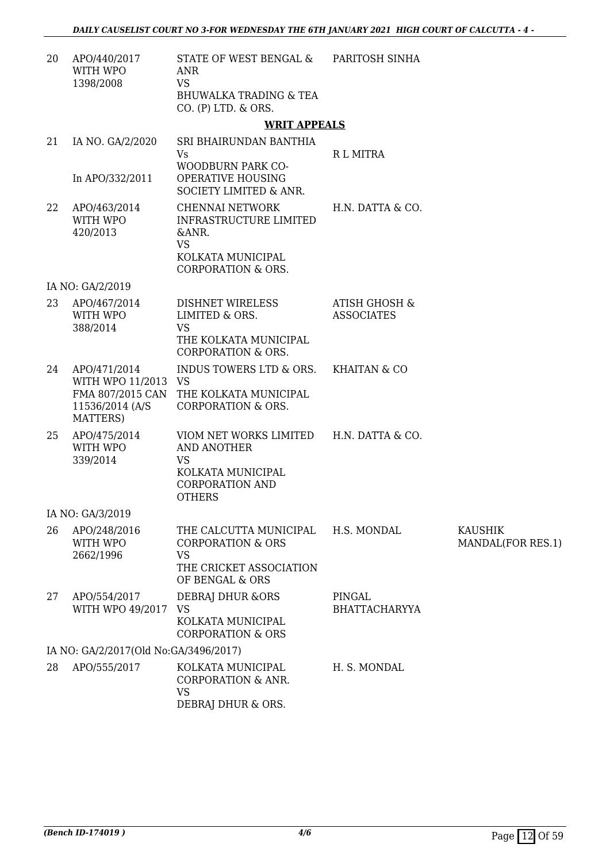| 20 | APO/440/2017<br>WITH WPO<br>1398/2008                              | STATE OF WEST BENGAL & PARITOSH SINHA<br><b>ANR</b><br><b>VS</b><br>BHUWALKA TRADING & TEA<br>CO. (P) LTD. & ORS.                   |                                               |                                     |
|----|--------------------------------------------------------------------|-------------------------------------------------------------------------------------------------------------------------------------|-----------------------------------------------|-------------------------------------|
|    |                                                                    | <b>WRIT APPEALS</b>                                                                                                                 |                                               |                                     |
| 21 | IA NO. GA/2/2020<br>In APO/332/2011                                | SRI BHAIRUNDAN BANTHIA<br><b>Vs</b><br>WOODBURN PARK CO-<br>OPERATIVE HOUSING<br><b>SOCIETY LIMITED &amp; ANR.</b>                  | R L MITRA                                     |                                     |
| 22 | APO/463/2014<br>WITH WPO<br>420/2013                               | <b>CHENNAI NETWORK</b><br><b>INFRASTRUCTURE LIMITED</b><br>&ANR.<br><b>VS</b><br>KOLKATA MUNICIPAL<br><b>CORPORATION &amp; ORS.</b> | H.N. DATTA & CO.                              |                                     |
|    | IA NO: GA/2/2019                                                   |                                                                                                                                     |                                               |                                     |
| 23 | APO/467/2014<br>WITH WPO<br>388/2014                               | DISHNET WIRELESS<br>LIMITED & ORS.<br><b>VS</b><br>THE KOLKATA MUNICIPAL<br><b>CORPORATION &amp; ORS.</b>                           | <b>ATISH GHOSH &amp;</b><br><b>ASSOCIATES</b> |                                     |
| 24 | APO/471/2014<br>WITH WPO 11/2013 VS<br>11536/2014 (A/S<br>MATTERS) | INDUS TOWERS LTD & ORS.<br>FMA 807/2015 CAN THE KOLKATA MUNICIPAL<br><b>CORPORATION &amp; ORS.</b>                                  | KHAITAN & CO                                  |                                     |
| 25 | APO/475/2014<br>WITH WPO<br>339/2014                               | VIOM NET WORKS LIMITED H.N. DATTA & CO.<br>AND ANOTHER<br><b>VS</b><br>KOLKATA MUNICIPAL<br><b>CORPORATION AND</b><br><b>OTHERS</b> |                                               |                                     |
|    | IA NO: GA/3/2019                                                   |                                                                                                                                     |                                               |                                     |
| 26 | APO/248/2016<br>WITH WPO<br>2662/1996                              | THE CALCUTTA MUNICIPAL<br><b>CORPORATION &amp; ORS</b><br><b>VS</b><br>THE CRICKET ASSOCIATION<br>OF BENGAL & ORS                   | H.S. MONDAL                                   | <b>KAUSHIK</b><br>MANDAL(FOR RES.1) |
| 27 | APO/554/2017<br>WITH WPO 49/2017 VS                                | <b>DEBRAJ DHUR &amp;ORS</b><br>KOLKATA MUNICIPAL<br><b>CORPORATION &amp; ORS</b>                                                    | PINGAL<br><b>BHATTACHARYYA</b>                |                                     |
|    | IA NO: GA/2/2017(Old No:GA/3496/2017)                              |                                                                                                                                     |                                               |                                     |
| 28 | APO/555/2017                                                       | KOLKATA MUNICIPAL<br><b>CORPORATION &amp; ANR.</b><br><b>VS</b><br>DEBRAJ DHUR & ORS.                                               | H. S. MONDAL                                  |                                     |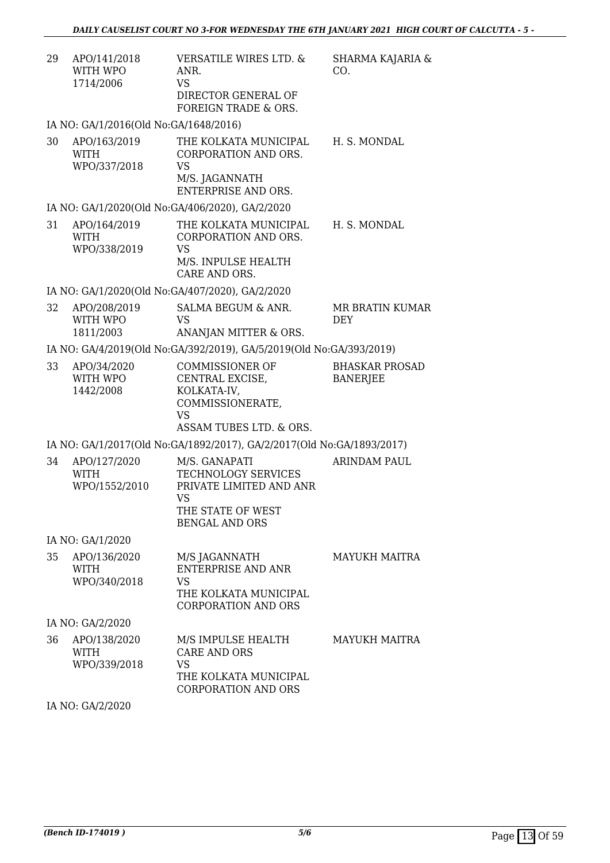| 29 | APO/141/2018<br>WITH WPO<br>1714/2006        | <b>VERSATILE WIRES LTD. &amp;</b><br>ANR.<br><b>VS</b><br>DIRECTOR GENERAL OF<br>FOREIGN TRADE & ORS.                      | SHARMA KAJARIA &<br>CO.                  |
|----|----------------------------------------------|----------------------------------------------------------------------------------------------------------------------------|------------------------------------------|
|    | IA NO: GA/1/2016(Old No:GA/1648/2016)        |                                                                                                                            |                                          |
| 30 | APO/163/2019<br>WITH<br>WPO/337/2018         | THE KOLKATA MUNICIPAL<br>CORPORATION AND ORS.<br><b>VS</b><br>M/S. JAGANNATH<br>ENTERPRISE AND ORS.                        | H. S. MONDAL                             |
|    |                                              | IA NO: GA/1/2020(Old No:GA/406/2020), GA/2/2020                                                                            |                                          |
| 31 | APO/164/2019<br><b>WITH</b><br>WPO/338/2019  | THE KOLKATA MUNICIPAL<br>CORPORATION AND ORS.<br><b>VS</b><br>M/S. INPULSE HEALTH<br>CARE AND ORS.                         | H. S. MONDAL                             |
|    |                                              | IA NO: GA/1/2020(Old No:GA/407/2020), GA/2/2020                                                                            |                                          |
| 32 | APO/208/2019<br>WITH WPO<br>1811/2003        | SALMA BEGUM & ANR.<br><b>VS</b><br>ANANJAN MITTER & ORS.                                                                   | MR BRATIN KUMAR<br><b>DEY</b>            |
|    |                                              | IA NO: GA/4/2019(Old No:GA/392/2019), GA/5/2019(Old No:GA/393/2019)                                                        |                                          |
| 33 | APO/34/2020<br>WITH WPO<br>1442/2008         | <b>COMMISSIONER OF</b><br>CENTRAL EXCISE,<br>KOLKATA-IV,<br>COMMISSIONERATE,<br><b>VS</b><br>ASSAM TUBES LTD. & ORS.       | <b>BHASKAR PROSAD</b><br><b>BANERJEE</b> |
|    |                                              | IA NO: GA/1/2017(Old No:GA/1892/2017), GA/2/2017(Old No:GA/1893/2017)                                                      |                                          |
| 34 | APO/127/2020<br><b>WITH</b><br>WPO/1552/2010 | M/S. GANAPATI<br>TECHNOLOGY SERVICES<br>PRIVATE LIMITED AND ANR<br><b>VS</b><br>THE STATE OF WEST<br><b>BENGAL AND ORS</b> | <b>ARINDAM PAUL</b>                      |
|    | IA NO: GA/1/2020                             |                                                                                                                            |                                          |
| 35 | APO/136/2020<br><b>WITH</b><br>WPO/340/2018  | M/S JAGANNATH<br><b>ENTERPRISE AND ANR</b><br><b>VS</b><br>THE KOLKATA MUNICIPAL<br><b>CORPORATION AND ORS</b>             | <b>MAYUKH MAITRA</b>                     |
|    | IA NO: GA/2/2020                             |                                                                                                                            |                                          |
| 36 | APO/138/2020<br>WITH<br>WPO/339/2018         | M/S IMPULSE HEALTH<br><b>CARE AND ORS</b><br><b>VS</b><br>THE KOLKATA MUNICIPAL<br><b>CORPORATION AND ORS</b>              | <b>MAYUKH MAITRA</b>                     |
|    | IA NO: GA/2/2020                             |                                                                                                                            |                                          |
|    |                                              |                                                                                                                            |                                          |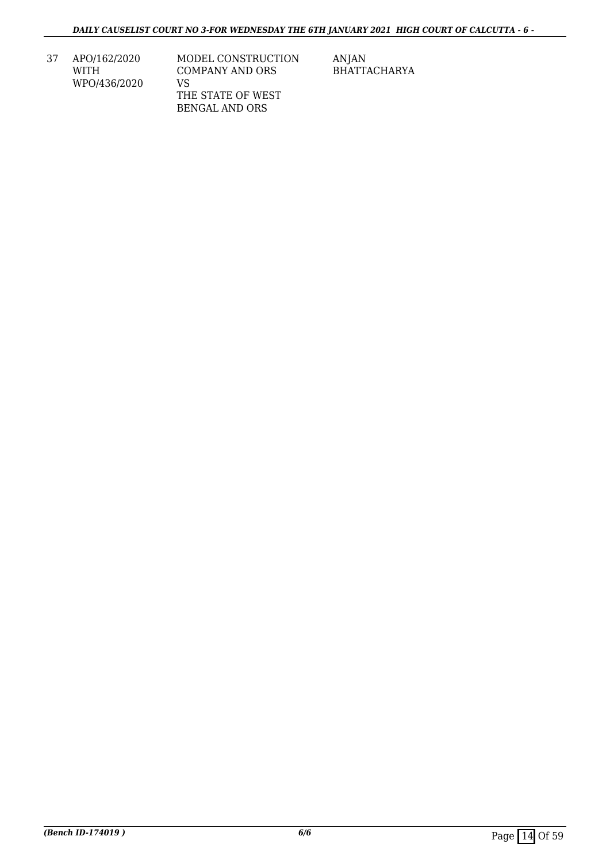37 APO/162/2020 WITH WPO/436/2020

MODEL CONSTRUCTION COMPANY AND ORS VS THE STATE OF WEST BENGAL AND ORS

ANJAN BHATTACHARYA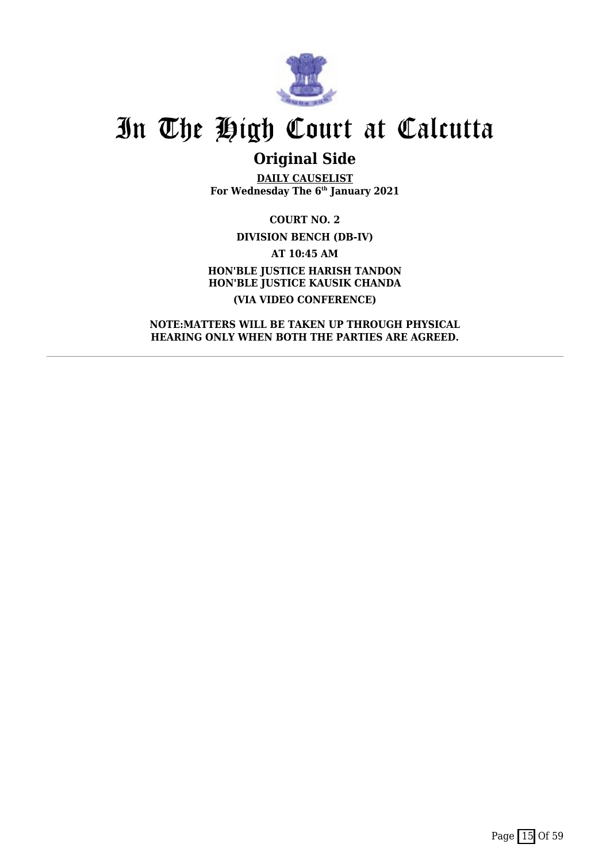

## **Original Side**

**DAILY CAUSELIST For Wednesday The 6th January 2021**

**COURT NO. 2 DIVISION BENCH (DB-IV) AT 10:45 AM HON'BLE JUSTICE HARISH TANDON HON'BLE JUSTICE KAUSIK CHANDA (VIA VIDEO CONFERENCE)**

**NOTE:MATTERS WILL BE TAKEN UP THROUGH PHYSICAL HEARING ONLY WHEN BOTH THE PARTIES ARE AGREED.**

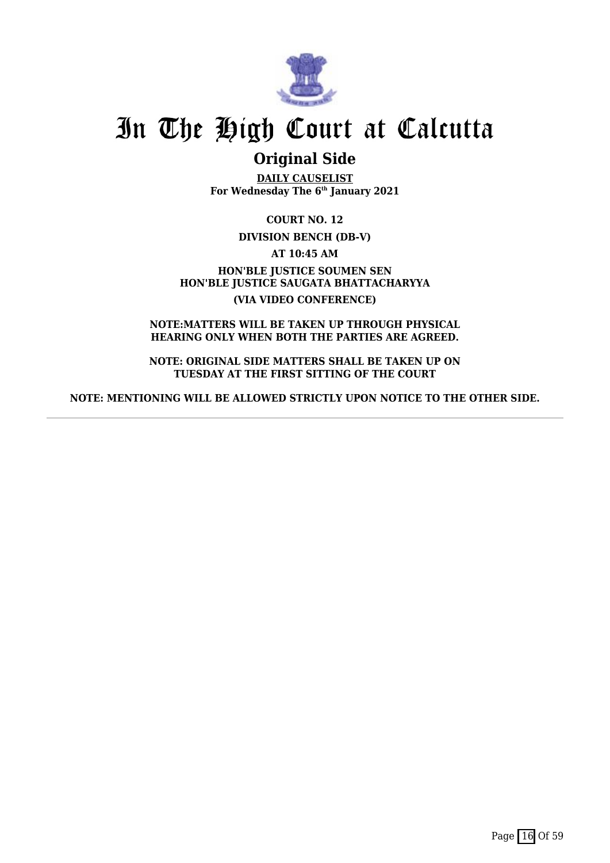

## **Original Side**

**DAILY CAUSELIST For Wednesday The 6th January 2021**

**COURT NO. 12**

**DIVISION BENCH (DB-V)**

**AT 10:45 AM**

**HON'BLE JUSTICE SOUMEN SEN HON'BLE JUSTICE SAUGATA BHATTACHARYYA (VIA VIDEO CONFERENCE)**

**NOTE:MATTERS WILL BE TAKEN UP THROUGH PHYSICAL HEARING ONLY WHEN BOTH THE PARTIES ARE AGREED.**

**NOTE: ORIGINAL SIDE MATTERS SHALL BE TAKEN UP ON TUESDAY AT THE FIRST SITTING OF THE COURT**

**NOTE: MENTIONING WILL BE ALLOWED STRICTLY UPON NOTICE TO THE OTHER SIDE.**

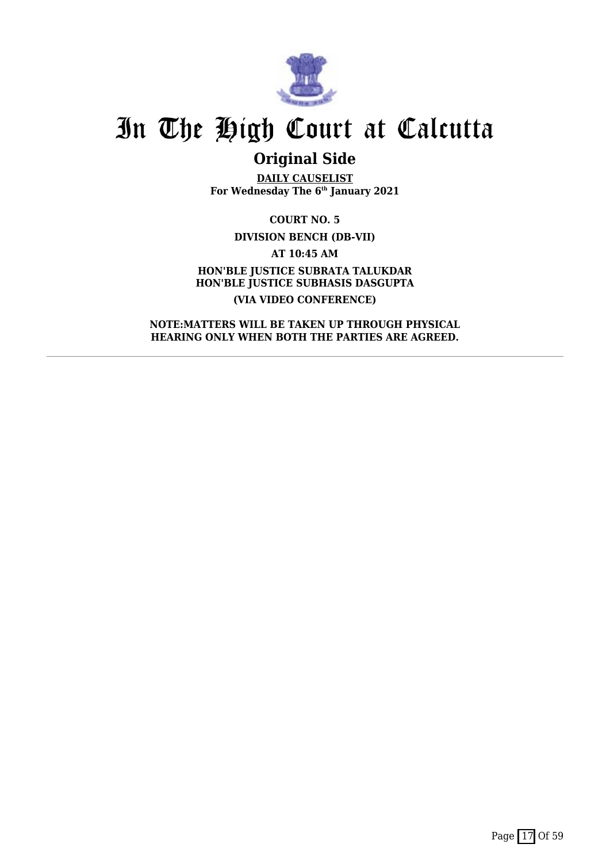

## **Original Side**

**DAILY CAUSELIST For Wednesday The 6th January 2021**

**COURT NO. 5 DIVISION BENCH (DB-VII) AT 10:45 AM**

**HON'BLE JUSTICE SUBRATA TALUKDAR HON'BLE JUSTICE SUBHASIS DASGUPTA (VIA VIDEO CONFERENCE)**

**NOTE:MATTERS WILL BE TAKEN UP THROUGH PHYSICAL HEARING ONLY WHEN BOTH THE PARTIES ARE AGREED.**

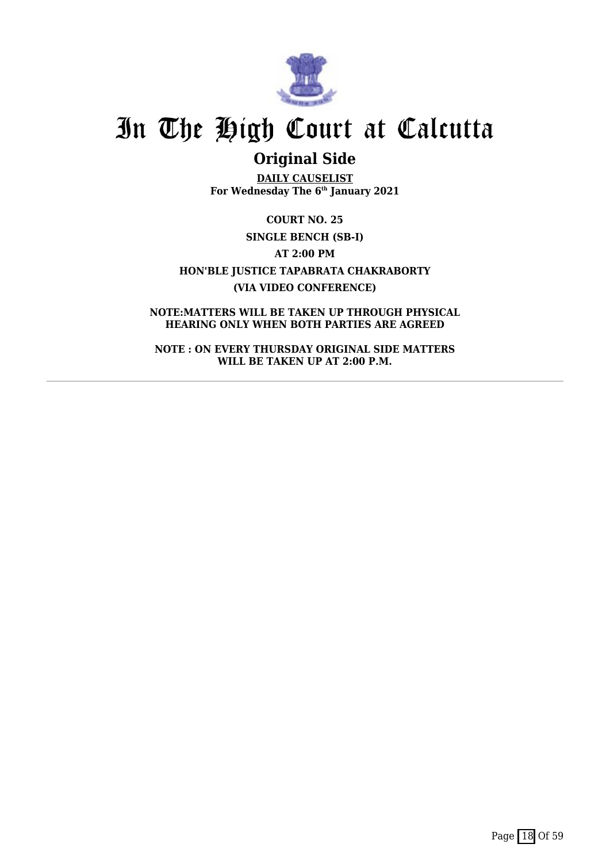

## **Original Side**

**DAILY CAUSELIST For Wednesday The 6th January 2021**

**COURT NO. 25 SINGLE BENCH (SB-I) AT 2:00 PM HON'BLE JUSTICE TAPABRATA CHAKRABORTY (VIA VIDEO CONFERENCE)**

**NOTE:MATTERS WILL BE TAKEN UP THROUGH PHYSICAL HEARING ONLY WHEN BOTH PARTIES ARE AGREED**

**NOTE : ON EVERY THURSDAY ORIGINAL SIDE MATTERS WILL BE TAKEN UP AT 2:00 P.M.**

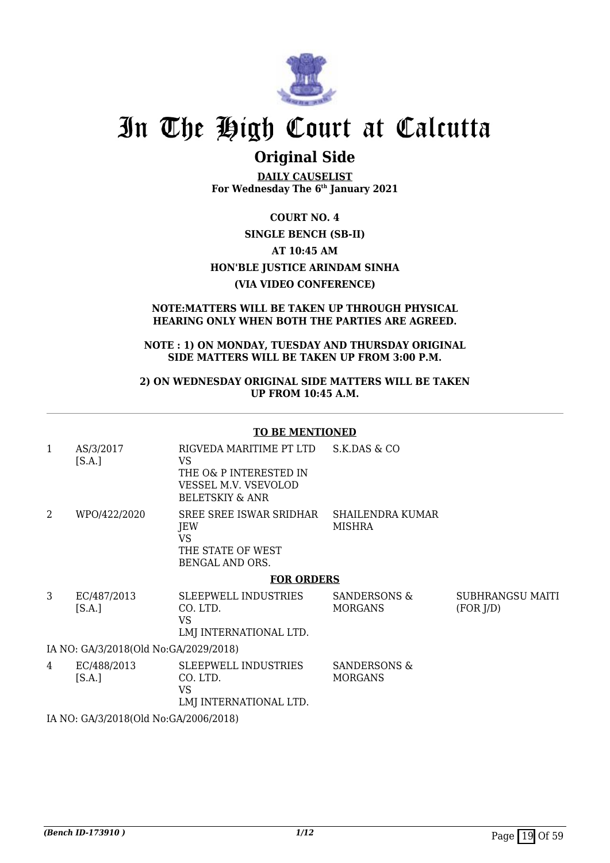

## **Original Side**

**DAILY CAUSELIST For Wednesday The 6th January 2021**

### **COURT NO. 4**

### **SINGLE BENCH (SB-II)**

**AT 10:45 AM**

### **HON'BLE JUSTICE ARINDAM SINHA**

### **(VIA VIDEO CONFERENCE)**

### **NOTE:MATTERS WILL BE TAKEN UP THROUGH PHYSICAL HEARING ONLY WHEN BOTH THE PARTIES ARE AGREED.**

### **NOTE : 1) ON MONDAY, TUESDAY AND THURSDAY ORIGINAL SIDE MATTERS WILL BE TAKEN UP FROM 3:00 P.M.**

### **2) ON WEDNESDAY ORIGINAL SIDE MATTERS WILL BE TAKEN UP FROM 10:45 A.M.**

#### **TO BE MENTIONED**

| 1              | AS/3/2017<br>[S.A.]                   | RIGVEDA MARITIME PT LTD<br>VS.<br>THE O& P INTERESTED IN<br>VESSEL M.V. VSEVOLOD<br><b>BELETSKIY &amp; ANR</b> | S.K.DAS & CO                             |                               |  |
|----------------|---------------------------------------|----------------------------------------------------------------------------------------------------------------|------------------------------------------|-------------------------------|--|
| $\overline{2}$ | WPO/422/2020                          | SREE SREE ISWAR SRIDHAR<br>JEW<br><b>VS</b><br>THE STATE OF WEST<br><b>BENGAL AND ORS.</b>                     | <b>SHAILENDRA KUMAR</b><br><b>MISHRA</b> |                               |  |
|                |                                       | <b>FOR ORDERS</b>                                                                                              |                                          |                               |  |
| 3              | EC/487/2013<br>[S.A.]                 | <b>SLEEPWELL INDUSTRIES</b><br>CO. LTD.<br><b>VS</b><br>LMJ INTERNATIONAL LTD.                                 | SANDERSONS &<br><b>MORGANS</b>           | SUBHRANGSU MAITI<br>(FOR J/D) |  |
|                | IA NO: GA/3/2018(Old No:GA/2029/2018) |                                                                                                                |                                          |                               |  |
| 4              | EC/488/2013<br>[S.A.]                 | <b>SLEEPWELL INDUSTRIES</b><br>CO. LTD.<br><b>VS</b><br>LMJ INTERNATIONAL LTD.                                 | SANDERSONS &<br><b>MORGANS</b>           |                               |  |
|                |                                       |                                                                                                                |                                          |                               |  |

IA NO: GA/3/2018(Old No:GA/2006/2018)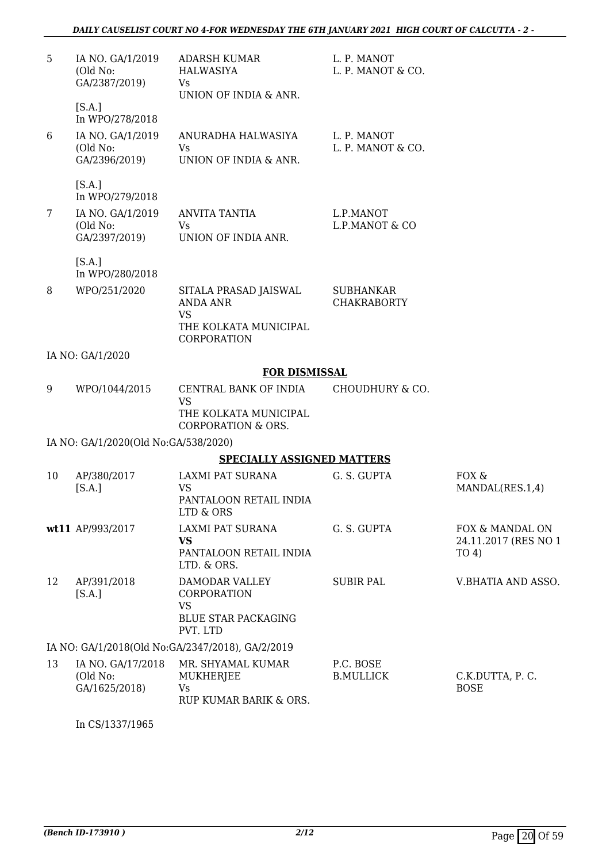| 5  | IA NO. GA/1/2019<br>(Old No:<br>GA/2387/2019)                    | <b>ADARSH KUMAR</b><br>HALWASIYA<br>Vs<br>UNION OF INDIA & ANR.                      | L. P. MANOT<br>L. P. MANOT & CO.       |                                         |
|----|------------------------------------------------------------------|--------------------------------------------------------------------------------------|----------------------------------------|-----------------------------------------|
|    | [S.A.]                                                           |                                                                                      |                                        |                                         |
| 6  | In WPO/278/2018<br>IA NO. GA/1/2019<br>(Old No:<br>GA/2396/2019) | ANURADHA HALWASIYA<br><b>Vs</b><br>UNION OF INDIA & ANR.                             | L. P. MANOT<br>L. P. MANOT & CO.       |                                         |
|    | [S.A.]<br>In WPO/279/2018                                        |                                                                                      |                                        |                                         |
| 7  | IA NO. GA/1/2019<br>(Old No:<br>GA/2397/2019)                    | <b>ANVITA TANTIA</b><br>Vs<br>UNION OF INDIA ANR.                                    | L.P.MANOT<br>L.P.MANOT & CO            |                                         |
|    | [S.A.]<br>In WPO/280/2018                                        |                                                                                      |                                        |                                         |
| 8  | WPO/251/2020                                                     | SITALA PRASAD JAISWAL<br><b>ANDA ANR</b><br><b>VS</b>                                | <b>SUBHANKAR</b><br><b>CHAKRABORTY</b> |                                         |
|    |                                                                  | THE KOLKATA MUNICIPAL<br>CORPORATION                                                 |                                        |                                         |
|    | IA NO: GA/1/2020                                                 |                                                                                      |                                        |                                         |
|    |                                                                  | <b>FOR DISMISSAL</b>                                                                 |                                        |                                         |
| 9  | WPO/1044/2015                                                    | CENTRAL BANK OF INDIA<br><b>VS</b>                                                   | <b>CHOUDHURY &amp; CO.</b>             |                                         |
|    |                                                                  | THE KOLKATA MUNICIPAL<br><b>CORPORATION &amp; ORS.</b>                               |                                        |                                         |
|    | IA NO: GA/1/2020(Old No:GA/538/2020)                             |                                                                                      |                                        |                                         |
|    |                                                                  | <b>SPECIALLY ASSIGNED MATTERS</b>                                                    |                                        |                                         |
| 10 | AP/380/2017<br>[S.A.]                                            | LAXMI PAT SURANA<br>VS                                                               | G. S. GUPTA                            | FOX &<br>MANDAL(RES.1,4)                |
|    |                                                                  | PANTALOON RETAIL INDIA<br>LTD & ORS                                                  |                                        |                                         |
|    | wt11 AP/993/2017                                                 | LAXMI PAT SURANA<br><b>VS</b>                                                        | G. S. GUPTA                            | FOX & MANDAL ON<br>24.11.2017 (RES NO 1 |
|    |                                                                  | PANTALOON RETAIL INDIA<br>LTD. & ORS.                                                |                                        | TO <sub>4</sub>                         |
| 12 | AP/391/2018<br>[S.A.]                                            | DAMODAR VALLEY<br><b>CORPORATION</b><br>VS<br><b>BLUE STAR PACKAGING</b><br>PVT. LTD | <b>SUBIR PAL</b>                       | V.BHATIA AND ASSO.                      |
|    |                                                                  | IA NO: GA/1/2018(Old No:GA/2347/2018), GA/2/2019                                     |                                        |                                         |
| 13 | IA NO. GA/17/2018<br>(Old No:<br>GA/1625/2018)                   | MR. SHYAMAL KUMAR<br><b>MUKHERJEE</b><br>Vs<br>RUP KUMAR BARIK & ORS.                | P.C. BOSE<br><b>B.MULLICK</b>          | C.K.DUTTA, P.C.<br><b>BOSE</b>          |

In CS/1337/1965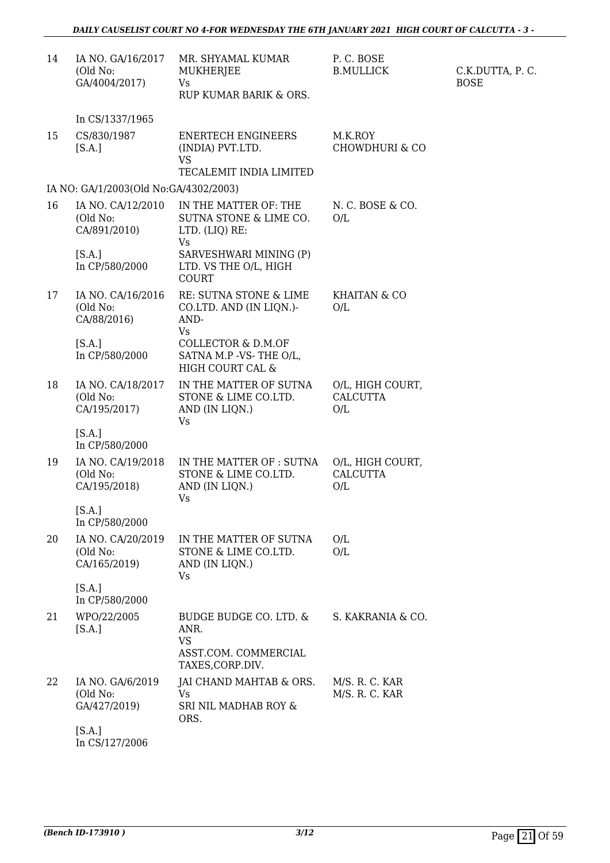| 14 | IA NO. GA/16/2017<br>(Old No:<br>GA/4004/2017) | MR. SHYAMAL KUMAR<br><b>MUKHERJEE</b><br>Vs<br>RUP KUMAR BARIK & ORS.                   | P.C. BOSE<br><b>B.MULLICK</b>              | C.K.DUTTA, P.C.<br><b>BOSE</b> |
|----|------------------------------------------------|-----------------------------------------------------------------------------------------|--------------------------------------------|--------------------------------|
|    | In CS/1337/1965                                |                                                                                         |                                            |                                |
| 15 | CS/830/1987<br>[S.A.]                          | <b>ENERTECH ENGINEERS</b><br>(INDIA) PVT.LTD.<br>VS<br>TECALEMIT INDIA LIMITED          | M.K.ROY<br>CHOWDHURI & CO                  |                                |
|    | IA NO: GA/1/2003(Old No:GA/4302/2003)          |                                                                                         |                                            |                                |
| 16 | IA NO. CA/12/2010<br>(Old No:<br>CA/891/2010)  | IN THE MATTER OF: THE<br>SUTNA STONE & LIME CO.<br>LTD. (LIQ) RE:<br>Vs                 | N. C. BOSE & CO.<br>O/L                    |                                |
|    | [S.A.]<br>In CP/580/2000                       | SARVESHWARI MINING (P)<br>LTD. VS THE O/L, HIGH<br><b>COURT</b>                         |                                            |                                |
| 17 | IA NO. CA/16/2016<br>(Old No:<br>CA/88/2016)   | RE: SUTNA STONE & LIME<br>CO.LTD. AND (IN LIQN.)-<br>AND-<br>Vs                         | KHAITAN & CO<br>O/L                        |                                |
|    | [S.A.]<br>In CP/580/2000                       | <b>COLLECTOR &amp; D.M.OF</b><br>SATNA M.P -VS-THE O/L,<br>HIGH COURT CAL &             |                                            |                                |
| 18 | IA NO. CA/18/2017<br>(Old No:<br>CA/195/2017)  | IN THE MATTER OF SUTNA<br>STONE & LIME CO.LTD.<br>AND (IN LIQN.)<br>Vs                  | O/L, HIGH COURT,<br><b>CALCUTTA</b><br>O/L |                                |
|    | [S.A.]<br>In CP/580/2000                       |                                                                                         |                                            |                                |
| 19 | IA NO. CA/19/2018<br>(Old No:<br>CA/195/2018)  | IN THE MATTER OF : SUTNA<br>STONE & LIME CO.LTD.<br>AND (IN LIQN.)<br>Vs                | O/L, HIGH COURT,<br><b>CALCUTTA</b><br>O/L |                                |
|    | [S.A.]<br>In CP/580/2000                       |                                                                                         |                                            |                                |
| 20 | IA NO. CA/20/2019<br>(Old No:<br>CA/165/2019)  | IN THE MATTER OF SUTNA<br>STONE & LIME CO.LTD.<br>AND (IN LIQN.)<br>Vs                  | O/L<br>O/L                                 |                                |
|    | [S.A.]<br>In CP/580/2000                       |                                                                                         |                                            |                                |
| 21 | WPO/22/2005<br>[S.A.]                          | BUDGE BUDGE CO. LTD. &<br>ANR.<br><b>VS</b><br>ASST.COM. COMMERCIAL<br>TAXES, CORP.DIV. | S. KAKRANIA & CO.                          |                                |
| 22 | IA NO. GA/6/2019<br>(Old No:<br>GA/427/2019)   | JAI CHAND MAHTAB & ORS.<br><b>Vs</b><br>SRI NIL MADHAB ROY &<br>ORS.                    | M/S. R. C. KAR<br>M/S. R. C. KAR           |                                |
|    | [S.A.]<br>In CS/127/2006                       |                                                                                         |                                            |                                |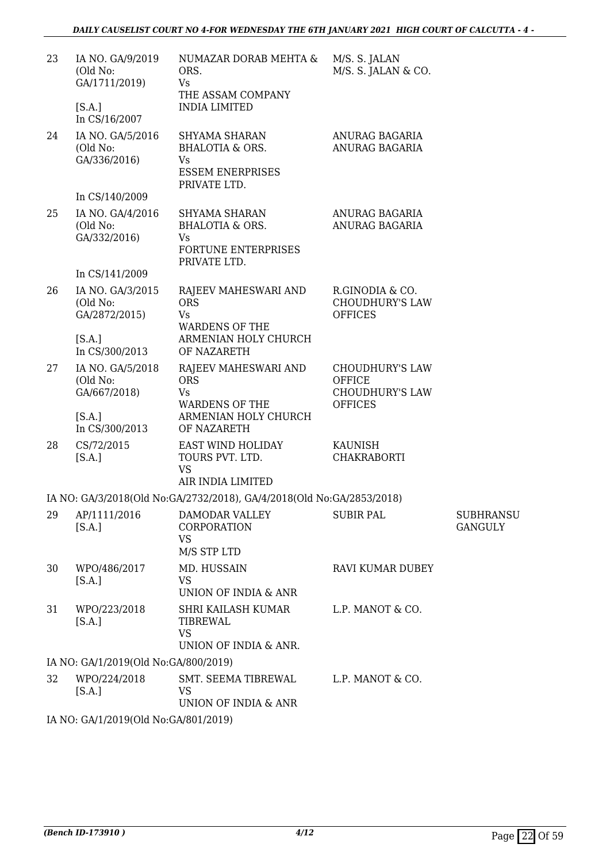| 23 | IA NO. GA/9/2019<br>(Old No:<br>GA/1711/2019) | NUMAZAR DORAB MEHTA &<br>ORS.<br>Vs<br>THE ASSAM COMPANY                                     | M/S. S. JALAN<br>M/S. S. JALAN & CO.                                                |                                    |
|----|-----------------------------------------------|----------------------------------------------------------------------------------------------|-------------------------------------------------------------------------------------|------------------------------------|
|    | [S.A.]<br>In CS/16/2007                       | <b>INDIA LIMITED</b>                                                                         |                                                                                     |                                    |
| 24 | IA NO. GA/5/2016<br>(Old No:<br>GA/336/2016)  | SHYAMA SHARAN<br><b>BHALOTIA &amp; ORS.</b><br>Vs<br><b>ESSEM ENERPRISES</b><br>PRIVATE LTD. | ANURAG BAGARIA<br>ANURAG BAGARIA                                                    |                                    |
|    | In CS/140/2009                                |                                                                                              |                                                                                     |                                    |
| 25 | IA NO. GA/4/2016<br>(Old No:<br>GA/332/2016)  | SHYAMA SHARAN<br><b>BHALOTIA &amp; ORS.</b><br>Vs<br>FORTUNE ENTERPRISES<br>PRIVATE LTD.     | ANURAG BAGARIA<br>ANURAG BAGARIA                                                    |                                    |
|    | In CS/141/2009                                |                                                                                              |                                                                                     |                                    |
| 26 | IA NO. GA/3/2015<br>(Old No:<br>GA/2872/2015) | RAJEEV MAHESWARI AND<br><b>ORS</b><br><b>Vs</b><br><b>WARDENS OF THE</b>                     | R.GINODIA & CO.<br><b>CHOUDHURY'S LAW</b><br><b>OFFICES</b>                         |                                    |
|    | [S.A.]<br>In CS/300/2013                      | ARMENIAN HOLY CHURCH<br>OF NAZARETH                                                          |                                                                                     |                                    |
| 27 | IA NO. GA/5/2018<br>(Old No:<br>GA/667/2018)  | RAJEEV MAHESWARI AND<br><b>ORS</b><br>Vs<br><b>WARDENS OF THE</b>                            | <b>CHOUDHURY'S LAW</b><br><b>OFFICE</b><br><b>CHOUDHURY'S LAW</b><br><b>OFFICES</b> |                                    |
|    | [S.A.]<br>In CS/300/2013                      | ARMENIAN HOLY CHURCH<br>OF NAZARETH                                                          |                                                                                     |                                    |
| 28 | CS/72/2015<br>[S.A.]                          | EAST WIND HOLIDAY<br>TOURS PVT. LTD.<br><b>VS</b><br>AIR INDIA LIMITED                       | <b>KAUNISH</b><br><b>CHAKRABORTI</b>                                                |                                    |
|    |                                               | IA NO: GA/3/2018(Old No:GA/2732/2018), GA/4/2018(Old No:GA/2853/2018)                        |                                                                                     |                                    |
| 29 | AP/1111/2016<br>[S.A.]                        | DAMODAR VALLEY<br>CORPORATION<br><b>VS</b><br>M/S STP LTD                                    | <b>SUBIR PAL</b>                                                                    | <b>SUBHRANSU</b><br><b>GANGULY</b> |
| 30 | WPO/486/2017<br>[S.A.]                        | MD. HUSSAIN<br><b>VS</b><br>UNION OF INDIA & ANR                                             | RAVI KUMAR DUBEY                                                                    |                                    |
| 31 | WPO/223/2018<br>[S.A.]                        | SHRI KAILASH KUMAR<br>TIBREWAL<br><b>VS</b><br>UNION OF INDIA & ANR.                         | L.P. MANOT & CO.                                                                    |                                    |
|    | IA NO: GA/1/2019(Old No:GA/800/2019)          |                                                                                              |                                                                                     |                                    |
| 32 | WPO/224/2018<br>[S.A.]                        | SMT. SEEMA TIBREWAL<br>VS<br>UNION OF INDIA & ANR                                            | L.P. MANOT & CO.                                                                    |                                    |
|    |                                               |                                                                                              |                                                                                     |                                    |

IA NO: GA/1/2019(Old No:GA/801/2019)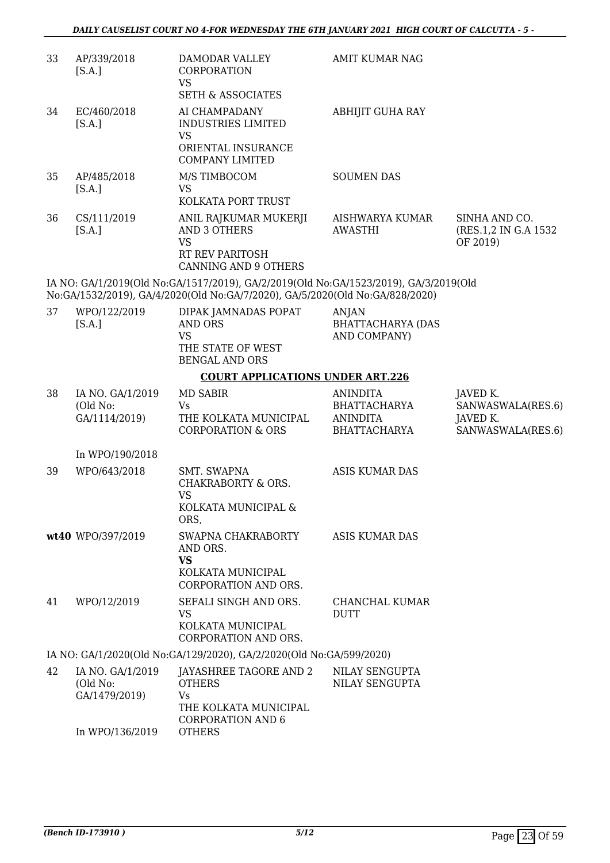| 33 | AP/339/2018<br>[S.A.]                         | DAMODAR VALLEY<br><b>CORPORATION</b><br><b>VS</b>                                                                                                                    | <b>AMIT KUMAR NAG</b>                                                            |                                                                |
|----|-----------------------------------------------|----------------------------------------------------------------------------------------------------------------------------------------------------------------------|----------------------------------------------------------------------------------|----------------------------------------------------------------|
|    |                                               | <b>SETH &amp; ASSOCIATES</b>                                                                                                                                         |                                                                                  |                                                                |
| 34 | EC/460/2018<br>[S.A.]                         | AI CHAMPADANY<br><b>INDUSTRIES LIMITED</b><br><b>VS</b><br>ORIENTAL INSURANCE<br><b>COMPANY LIMITED</b>                                                              | <b>ABHIJIT GUHA RAY</b>                                                          |                                                                |
| 35 | AP/485/2018                                   | M/S TIMBOCOM                                                                                                                                                         | <b>SOUMEN DAS</b>                                                                |                                                                |
|    | [S.A.]                                        | <b>VS</b>                                                                                                                                                            |                                                                                  |                                                                |
|    |                                               | KOLKATA PORT TRUST                                                                                                                                                   |                                                                                  |                                                                |
| 36 | CS/111/2019<br>[S.A.]                         | ANIL RAJKUMAR MUKERJI<br><b>AND 3 OTHERS</b><br><b>VS</b><br><b>RT REV PARITOSH</b>                                                                                  | AISHWARYA KUMAR<br>AWASTHI                                                       | SINHA AND CO.<br>(RES.1,2 IN G.A 1532)<br>OF 2019)             |
|    |                                               | <b>CANNING AND 9 OTHERS</b>                                                                                                                                          |                                                                                  |                                                                |
|    |                                               | IA NO: GA/1/2019(Old No:GA/1517/2019), GA/2/2019(Old No:GA/1523/2019), GA/3/2019(Old<br>No:GA/1532/2019), GA/4/2020(Old No:GA/7/2020), GA/5/2020(Old No:GA/828/2020) |                                                                                  |                                                                |
| 37 | WPO/122/2019<br>[S.A.]                        | DIPAK JAMNADAS POPAT<br><b>AND ORS</b><br><b>VS</b>                                                                                                                  | ANJAN<br><b>BHATTACHARYA (DAS</b><br>AND COMPANY)                                |                                                                |
|    |                                               | THE STATE OF WEST<br><b>BENGAL AND ORS</b>                                                                                                                           |                                                                                  |                                                                |
|    |                                               | <b>COURT APPLICATIONS UNDER ART.226</b>                                                                                                                              |                                                                                  |                                                                |
| 38 | IA NO. GA/1/2019<br>(Old No:<br>GA/1114/2019) | <b>MD SABIR</b><br>Vs<br>THE KOLKATA MUNICIPAL<br><b>CORPORATION &amp; ORS</b>                                                                                       | <b>ANINDITA</b><br><b>BHATTACHARYA</b><br><b>ANINDITA</b><br><b>BHATTACHARYA</b> | JAVED K.<br>SANWASWALA(RES.6)<br>JAVED K.<br>SANWASWALA(RES.6) |
|    | In WPO/190/2018                               |                                                                                                                                                                      |                                                                                  |                                                                |
| 39 | WPO/643/2018                                  | <b>SMT. SWAPNA</b>                                                                                                                                                   | <b>ASIS KUMAR DAS</b>                                                            |                                                                |
|    |                                               | CHAKRABORTY & ORS.<br><b>VS</b><br>KOLKATA MUNICIPAL &<br>ORS,                                                                                                       |                                                                                  |                                                                |
|    | wt40 WPO/397/2019                             | SWAPNA CHAKRABORTY<br>AND ORS.<br><b>VS</b><br>KOLKATA MUNICIPAL                                                                                                     | <b>ASIS KUMAR DAS</b>                                                            |                                                                |
|    |                                               | CORPORATION AND ORS.                                                                                                                                                 |                                                                                  |                                                                |
| 41 | WPO/12/2019                                   | SEFALI SINGH AND ORS.<br><b>VS</b><br>KOLKATA MUNICIPAL<br>CORPORATION AND ORS.                                                                                      | CHANCHAL KUMAR<br><b>DUTT</b>                                                    |                                                                |
|    |                                               | IA NO: GA/1/2020(Old No:GA/129/2020), GA/2/2020(Old No:GA/599/2020)                                                                                                  |                                                                                  |                                                                |
| 42 | IA NO. GA/1/2019<br>(Old No:<br>GA/1479/2019) | JAYASHREE TAGORE AND 2<br><b>OTHERS</b><br><b>Vs</b><br>THE KOLKATA MUNICIPAL<br><b>CORPORATION AND 6</b>                                                            | NILAY SENGUPTA<br>NILAY SENGUPTA                                                 |                                                                |
|    | In WPO/136/2019                               | <b>OTHERS</b>                                                                                                                                                        |                                                                                  |                                                                |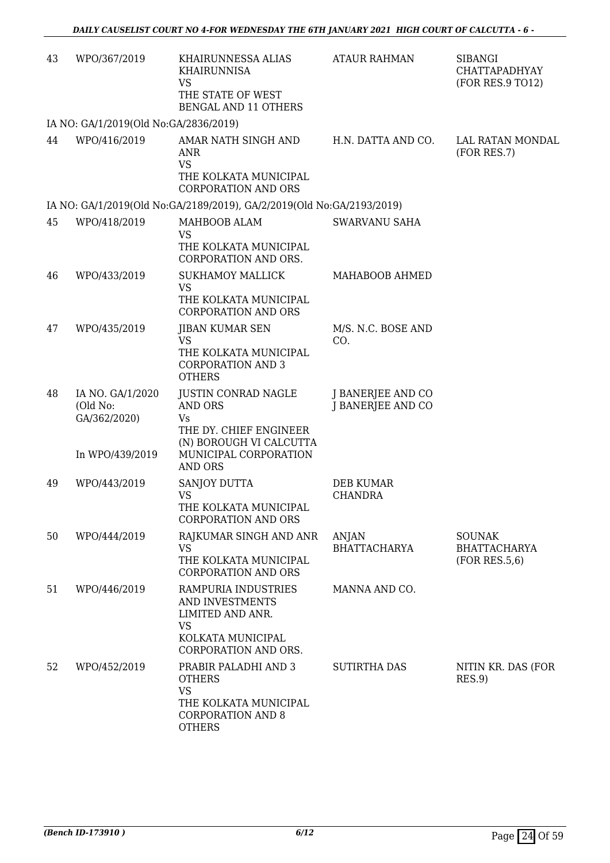| 43 | WPO/367/2019                                                    | KHAIRUNNESSA ALIAS<br><b>KHAIRUNNISA</b><br><b>VS</b><br>THE STATE OF WEST<br><b>BENGAL AND 11 OTHERS</b>                        | <b>ATAUR RAHMAN</b>                    | <b>SIBANGI</b><br>CHATTAPADHYAY<br>(FOR RES.9 TO12)   |
|----|-----------------------------------------------------------------|----------------------------------------------------------------------------------------------------------------------------------|----------------------------------------|-------------------------------------------------------|
|    | IA NO: GA/1/2019(Old No:GA/2836/2019)                           |                                                                                                                                  |                                        |                                                       |
| 44 | WPO/416/2019                                                    | AMAR NATH SINGH AND<br><b>ANR</b><br><b>VS</b><br>THE KOLKATA MUNICIPAL<br><b>CORPORATION AND ORS</b>                            | H.N. DATTA AND CO.                     | LAL RATAN MONDAL<br>(FOR RES.7)                       |
|    |                                                                 | IA NO: GA/1/2019(Old No:GA/2189/2019), GA/2/2019(Old No:GA/2193/2019)                                                            |                                        |                                                       |
| 45 | WPO/418/2019                                                    | MAHBOOB ALAM<br><b>VS</b><br>THE KOLKATA MUNICIPAL<br>CORPORATION AND ORS.                                                       | <b>SWARVANU SAHA</b>                   |                                                       |
| 46 | WPO/433/2019                                                    | <b>SUKHAMOY MALLICK</b><br><b>VS</b><br>THE KOLKATA MUNICIPAL<br><b>CORPORATION AND ORS</b>                                      | MAHABOOB AHMED                         |                                                       |
| 47 | WPO/435/2019                                                    | <b>JIBAN KUMAR SEN</b><br><b>VS</b><br>THE KOLKATA MUNICIPAL<br><b>CORPORATION AND 3</b><br><b>OTHERS</b>                        | M/S. N.C. BOSE AND<br>CO.              |                                                       |
| 48 | IA NO. GA/1/2020<br>(Old No:<br>GA/362/2020)<br>In WPO/439/2019 | <b>JUSTIN CONRAD NAGLE</b><br><b>AND ORS</b><br>Vs<br>THE DY. CHIEF ENGINEER<br>(N) BOROUGH VI CALCUTTA<br>MUNICIPAL CORPORATION | J BANERJEE AND CO<br>J BANERJEE AND CO |                                                       |
|    |                                                                 | <b>AND ORS</b>                                                                                                                   |                                        |                                                       |
| 49 | WPO/443/2019                                                    | SANJOY DUTTA<br><b>VS</b><br>THE KOLKATA MUNICIPAL<br><b>CORPORATION AND ORS</b>                                                 | DEB KUMAR<br><b>CHANDRA</b>            |                                                       |
| 50 | WPO/444/2019                                                    | RAJKUMAR SINGH AND ANR<br><b>VS</b><br>THE KOLKATA MUNICIPAL<br><b>CORPORATION AND ORS</b>                                       | ANJAN<br><b>BHATTACHARYA</b>           | <b>SOUNAK</b><br><b>BHATTACHARYA</b><br>(FOR RES.5,6) |
| 51 | WPO/446/2019                                                    | RAMPURIA INDUSTRIES<br>AND INVESTMENTS<br>LIMITED AND ANR.<br><b>VS</b><br>KOLKATA MUNICIPAL<br>CORPORATION AND ORS.             | MANNA AND CO.                          |                                                       |
| 52 | WPO/452/2019                                                    | PRABIR PALADHI AND 3<br><b>OTHERS</b><br><b>VS</b><br>THE KOLKATA MUNICIPAL<br><b>CORPORATION AND 8</b><br><b>OTHERS</b>         | <b>SUTIRTHA DAS</b>                    | NITIN KR. DAS (FOR<br>RES.9                           |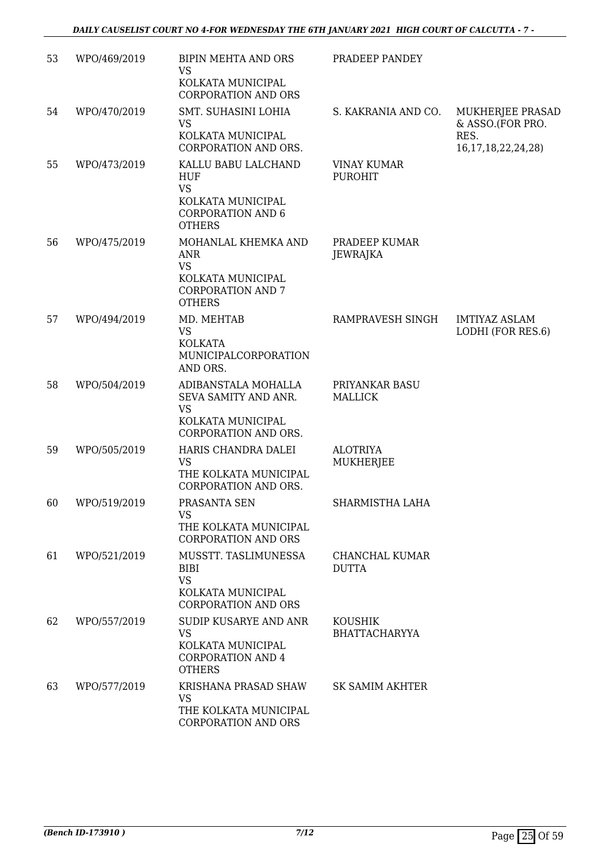| 53 | WPO/469/2019 | <b>BIPIN MEHTA AND ORS</b><br><b>VS</b><br>KOLKATA MUNICIPAL<br><b>CORPORATION AND ORS</b>                       | PRADEEP PANDEY                         |                                                                         |
|----|--------------|------------------------------------------------------------------------------------------------------------------|----------------------------------------|-------------------------------------------------------------------------|
| 54 | WPO/470/2019 | SMT. SUHASINI LOHIA<br><b>VS</b><br>KOLKATA MUNICIPAL<br>CORPORATION AND ORS.                                    | S. KAKRANIA AND CO.                    | MUKHERJEE PRASAD<br>& ASSO.(FOR PRO.<br>RES.<br>16, 17, 18, 22, 24, 28) |
| 55 | WPO/473/2019 | KALLU BABU LALCHAND<br>HUF<br><b>VS</b><br>KOLKATA MUNICIPAL<br><b>CORPORATION AND 6</b><br><b>OTHERS</b>        | <b>VINAY KUMAR</b><br><b>PUROHIT</b>   |                                                                         |
| 56 | WPO/475/2019 | MOHANLAL KHEMKA AND<br><b>ANR</b><br><b>VS</b><br>KOLKATA MUNICIPAL<br><b>CORPORATION AND 7</b><br><b>OTHERS</b> | PRADEEP KUMAR<br>JEWRAJKA              |                                                                         |
| 57 | WPO/494/2019 | MD. MEHTAB<br><b>VS</b><br><b>KOLKATA</b><br>MUNICIPALCORPORATION<br>AND ORS.                                    | RAMPRAVESH SINGH                       | <b>IMTIYAZ ASLAM</b><br>LODHI (FOR RES.6)                               |
| 58 | WPO/504/2019 | ADIBANSTALA MOHALLA<br>SEVA SAMITY AND ANR.<br><b>VS</b><br>KOLKATA MUNICIPAL<br>CORPORATION AND ORS.            | PRIYANKAR BASU<br><b>MALLICK</b>       |                                                                         |
| 59 | WPO/505/2019 | HARIS CHANDRA DALEI<br><b>VS</b><br>THE KOLKATA MUNICIPAL<br>CORPORATION AND ORS.                                | <b>ALOTRIYA</b><br><b>MUKHERJEE</b>    |                                                                         |
| 60 | WPO/519/2019 | PRASANTA SEN<br>VS.<br>THE KOLKATA MUNICIPAL<br><b>CORPORATION AND ORS</b>                                       | SHARMISTHA LAHA                        |                                                                         |
| 61 | WPO/521/2019 | MUSSTT. TASLIMUNESSA<br><b>BIBI</b><br><b>VS</b><br>KOLKATA MUNICIPAL<br><b>CORPORATION AND ORS</b>              | CHANCHAL KUMAR<br><b>DUTTA</b>         |                                                                         |
| 62 | WPO/557/2019 | SUDIP KUSARYE AND ANR<br><b>VS</b><br>KOLKATA MUNICIPAL<br><b>CORPORATION AND 4</b><br><b>OTHERS</b>             | <b>KOUSHIK</b><br><b>BHATTACHARYYA</b> |                                                                         |
| 63 | WPO/577/2019 | KRISHANA PRASAD SHAW<br><b>VS</b><br>THE KOLKATA MUNICIPAL<br>CORPORATION AND ORS                                | SK SAMIM AKHTER                        |                                                                         |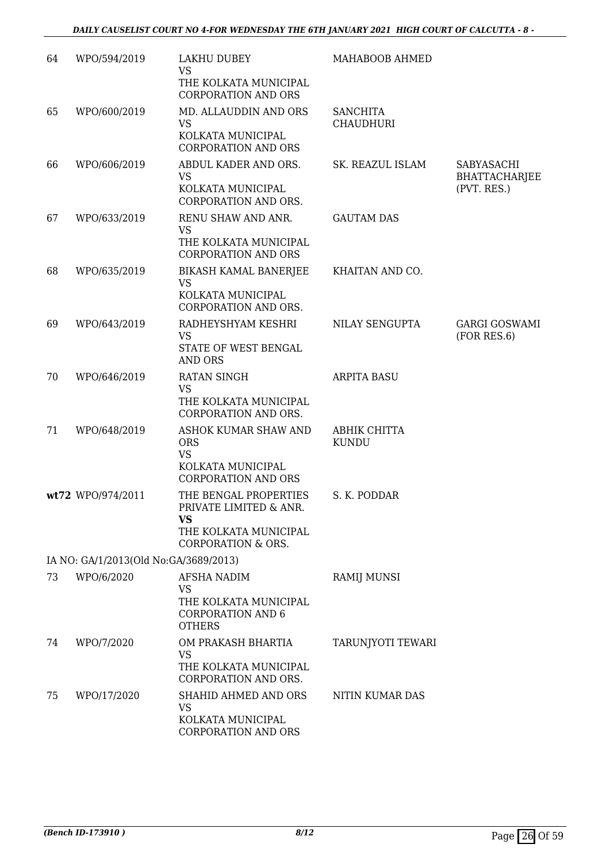| 64 | WPO/594/2019                          | LAKHU DUBEY<br><b>VS</b><br>THE KOLKATA MUNICIPAL<br><b>CORPORATION AND ORS</b>                                 | MAHABOOB AHMED                      |                                            |
|----|---------------------------------------|-----------------------------------------------------------------------------------------------------------------|-------------------------------------|--------------------------------------------|
| 65 | WPO/600/2019                          | MD. ALLAUDDIN AND ORS<br><b>VS</b><br>KOLKATA MUNICIPAL<br><b>CORPORATION AND ORS</b>                           | <b>SANCHITA</b><br><b>CHAUDHURI</b> |                                            |
| 66 | WPO/606/2019                          | ABDUL KADER AND ORS.<br><b>VS</b><br>KOLKATA MUNICIPAL<br>CORPORATION AND ORS.                                  | SK. REAZUL ISLAM                    | SABYASACHI<br>BHATTACHARJEE<br>(PVT. RES.) |
| 67 | WPO/633/2019                          | RENU SHAW AND ANR.<br><b>VS</b><br>THE KOLKATA MUNICIPAL<br><b>CORPORATION AND ORS</b>                          | <b>GAUTAM DAS</b>                   |                                            |
| 68 | WPO/635/2019                          | BIKASH KAMAL BANERJEE<br><b>VS</b><br>KOLKATA MUNICIPAL<br>CORPORATION AND ORS.                                 | KHAITAN AND CO.                     |                                            |
| 69 | WPO/643/2019                          | RADHEYSHYAM KESHRI<br><b>VS</b><br>STATE OF WEST BENGAL<br><b>AND ORS</b>                                       | <b>NILAY SENGUPTA</b>               | <b>GARGI GOSWAMI</b><br>(FOR RES.6)        |
| 70 | WPO/646/2019                          | <b>RATAN SINGH</b><br><b>VS</b><br>THE KOLKATA MUNICIPAL<br>CORPORATION AND ORS.                                | <b>ARPITA BASU</b>                  |                                            |
| 71 | WPO/648/2019                          | ASHOK KUMAR SHAW AND<br><b>ORS</b><br><b>VS</b><br>KOLKATA MUNICIPAL<br><b>CORPORATION AND ORS</b>              | ABHIK CHITTA<br><b>KUNDU</b>        |                                            |
|    | wt72 WPO/974/2011                     | THE BENGAL PROPERTIES<br>PRIVATE LIMITED & ANR.<br>VS<br>THE KOLKATA MUNICIPAL<br><b>CORPORATION &amp; ORS.</b> | S. K. PODDAR                        |                                            |
|    | IA NO: GA/1/2013(Old No:GA/3689/2013) |                                                                                                                 |                                     |                                            |
| 73 | WPO/6/2020                            | AFSHA NADIM<br>VS<br>THE KOLKATA MUNICIPAL<br><b>CORPORATION AND 6</b><br><b>OTHERS</b>                         | RAMIJ MUNSI                         |                                            |
| 74 | WPO/7/2020                            | OM PRAKASH BHARTIA<br>VS<br>THE KOLKATA MUNICIPAL<br>CORPORATION AND ORS.                                       | TARUNJYOTI TEWARI                   |                                            |
| 75 | WPO/17/2020                           | SHAHID AHMED AND ORS<br><b>VS</b><br>KOLKATA MUNICIPAL<br>CORPORATION AND ORS                                   | NITIN KUMAR DAS                     |                                            |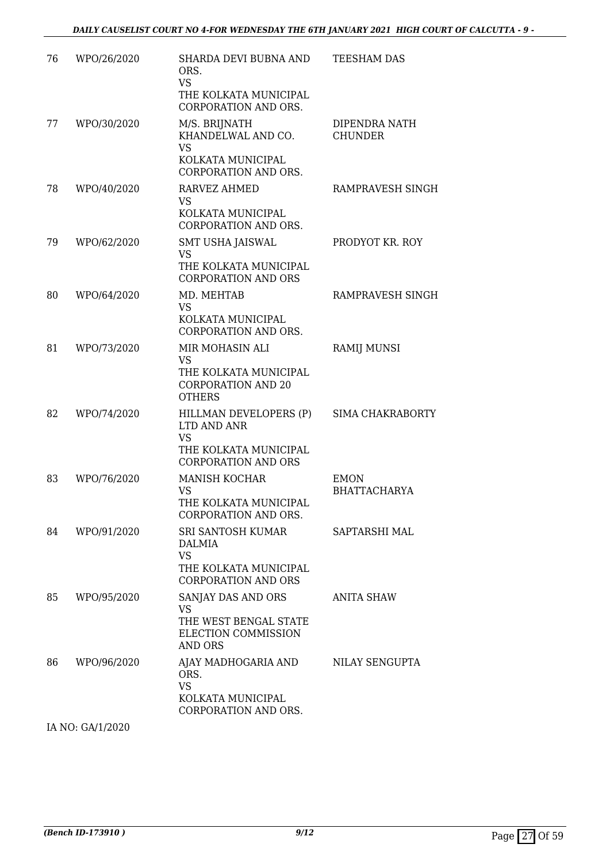| 76 | WPO/26/2020 | SHARDA DEVI BUBNA AND<br>ORS.<br><b>VS</b><br>THE KOLKATA MUNICIPAL<br>CORPORATION AND ORS.               | <b>TEESHAM DAS</b>                 |
|----|-------------|-----------------------------------------------------------------------------------------------------------|------------------------------------|
| 77 | WPO/30/2020 | M/S. BRIJNATH<br>KHANDELWAL AND CO.<br><b>VS</b><br>KOLKATA MUNICIPAL<br>CORPORATION AND ORS.             | DIPENDRA NATH<br><b>CHUNDER</b>    |
| 78 | WPO/40/2020 | <b>RARVEZ AHMED</b><br><b>VS</b><br>KOLKATA MUNICIPAL<br>CORPORATION AND ORS.                             | RAMPRAVESH SINGH                   |
| 79 | WPO/62/2020 | SMT USHA JAISWAL<br><b>VS</b><br>THE KOLKATA MUNICIPAL<br><b>CORPORATION AND ORS</b>                      | PRODYOT KR. ROY                    |
| 80 | WPO/64/2020 | MD. MEHTAB<br><b>VS</b><br>KOLKATA MUNICIPAL<br>CORPORATION AND ORS.                                      | RAMPRAVESH SINGH                   |
| 81 | WPO/73/2020 | MIR MOHASIN ALI<br><b>VS</b><br>THE KOLKATA MUNICIPAL<br><b>CORPORATION AND 20</b><br><b>OTHERS</b>       | <b>RAMIJ MUNSI</b>                 |
| 82 | WPO/74/2020 | HILLMAN DEVELOPERS (P)<br>LTD AND ANR<br><b>VS</b><br>THE KOLKATA MUNICIPAL<br><b>CORPORATION AND ORS</b> | SIMA CHAKRABORTY                   |
| 83 | WPO/76/2020 | <b>MANISH KOCHAR</b><br><b>VS</b><br>THE KOLKATA MUNICIPAL<br>CORPORATION AND ORS.                        | <b>EMON</b><br><b>BHATTACHARYA</b> |
| 84 | WPO/91/2020 | SRI SANTOSH KUMAR<br>DALMIA<br><b>VS</b><br>THE KOLKATA MUNICIPAL<br><b>CORPORATION AND ORS</b>           | SAPTARSHI MAL                      |
| 85 | WPO/95/2020 | SANJAY DAS AND ORS<br><b>VS</b><br>THE WEST BENGAL STATE<br>ELECTION COMMISSION<br>AND ORS                | <b>ANITA SHAW</b>                  |
| 86 | WPO/96/2020 | AJAY MADHOGARIA AND<br>ORS.<br><b>VS</b><br>KOLKATA MUNICIPAL<br>CORPORATION AND ORS.                     | NILAY SENGUPTA                     |

IA NO: GA/1/2020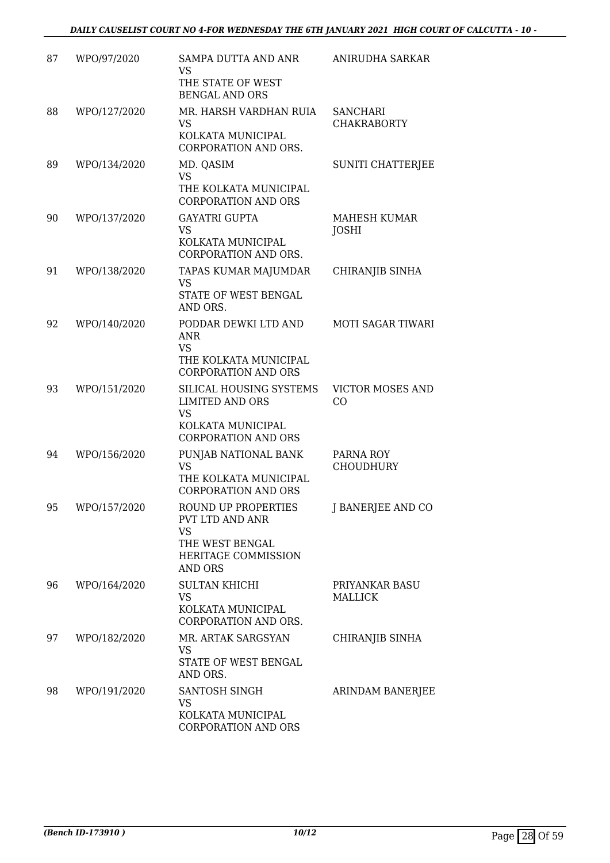| 87 | WPO/97/2020  | SAMPA DUTTA AND ANR                                                                                               | ANIRUDHA SARKAR                       |
|----|--------------|-------------------------------------------------------------------------------------------------------------------|---------------------------------------|
|    |              | <b>VS</b><br>THE STATE OF WEST<br><b>BENGAL AND ORS</b>                                                           |                                       |
| 88 | WPO/127/2020 | MR. HARSH VARDHAN RUIA<br><b>VS</b><br>KOLKATA MUNICIPAL<br>CORPORATION AND ORS.                                  | <b>SANCHARI</b><br><b>CHAKRABORTY</b> |
| 89 | WPO/134/2020 | MD. QASIM<br><b>VS</b><br>THE KOLKATA MUNICIPAL<br><b>CORPORATION AND ORS</b>                                     | <b>SUNITI CHATTERJEE</b>              |
| 90 | WPO/137/2020 | <b>GAYATRI GUPTA</b><br><b>VS</b><br>KOLKATA MUNICIPAL<br><b>CORPORATION AND ORS.</b>                             | MAHESH KUMAR<br><b>JOSHI</b>          |
| 91 | WPO/138/2020 | TAPAS KUMAR MAJUMDAR<br><b>VS</b><br><b>STATE OF WEST BENGAL</b><br>AND ORS.                                      | CHIRANJIB SINHA                       |
| 92 | WPO/140/2020 | PODDAR DEWKI LTD AND<br><b>ANR</b><br><b>VS</b><br>THE KOLKATA MUNICIPAL<br><b>CORPORATION AND ORS</b>            | <b>MOTI SAGAR TIWARI</b>              |
| 93 | WPO/151/2020 | SILICAL HOUSING SYSTEMS<br><b>LIMITED AND ORS</b><br><b>VS</b><br>KOLKATA MUNICIPAL<br><b>CORPORATION AND ORS</b> | <b>VICTOR MOSES AND</b><br>CO         |
| 94 | WPO/156/2020 | PUNJAB NATIONAL BANK<br><b>VS</b><br>THE KOLKATA MUNICIPAL<br><b>CORPORATION AND ORS</b>                          | PARNA ROY<br><b>CHOUDHURY</b>         |
| 95 | WPO/157/2020 | ROUND UP PROPERTIES<br>PVT LTD AND ANR<br><b>VS</b><br>THE WEST BENGAL<br>HERITAGE COMMISSION<br>AND ORS          | J BANERJEE AND CO                     |
| 96 | WPO/164/2020 | <b>SULTAN KHICHI</b><br><b>VS</b><br>KOLKATA MUNICIPAL<br><b>CORPORATION AND ORS.</b>                             | PRIYANKAR BASU<br><b>MALLICK</b>      |
| 97 | WPO/182/2020 | MR. ARTAK SARGSYAN<br><b>VS</b><br>STATE OF WEST BENGAL<br>AND ORS.                                               | CHIRANJIB SINHA                       |
| 98 | WPO/191/2020 | SANTOSH SINGH<br><b>VS</b><br>KOLKATA MUNICIPAL<br>CORPORATION AND ORS                                            | ARINDAM BANERJEE                      |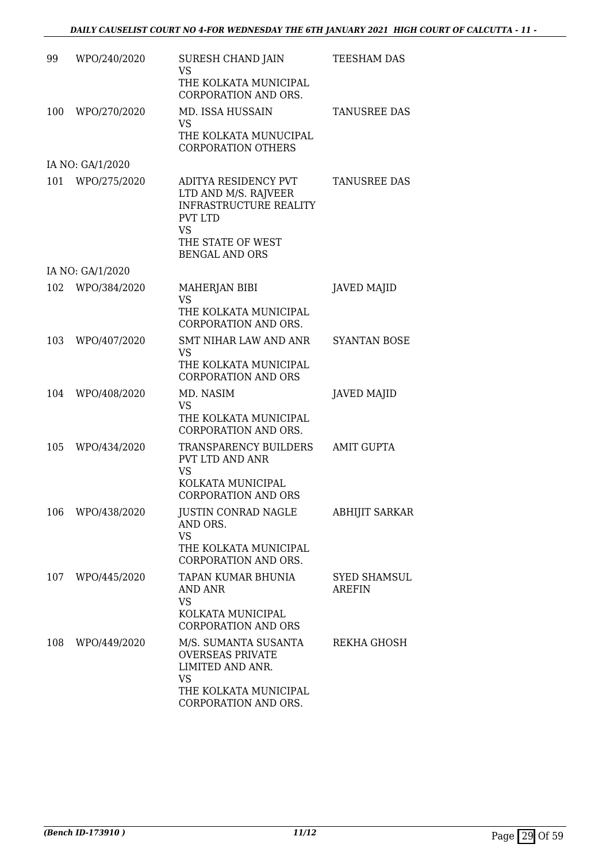| 99  | WPO/240/2020     | SURESH CHAND JAIN<br><b>VS</b>                                                                                                                      | TEESHAM DAS                          |
|-----|------------------|-----------------------------------------------------------------------------------------------------------------------------------------------------|--------------------------------------|
|     |                  | THE KOLKATA MUNICIPAL<br>CORPORATION AND ORS.                                                                                                       |                                      |
| 100 | WPO/270/2020     | MD. ISSA HUSSAIN<br><b>VS</b>                                                                                                                       | <b>TANUSREE DAS</b>                  |
|     |                  | THE KOLKATA MUNUCIPAL<br><b>CORPORATION OTHERS</b>                                                                                                  |                                      |
|     | IA NO: GA/1/2020 |                                                                                                                                                     |                                      |
| 101 | WPO/275/2020     | ADITYA RESIDENCY PVT<br>LTD AND M/S. RAJVEER<br><b>INFRASTRUCTURE REALITY</b><br><b>PVT LTD</b><br>VS<br>THE STATE OF WEST<br><b>BENGAL AND ORS</b> | <b>TANUSREE DAS</b>                  |
|     | IA NO: GA/1/2020 |                                                                                                                                                     |                                      |
| 102 | WPO/384/2020     | MAHERJAN BIBI<br><b>VS</b><br>THE KOLKATA MUNICIPAL<br><b>CORPORATION AND ORS.</b>                                                                  | <b>JAVED MAJID</b>                   |
| 103 | WPO/407/2020     | SMT NIHAR LAW AND ANR<br><b>VS</b>                                                                                                                  | <b>SYANTAN BOSE</b>                  |
|     |                  | THE KOLKATA MUNICIPAL<br><b>CORPORATION AND ORS</b>                                                                                                 |                                      |
| 104 | WPO/408/2020     | MD. NASIM<br><b>VS</b>                                                                                                                              | <b>JAVED MAJID</b>                   |
|     |                  | THE KOLKATA MUNICIPAL<br>CORPORATION AND ORS.                                                                                                       |                                      |
| 105 | WPO/434/2020     | TRANSPARENCY BUILDERS<br>PVT LTD AND ANR<br>VS                                                                                                      | <b>AMIT GUPTA</b>                    |
|     |                  | KOLKATA MUNICIPAL<br><b>CORPORATION AND ORS</b>                                                                                                     |                                      |
| 106 | WPO/438/2020     | <b>JUSTIN CONRAD NAGLE</b><br>AND ORS.<br><b>VS</b><br>THE KOLKATA MUNICIPAL                                                                        | <b>ABHIJIT SARKAR</b>                |
|     |                  | CORPORATION AND ORS.                                                                                                                                |                                      |
|     | 107 WPO/445/2020 | TAPAN KUMAR BHUNIA<br>AND ANR<br>VS<br>KOLKATA MUNICIPAL                                                                                            | <b>SYED SHAMSUL</b><br><b>AREFIN</b> |
|     |                  | CORPORATION AND ORS                                                                                                                                 |                                      |
| 108 | WPO/449/2020     | M/S. SUMANTA SUSANTA<br><b>OVERSEAS PRIVATE</b><br>LIMITED AND ANR.<br><b>VS</b>                                                                    | REKHA GHOSH                          |
|     |                  | THE KOLKATA MUNICIPAL<br>CORPORATION AND ORS.                                                                                                       |                                      |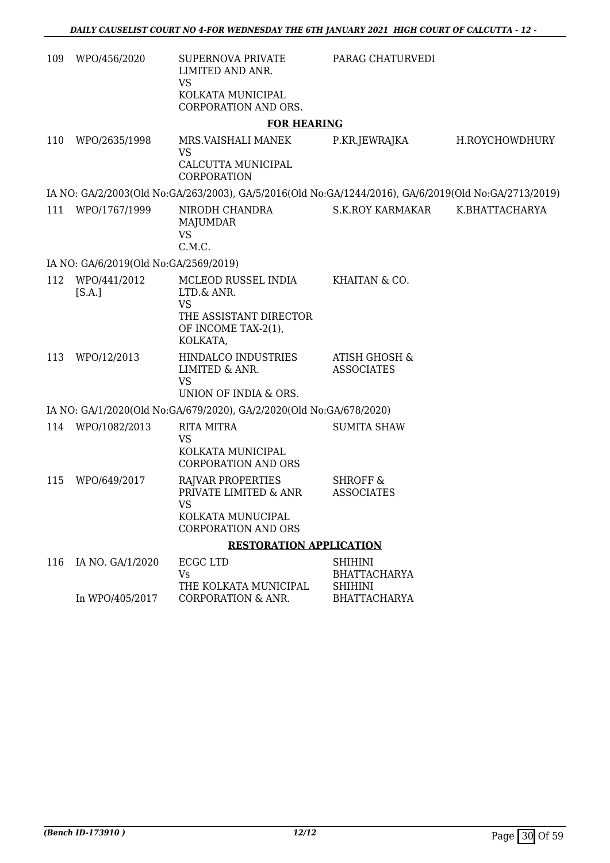| 109 | WPO/456/2020                          | <b>SUPERNOVA PRIVATE</b><br>LIMITED AND ANR.<br><b>VS</b>                                            | PARAG CHATURVEDI                         |                |
|-----|---------------------------------------|------------------------------------------------------------------------------------------------------|------------------------------------------|----------------|
|     |                                       | KOLKATA MUNICIPAL<br>CORPORATION AND ORS.                                                            |                                          |                |
|     |                                       | <b>FOR HEARING</b>                                                                                   |                                          |                |
| 110 | WPO/2635/1998                         | MRS.VAISHALI MANEK<br><b>VS</b><br>CALCUTTA MUNICIPAL<br>CORPORATION                                 | P.KR.JEWRAJKA                            | H.ROYCHOWDHURY |
|     |                                       | IA NO: GA/2/2003(Old No:GA/263/2003), GA/5/2016(Old No:GA/1244/2016), GA/6/2019(Old No:GA/2713/2019) |                                          |                |
| 111 | WPO/1767/1999                         | NIRODH CHANDRA<br>MAJUMDAR<br><b>VS</b><br>C.M.C.                                                    | <b>S.K.ROY KARMAKAR</b>                  | K.BHATTACHARYA |
|     | IA NO: GA/6/2019(Old No:GA/2569/2019) |                                                                                                      |                                          |                |
| 112 | WPO/441/2012<br>[S.A.]                | MCLEOD RUSSEL INDIA<br>LTD.& ANR.<br><b>VS</b>                                                       | KHAITAN & CO.                            |                |
|     |                                       | THE ASSISTANT DIRECTOR<br>OF INCOME TAX-2(1),<br>KOLKATA,                                            |                                          |                |
| 113 | WPO/12/2013                           | HINDALCO INDUSTRIES<br>LIMITED & ANR.<br><b>VS</b><br>UNION OF INDIA & ORS.                          | ATISH GHOSH &<br><b>ASSOCIATES</b>       |                |
|     |                                       | IA NO: GA/1/2020(Old No:GA/679/2020), GA/2/2020(Old No:GA/678/2020)                                  |                                          |                |
|     | 114 WPO/1082/2013                     | <b>RITA MITRA</b><br><b>VS</b>                                                                       | <b>SUMITA SHAW</b>                       |                |
|     |                                       | KOLKATA MUNICIPAL<br><b>CORPORATION AND ORS</b>                                                      |                                          |                |
| 115 | WPO/649/2017                          | RAJVAR PROPERTIES<br>PRIVATE LIMITED & ANR<br><b>VS</b>                                              | <b>SHROFF &amp;</b><br><b>ASSOCIATES</b> |                |
|     |                                       | KOLKATA MUNUCIPAL<br><b>CORPORATION AND ORS</b>                                                      |                                          |                |
|     |                                       | <b>RESTORATION APPLICATION</b>                                                                       |                                          |                |
| 116 | IA NO. GA/1/2020                      | <b>ECGC LTD</b>                                                                                      | <b>SHIHINI</b>                           |                |
|     |                                       | <b>Vs</b><br>THE KOLKATA MUNICIPAL                                                                   | <b>BHATTACHARYA</b><br><b>SHIHINI</b>    |                |
|     | In WPO/405/2017                       | <b>CORPORATION &amp; ANR.</b>                                                                        | <b>BHATTACHARYA</b>                      |                |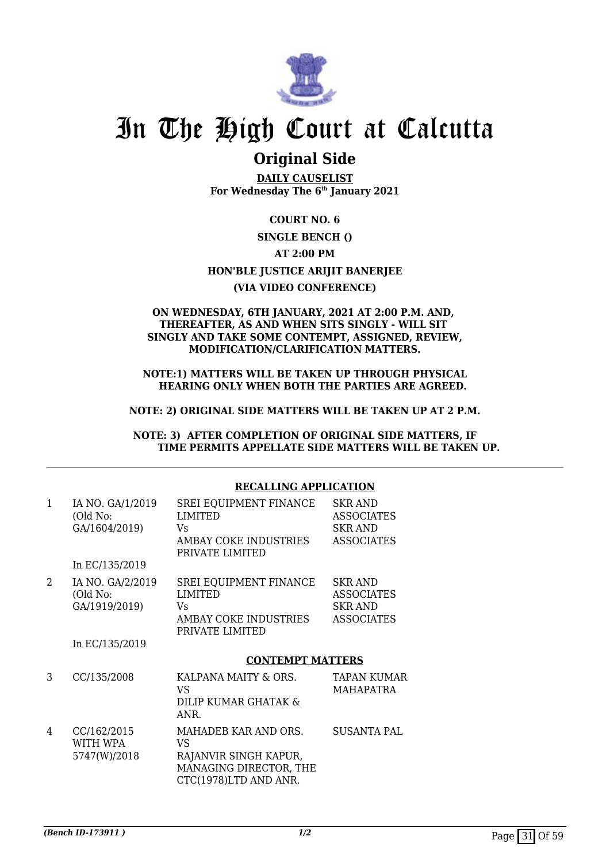

### **Original Side**

**DAILY CAUSELIST For Wednesday The 6th January 2021**

**COURT NO. 6**

### **SINGLE BENCH ()**

**AT 2:00 PM**

**HON'BLE JUSTICE ARIJIT BANERJEE**

### **(VIA VIDEO CONFERENCE)**

### **ON WEDNESDAY, 6TH JANUARY, 2021 AT 2:00 P.M. AND, THEREAFTER, AS AND WHEN SITS SINGLY - WILL SIT SINGLY AND TAKE SOME CONTEMPT, ASSIGNED, REVIEW, MODIFICATION/CLARIFICATION MATTERS.**

**NOTE:1) MATTERS WILL BE TAKEN UP THROUGH PHYSICAL HEARING ONLY WHEN BOTH THE PARTIES ARE AGREED.**

### **NOTE: 2) ORIGINAL SIDE MATTERS WILL BE TAKEN UP AT 2 P.M.**

**NOTE: 3) AFTER COMPLETION OF ORIGINAL SIDE MATTERS, IF TIME PERMITS APPELLATE SIDE MATTERS WILL BE TAKEN UP.**

### **RECALLING APPLICATION**

| 1 | IA NO. GA/1/2019<br>(Old No:<br>GA/1604/2019)<br>In EC/135/2019 | SREI EQUIPMENT FINANCE<br><b>LIMITED</b><br>Vs<br>AMBAY COKE INDUSTRIES<br>PRIVATE LIMITED             | <b>SKR AND</b><br><b>ASSOCIATES</b><br><b>SKR AND</b><br><b>ASSOCIATES</b> |
|---|-----------------------------------------------------------------|--------------------------------------------------------------------------------------------------------|----------------------------------------------------------------------------|
| 2 | IA NO. GA/2/2019<br>(Old No:<br>GA/1919/2019)<br>In EC/135/2019 | <b>SREI EQUIPMENT FINANCE</b><br><b>LIMITED</b><br>Vs<br>AMBAY COKE INDUSTRIES<br>PRIVATE LIMITED      | <b>SKR AND</b><br><b>ASSOCIATES</b><br><b>SKR AND</b><br><b>ASSOCIATES</b> |
|   |                                                                 | <b>CONTEMPT MATTERS</b>                                                                                |                                                                            |
| 3 | CC/135/2008                                                     | KALPANA MAITY & ORS.<br>VS<br>DILIP KUMAR GHATAK &<br>ANR.                                             | <b>TAPAN KUMAR</b><br><b>MAHAPATRA</b>                                     |
| 4 | CC/162/2015<br>WITH WPA<br>5747(W)/2018                         | MAHADEB KAR AND ORS.<br>VS<br>RAJANVIR SINGH KAPUR,<br>MANAGING DIRECTOR, THE<br>CTC(1978)LTD AND ANR. | <b>SUSANTA PAL</b>                                                         |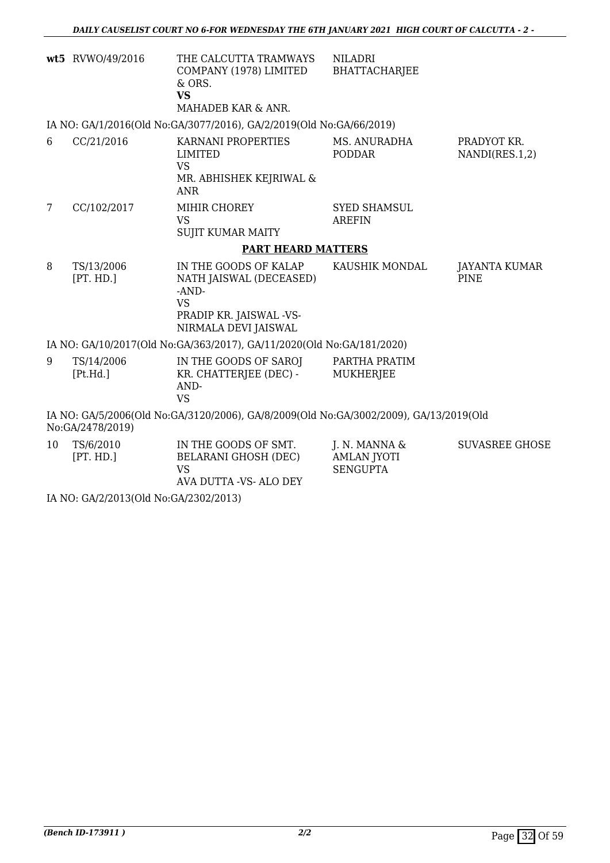|   | wt5 RVWO/49/2016        | THE CALCUTTA TRAMWAYS<br>COMPANY (1978) LIMITED<br>& ORS.<br><b>VS</b><br>MAHADEB KAR & ANR.                                | <b>NILADRI</b><br>BHATTACHARJEE      |                                     |
|---|-------------------------|-----------------------------------------------------------------------------------------------------------------------------|--------------------------------------|-------------------------------------|
|   |                         | IA NO: GA/1/2016(Old No:GA/3077/2016), GA/2/2019(Old No:GA/66/2019)                                                         |                                      |                                     |
| 6 | CC/21/2016              | KARNANI PROPERTIES<br>LIMITED<br><b>VS</b><br>MR. ABHISHEK KEJRIWAL &<br><b>ANR</b>                                         | MS. ANURADHA<br><b>PODDAR</b>        | PRADYOT KR.<br>NANDI(RES.1,2)       |
| 7 | CC/102/2017             | MIHIR CHOREY<br><b>VS</b><br><b>SUJIT KUMAR MAITY</b>                                                                       | <b>SYED SHAMSUL</b><br><b>AREFIN</b> |                                     |
|   |                         | <b>PART HEARD MATTERS</b>                                                                                                   |                                      |                                     |
| 8 | TS/13/2006<br>[PT. HD.] | IN THE GOODS OF KALAP<br>NATH JAISWAL (DECEASED)<br>$-AND-$<br><b>VS</b><br>PRADIP KR. JAISWAL -VS-<br>NIRMALA DEVI JAISWAL | KAUSHIK MONDAL                       | <b>JAYANTA KUMAR</b><br><b>PINE</b> |
|   |                         | IA NO: GA/10/2017(Old No:GA/363/2017), GA/11/2020(Old No:GA/181/2020)                                                       |                                      |                                     |
| 9 | TS/14/2006<br>[Pt.Hd.]  | IN THE GOODS OF SAROJ<br>KR. CHATTERJEE (DEC) -<br>AND-<br><b>VS</b>                                                        | PARTHA PRATIM<br>MUKHERJEE           |                                     |
|   |                         | <u>IA NO: CA/5/2006(Old No:CA/3120/2006). CA/8/2009(Old No:CA/3002/2009). CA/13/2019(Old I</u>                              |                                      |                                     |

IA NO: GA/5/2006(Old No:GA/3120/2006), GA/8/2009(Old No:GA/3002/2009), GA/13/2019(Old No:GA/2478/2019)

| 10 | TS/6/2010<br>[PT. HD.] | IN THE GOODS OF SMT.<br>BELARANI GHOSH (DEC)<br>VS<br>AVA DUTTA -VS- ALO DEY | J. N. MANNA &<br>AMLAN JYOTI<br>SENGUPTA | <b>SUVASREE GHOSE</b> |
|----|------------------------|------------------------------------------------------------------------------|------------------------------------------|-----------------------|
|    |                        |                                                                              |                                          |                       |

IA NO: GA/2/2013(Old No:GA/2302/2013)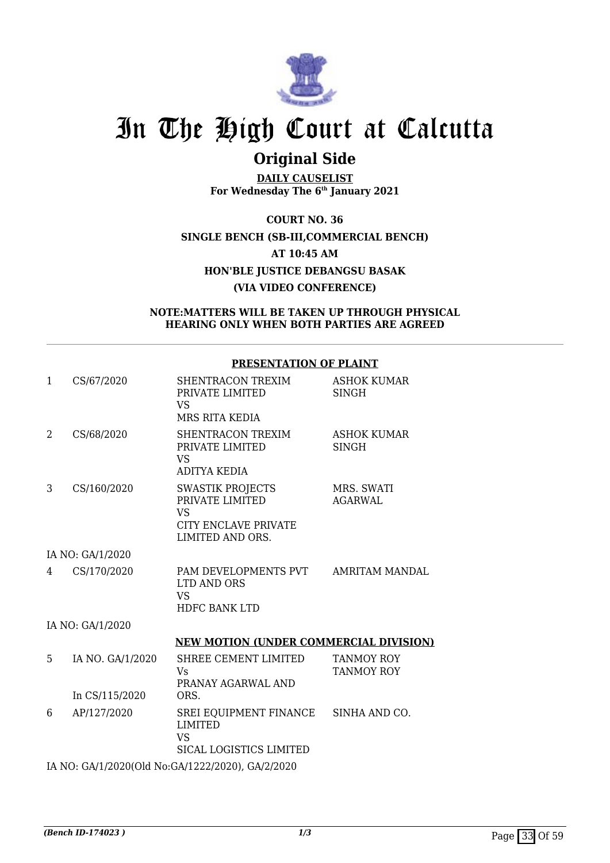

## **Original Side**

**DAILY CAUSELIST For Wednesday The 6th January 2021**

**COURT NO. 36 SINGLE BENCH (SB-III,COMMERCIAL BENCH) AT 10:45 AM HON'BLE JUSTICE DEBANGSU BASAK (VIA VIDEO CONFERENCE)**

### **NOTE:MATTERS WILL BE TAKEN UP THROUGH PHYSICAL HEARING ONLY WHEN BOTH PARTIES ARE AGREED**

### **PRESENTATION OF PLAINT**

| $\mathbf{1}$ | CS/67/2020       | SHENTRACON TREXIM<br>PRIVATE LIMITED<br>VS.                                                         | <b>ASHOK KUMAR</b><br><b>SINGH</b>     |
|--------------|------------------|-----------------------------------------------------------------------------------------------------|----------------------------------------|
|              |                  | MRS RITA KEDIA                                                                                      |                                        |
| 2            | CS/68/2020       | SHENTRACON TREXIM<br>PRIVATE LIMITED<br><b>VS</b><br><b>ADITYA KEDIA</b>                            | <b>ASHOK KUMAR</b><br><b>SINGH</b>     |
| 3            | CS/160/2020      | <b>SWASTIK PROJECTS</b><br>PRIVATE LIMITED<br><b>VS</b><br>CITY ENCLAVE PRIVATE<br>LIMITED AND ORS. | MRS. SWATI<br><b>AGARWAL</b>           |
|              | IA NO: GA/1/2020 |                                                                                                     |                                        |
| 4            | CS/170/2020      | PAM DEVELOPMENTS PVT AMRITAM MANDAL<br>LTD AND ORS<br><b>VS</b><br><b>HDFC BANK LTD</b>             |                                        |
|              | IA NO: GA/1/2020 |                                                                                                     |                                        |
|              |                  | <b>NEW MOTION (UNDER COMMERCIAL DIVISION)</b>                                                       |                                        |
| 5            | IA NO. GA/1/2020 | SHREE CEMENT LIMITED<br>Vs<br>PRANAY AGARWAL AND                                                    | <b>TANMOY ROY</b><br><b>TANMOY ROY</b> |
|              | In CS/115/2020   | ORS.                                                                                                |                                        |
| 6            | AP/127/2020      | SREI EQUIPMENT FINANCE SINHA AND CO.<br><b>LIMITED</b><br><b>VS</b><br>SICAL LOGISTICS LIMITED      |                                        |
|              |                  | IA NO: GA/1/2020(Old No:GA/1222/2020), GA/2/2020                                                    |                                        |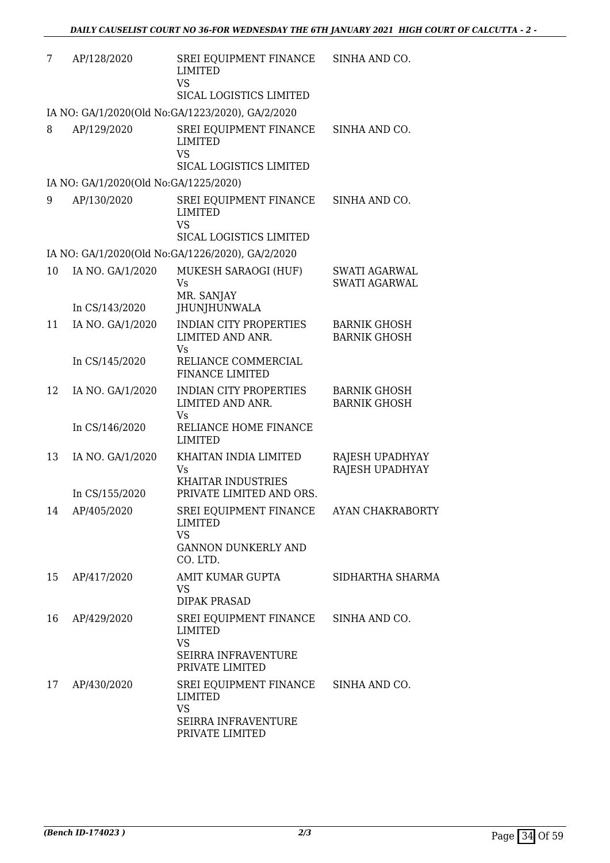| 7  | AP/128/2020                           | SREI EQUIPMENT FINANCE<br><b>LIMITED</b><br><b>VS</b><br>SICAL LOGISTICS LIMITED                | SINHA AND CO.                                |
|----|---------------------------------------|-------------------------------------------------------------------------------------------------|----------------------------------------------|
|    |                                       | IA NO: GA/1/2020(Old No:GA/1223/2020), GA/2/2020                                                |                                              |
| 8  | AP/129/2020                           | SREI EQUIPMENT FINANCE<br><b>LIMITED</b><br><b>VS</b><br>SICAL LOGISTICS LIMITED                | SINHA AND CO.                                |
|    | IA NO: GA/1/2020(Old No:GA/1225/2020) |                                                                                                 |                                              |
| 9  | AP/130/2020                           | SREI EQUIPMENT FINANCE<br><b>LIMITED</b><br><b>VS</b><br>SICAL LOGISTICS LIMITED                | SINHA AND CO.                                |
|    |                                       | IA NO: GA/1/2020(Old No:GA/1226/2020), GA/2/2020                                                |                                              |
| 10 | IA NO. GA/1/2020<br>In CS/143/2020    | MUKESH SARAOGI (HUF)<br>Vs<br>MR. SANJAY<br>JHUNJHUNWALA                                        | <b>SWATI AGARWAL</b><br><b>SWATI AGARWAL</b> |
| 11 | IA NO. GA/1/2020                      | <b>INDIAN CITY PROPERTIES</b><br>LIMITED AND ANR.<br>Vs                                         | <b>BARNIK GHOSH</b><br><b>BARNIK GHOSH</b>   |
|    | In CS/145/2020                        | RELIANCE COMMERCIAL<br><b>FINANCE LIMITED</b>                                                   |                                              |
| 12 | IA NO. GA/1/2020                      | <b>INDIAN CITY PROPERTIES</b><br>LIMITED AND ANR.<br><b>Vs</b>                                  | <b>BARNIK GHOSH</b><br><b>BARNIK GHOSH</b>   |
|    | In CS/146/2020                        | RELIANCE HOME FINANCE<br><b>LIMITED</b>                                                         |                                              |
| 13 | IA NO. GA/1/2020                      | KHAITAN INDIA LIMITED<br><b>Vs</b><br><b>KHAITAR INDUSTRIES</b>                                 | RAJESH UPADHYAY<br>RAJESH UPADHYAY           |
|    | In CS/155/2020                        | PRIVATE LIMITED AND ORS.                                                                        |                                              |
| 14 | AP/405/2020                           | SREI EQUIPMENT FINANCE AYAN CHAKRABORTY<br>LIMITED<br><b>VS</b>                                 |                                              |
|    |                                       | <b>GANNON DUNKERLY AND</b><br>CO. LTD.                                                          |                                              |
| 15 | AP/417/2020                           | AMIT KUMAR GUPTA<br><b>VS</b><br><b>DIPAK PRASAD</b>                                            | SIDHARTHA SHARMA                             |
| 16 | AP/429/2020                           | SREI EQUIPMENT FINANCE<br>LIMITED<br><b>VS</b><br>SEIRRA INFRAVENTURE<br>PRIVATE LIMITED        | SINHA AND CO.                                |
| 17 | AP/430/2020                           | SREI EQUIPMENT FINANCE<br>LIMITED<br><b>VS</b><br><b>SEIRRA INFRAVENTURE</b><br>PRIVATE LIMITED | SINHA AND CO.                                |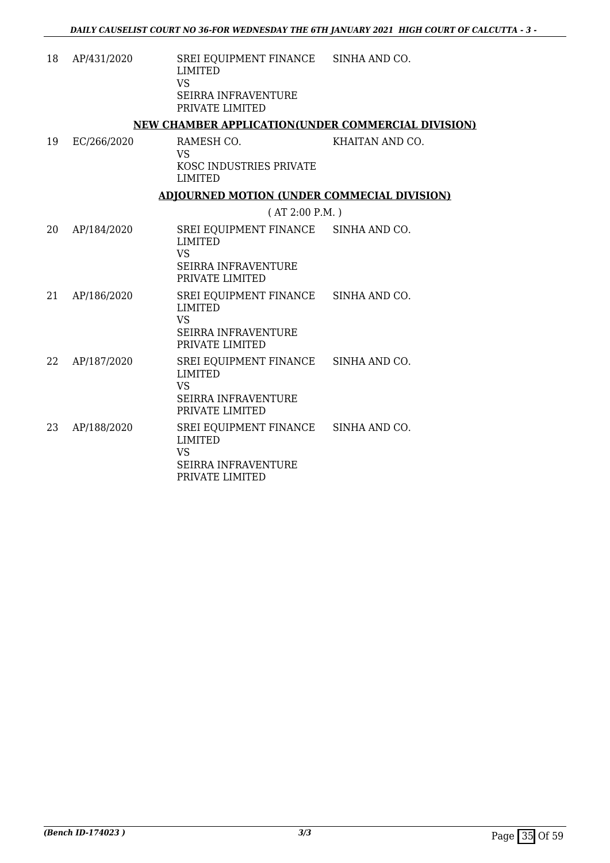| 18 | AP/431/2020 | SREI EQUIPMENT FINANCE<br><b>LIMITED</b><br><b>VS</b><br><b>SEIRRA INFRAVENTURE</b><br>PRIVATE LIMITED               | SINHA AND CO.   |
|----|-------------|----------------------------------------------------------------------------------------------------------------------|-----------------|
|    |             | NEW CHAMBER APPLICATION(UNDER COMMERCIAL DIVISION)                                                                   |                 |
| 19 | EC/266/2020 | RAMESH CO.<br><b>VS</b><br>KOSC INDUSTRIES PRIVATE<br><b>LIMITED</b>                                                 | KHAITAN AND CO. |
|    |             | <b>ADJOURNED MOTION (UNDER COMMECIAL DIVISION)</b>                                                                   |                 |
|    |             | (AT 2:00 P.M.)                                                                                                       |                 |
| 20 | AP/184/2020 | SREI EQUIPMENT FINANCE SINHA AND CO.<br><b>LIMITED</b><br><b>VS</b><br>SEIRRA INFRAVENTURE<br>PRIVATE LIMITED        |                 |
| 21 | AP/186/2020 | SREI EQUIPMENT FINANCE SINHA AND CO.<br><b>LIMITED</b><br><b>VS</b><br><b>SEIRRA INFRAVENTURE</b><br>PRIVATE LIMITED |                 |
| 22 | AP/187/2020 | SREI EQUIPMENT FINANCE<br><b>LIMITED</b><br><b>VS</b><br><b>SEIRRA INFRAVENTURE</b><br>PRIVATE LIMITED               | SINHA AND CO.   |
| 23 | AP/188/2020 | SREI EQUIPMENT FINANCE SINHA AND CO.<br><b>LIMITED</b><br><b>VS</b><br><b>SEIRRA INFRAVENTURE</b><br>PRIVATE LIMITED |                 |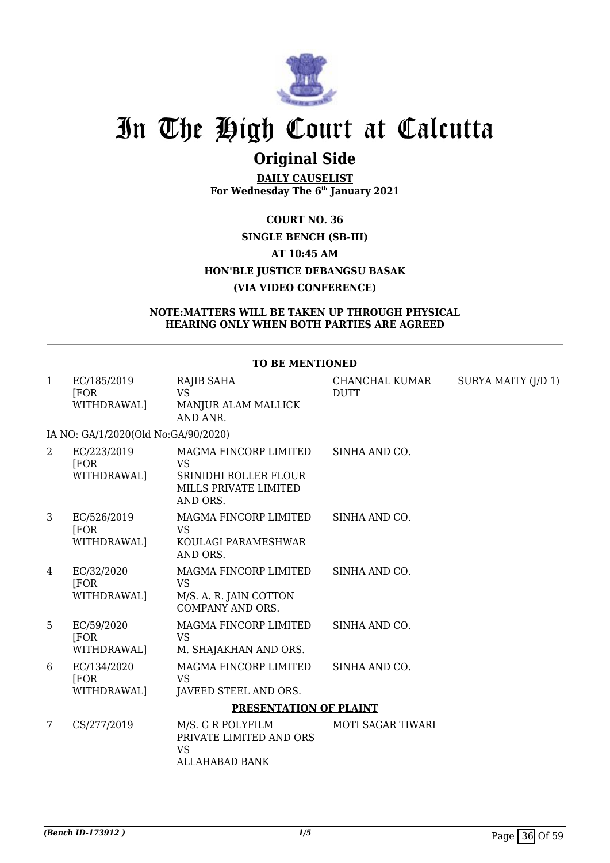

## **Original Side**

**DAILY CAUSELIST For Wednesday The 6th January 2021**

### **COURT NO. 36 SINGLE BENCH (SB-III) AT 10:45 AM HON'BLE JUSTICE DEBANGSU BASAK (VIA VIDEO CONFERENCE)**

### **NOTE:MATTERS WILL BE TAKEN UP THROUGH PHYSICAL HEARING ONLY WHEN BOTH PARTIES ARE AGREED**

### **TO BE MENTIONED**

| $\mathbf{1}$   | EC/185/2019<br>[FOR]<br>WITHDRAWAL]      | RAJIB SAHA<br><b>VS</b><br>MANJUR ALAM MALLICK<br>AND ANR.                                       | CHANCHAL KUMAR<br><b>DUTT</b> | SURYA MAITY (J/D 1) |
|----------------|------------------------------------------|--------------------------------------------------------------------------------------------------|-------------------------------|---------------------|
|                | IA NO: GA/1/2020(Old No:GA/90/2020)      |                                                                                                  |                               |                     |
| $\overline{2}$ | EC/223/2019<br>[FOR<br>WITHDRAWAL]       | MAGMA FINCORP LIMITED<br><b>VS</b><br>SRINIDHI ROLLER FLOUR<br>MILLS PRIVATE LIMITED<br>AND ORS. | SINHA AND CO.                 |                     |
| 3              | EC/526/2019<br><b>FOR</b><br>WITHDRAWAL] | MAGMA FINCORP LIMITED<br><b>VS</b><br>KOULAGI PARAMESHWAR<br>AND ORS.                            | SINHA AND CO.                 |                     |
| 4              | EC/32/2020<br>[FOR<br>WITHDRAWAL]        | MAGMA FINCORP LIMITED<br><b>VS</b><br>M/S. A. R. JAIN COTTON<br>COMPANY AND ORS.                 | SINHA AND CO.                 |                     |
| 5              | EC/59/2020<br>[FOR<br>WITHDRAWAL]        | MAGMA FINCORP LIMITED<br><b>VS</b><br>M. SHAJAKHAN AND ORS.                                      | SINHA AND CO.                 |                     |
| 6              | EC/134/2020<br>[FOR<br>WITHDRAWAL]       | MAGMA FINCORP LIMITED<br><b>VS</b><br>JAVEED STEEL AND ORS.                                      | SINHA AND CO.                 |                     |
|                |                                          | PRESENTATION OF PLAINT                                                                           |                               |                     |
| $\overline{7}$ | CS/277/2019                              | M/S. G R POLYFILM<br>PRIVATE LIMITED AND ORS<br><b>VS</b><br><b>ALLAHABAD BANK</b>               | <b>MOTI SAGAR TIWARI</b>      |                     |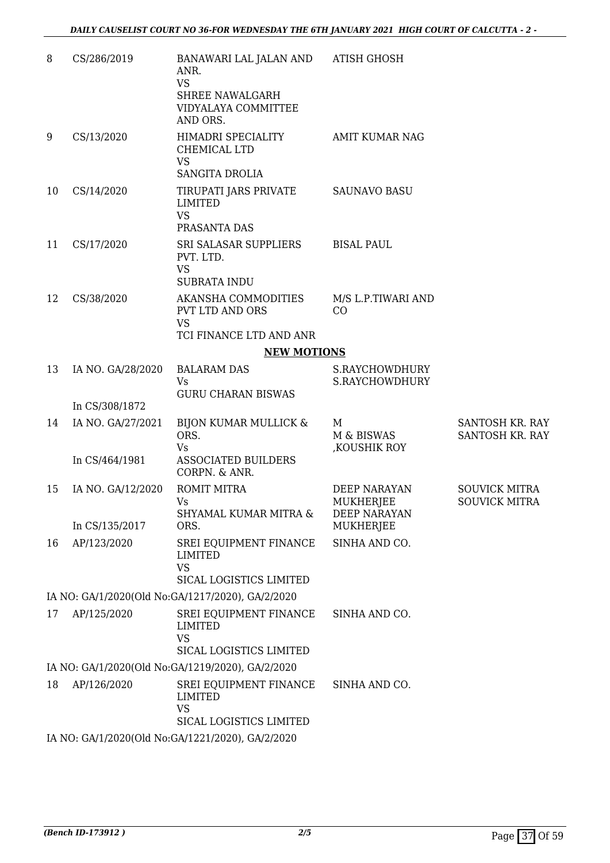| 8  | CS/286/2019       | BANAWARI LAL JALAN AND<br>ANR.<br><b>VS</b><br><b>SHREE NAWALGARH</b><br>VIDYALAYA COMMITTEE<br>AND ORS. | <b>ATISH GHOSH</b>                                      |                                              |
|----|-------------------|----------------------------------------------------------------------------------------------------------|---------------------------------------------------------|----------------------------------------------|
| 9  | CS/13/2020        | HIMADRI SPECIALITY<br>CHEMICAL LTD<br><b>VS</b><br><b>SANGITA DROLIA</b>                                 | <b>AMIT KUMAR NAG</b>                                   |                                              |
| 10 | CS/14/2020        | TIRUPATI JARS PRIVATE<br><b>LIMITED</b><br><b>VS</b><br>PRASANTA DAS                                     | <b>SAUNAVO BASU</b>                                     |                                              |
| 11 | CS/17/2020        | SRI SALASAR SUPPLIERS<br>PVT. LTD.<br><b>VS</b><br><b>SUBRATA INDU</b>                                   | <b>BISAL PAUL</b>                                       |                                              |
| 12 | CS/38/2020        | AKANSHA COMMODITIES<br><b>PVT LTD AND ORS</b><br><b>VS</b>                                               | M/S L.P.TIWARI AND<br>CO                                |                                              |
|    |                   | TCI FINANCE LTD AND ANR<br><b>NEW MOTIONS</b>                                                            |                                                         |                                              |
| 13 | IA NO. GA/28/2020 | <b>BALARAM DAS</b>                                                                                       | S.RAYCHOWDHURY                                          |                                              |
|    |                   | Vs                                                                                                       | S.RAYCHOWDHURY                                          |                                              |
|    | In CS/308/1872    | <b>GURU CHARAN BISWAS</b>                                                                                |                                                         |                                              |
| 14 | IA NO. GA/27/2021 | BIJON KUMAR MULLICK &<br>ORS.<br><b>Vs</b>                                                               | M<br>M & BISWAS<br>, KOUSHIK ROY                        | SANTOSH KR. RAY<br>SANTOSH KR. RAY           |
|    | In CS/464/1981    | <b>ASSOCIATED BUILDERS</b><br>CORPN. & ANR.                                                              |                                                         |                                              |
| 15 | IA NO. GA/12/2020 | <b>ROMIT MITRA</b><br>Vs<br>SHYAMAL KUMAR MITRA &                                                        | <b>DEEP NARAYAN</b><br>MUKHERJEE<br><b>DEEP NARAYAN</b> | <b>SOUVICK MITRA</b><br><b>SOUVICK MITRA</b> |
|    | In CS/135/2017    | ORS.                                                                                                     | MUKHERJEE                                               |                                              |
| 16 | AP/123/2020       | SREI EQUIPMENT FINANCE<br><b>LIMITED</b><br><b>VS</b><br>SICAL LOGISTICS LIMITED                         | SINHA AND CO.                                           |                                              |
|    |                   | IA NO: GA/1/2020(Old No:GA/1217/2020), GA/2/2020                                                         |                                                         |                                              |
| 17 | AP/125/2020       | SREI EQUIPMENT FINANCE<br><b>LIMITED</b><br><b>VS</b><br>SICAL LOGISTICS LIMITED                         | SINHA AND CO.                                           |                                              |
|    |                   | IA NO: GA/1/2020(Old No:GA/1219/2020), GA/2/2020                                                         |                                                         |                                              |
| 18 | AP/126/2020       | SREI EQUIPMENT FINANCE<br><b>LIMITED</b><br><b>VS</b><br>SICAL LOGISTICS LIMITED                         | SINHA AND CO.                                           |                                              |
|    |                   | IA NO: GA/1/2020(Old No:GA/1221/2020), GA/2/2020                                                         |                                                         |                                              |
|    |                   |                                                                                                          |                                                         |                                              |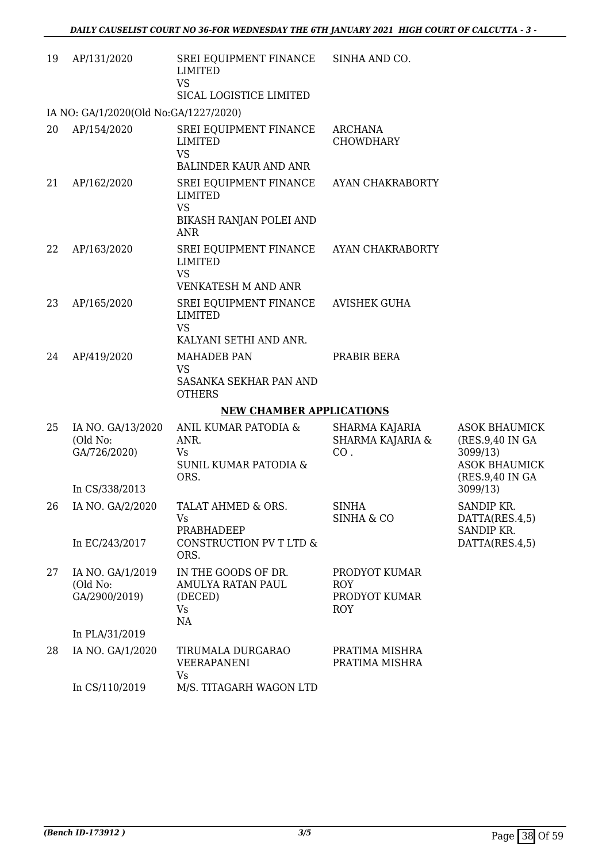| 19 | AP/131/2020                                   | SREI EQUIPMENT FINANCE SINHA AND CO.<br><b>LIMITED</b><br><b>VS</b><br>SICAL LOGISTICE LIMITED |                                                     |                                                                                                 |
|----|-----------------------------------------------|------------------------------------------------------------------------------------------------|-----------------------------------------------------|-------------------------------------------------------------------------------------------------|
|    | IA NO: GA/1/2020(Old No:GA/1227/2020)         |                                                                                                |                                                     |                                                                                                 |
| 20 | AP/154/2020                                   | SREI EQUIPMENT FINANCE<br><b>LIMITED</b><br><b>VS</b>                                          | <b>ARCHANA</b><br><b>CHOWDHARY</b>                  |                                                                                                 |
|    |                                               | <b>BALINDER KAUR AND ANR</b>                                                                   |                                                     |                                                                                                 |
| 21 | AP/162/2020                                   | SREI EQUIPMENT FINANCE<br><b>LIMITED</b><br><b>VS</b><br>BIKASH RANJAN POLEI AND               | AYAN CHAKRABORTY                                    |                                                                                                 |
|    |                                               | ANR                                                                                            |                                                     |                                                                                                 |
| 22 | AP/163/2020                                   | SREI EQUIPMENT FINANCE AYAN CHAKRABORTY<br><b>LIMITED</b><br><b>VS</b>                         |                                                     |                                                                                                 |
|    |                                               | <b>VENKATESH M AND ANR</b>                                                                     |                                                     |                                                                                                 |
| 23 | AP/165/2020                                   | SREI EQUIPMENT FINANCE<br><b>LIMITED</b><br><b>VS</b>                                          | <b>AVISHEK GUHA</b>                                 |                                                                                                 |
|    |                                               | KALYANI SETHI AND ANR.                                                                         |                                                     |                                                                                                 |
| 24 | AP/419/2020                                   | <b>MAHADEB PAN</b><br><b>VS</b>                                                                | PRABIR BERA                                         |                                                                                                 |
|    |                                               | SASANKA SEKHAR PAN AND<br><b>OTHERS</b>                                                        |                                                     |                                                                                                 |
|    |                                               | <b>NEW CHAMBER APPLICATIONS</b>                                                                |                                                     |                                                                                                 |
| 25 | IA NO. GA/13/2020<br>(Old No:<br>GA/726/2020) | ANIL KUMAR PATODIA &<br>ANR.<br>Vs<br><b>SUNIL KUMAR PATODIA &amp;</b><br>ORS.                 | SHARMA KAJARIA<br>SHARMA KAJARIA &<br>CO.           | <b>ASOK BHAUMICK</b><br>(RES.9,40 IN GA)<br>3099/13)<br><b>ASOK BHAUMICK</b><br>(RES.9,40 IN GA |
|    | In CS/338/2013                                |                                                                                                |                                                     | 3099/13)                                                                                        |
| 26 | IA NO. GA/2/2020                              | TALAT AHMED & ORS.<br>Vs<br>PRABHADEEP                                                         | <b>SINHA</b><br><b>SINHA &amp; CO</b>               | SANDIP KR.<br>DATTA(RES.4,5)<br>SANDIP KR.                                                      |
|    | In EC/243/2017                                | CONSTRUCTION PV T LTD &<br>ORS.                                                                |                                                     | DATTA(RES.4,5)                                                                                  |
| 27 | IA NO. GA/1/2019<br>(Old No:<br>GA/2900/2019) | IN THE GOODS OF DR.<br>AMULYA RATAN PAUL<br>(DECED)<br>Vs<br>NA                                | PRODYOT KUMAR<br>ROY<br>PRODYOT KUMAR<br><b>ROY</b> |                                                                                                 |
|    | In PLA/31/2019                                |                                                                                                |                                                     |                                                                                                 |
| 28 | IA NO. GA/1/2020                              | TIRUMALA DURGARAO<br>VEERAPANENI<br><b>Vs</b>                                                  | PRATIMA MISHRA<br>PRATIMA MISHRA                    |                                                                                                 |
|    | In CS/110/2019                                | M/S. TITAGARH WAGON LTD                                                                        |                                                     |                                                                                                 |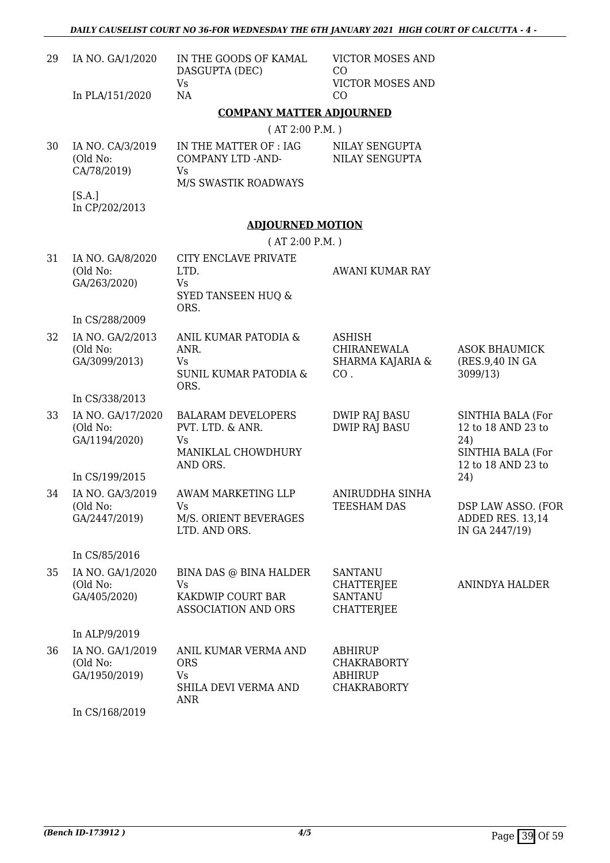| 29 | IA NO. GA/1/2020                               | IN THE GOODS OF KAMAL<br>DASGUPTA (DEC)                                                      | <b>VICTOR MOSES AND</b><br>CO                                                |                                                                                           |
|----|------------------------------------------------|----------------------------------------------------------------------------------------------|------------------------------------------------------------------------------|-------------------------------------------------------------------------------------------|
|    | In PLA/151/2020                                | <b>Vs</b><br>NA                                                                              | <b>VICTOR MOSES AND</b><br>CO                                                |                                                                                           |
|    |                                                | <b>COMPANY MATTER ADJOURNED</b>                                                              |                                                                              |                                                                                           |
|    |                                                | (AT 2:00 P.M. )                                                                              |                                                                              |                                                                                           |
| 30 | IA NO. CA/3/2019<br>(Old No:<br>CA/78/2019)    | IN THE MATTER OF : IAG<br><b>COMPANY LTD -AND-</b><br>Vs                                     | NILAY SENGUPTA<br><b>NILAY SENGUPTA</b>                                      |                                                                                           |
|    | [S.A.]<br>In CP/202/2013                       | M/S SWASTIK ROADWAYS                                                                         |                                                                              |                                                                                           |
|    |                                                | <b>ADJOURNED MOTION</b>                                                                      |                                                                              |                                                                                           |
|    |                                                | (AT 2:00 P.M.)                                                                               |                                                                              |                                                                                           |
| 31 | IA NO. GA/8/2020<br>(Old No:<br>GA/263/2020)   | CITY ENCLAVE PRIVATE<br>LTD.<br><b>Vs</b><br><b>SYED TANSEEN HUQ &amp;</b><br>ORS.           | AWANI KUMAR RAY                                                              |                                                                                           |
|    | In CS/288/2009                                 |                                                                                              |                                                                              |                                                                                           |
| 32 | IA NO. GA/2/2013<br>(Old No:<br>GA/3099/2013)  | ANIL KUMAR PATODIA &<br>ANR.<br>Vs<br><b>SUNIL KUMAR PATODIA &amp;</b><br>ORS.               | <b>ASHISH</b><br><b>CHIRANEWALA</b><br>SHARMA KAJARIA &<br>CO.               | <b>ASOK BHAUMICK</b><br>(RES.9,40 IN GA<br>3099/13)                                       |
|    | In CS/338/2013                                 |                                                                                              |                                                                              |                                                                                           |
| 33 | IA NO. GA/17/2020<br>(Old No:<br>GA/1194/2020) | <b>BALARAM DEVELOPERS</b><br>PVT. LTD. & ANR.<br><b>Vs</b><br>MANIKLAL CHOWDHURY<br>AND ORS. | <b>DWIP RAJ BASU</b><br><b>DWIP RAJ BASU</b>                                 | SINTHIA BALA (For<br>12 to 18 AND 23 to<br>24)<br>SINTHIA BALA (For<br>12 to 18 AND 23 to |
|    | In CS/199/2015                                 |                                                                                              |                                                                              | 24)                                                                                       |
| 34 | IA NO. GA/3/2019<br>(Old No:<br>GA/2447/2019)  | AWAM MARKETING LLP<br>Vs<br>M/S. ORIENT BEVERAGES<br>LTD. AND ORS.                           | ANIRUDDHA SINHA<br>TEESHAM DAS                                               | DSP LAW ASSO. (FOR<br>ADDED RES. 13,14<br>IN GA 2447/19)                                  |
|    | In CS/85/2016                                  |                                                                                              |                                                                              |                                                                                           |
| 35 | IA NO. GA/1/2020<br>(Old No:<br>GA/405/2020)   | BINA DAS @ BINA HALDER<br><b>Vs</b><br>KAKDWIP COURT BAR<br><b>ASSOCIATION AND ORS</b>       | <b>SANTANU</b><br><b>CHATTERJEE</b><br><b>SANTANU</b><br>CHATTERJEE          | ANINDYA HALDER                                                                            |
|    | In ALP/9/2019                                  |                                                                                              |                                                                              |                                                                                           |
| 36 | IA NO. GA/1/2019<br>(Old No:<br>GA/1950/2019)  | ANIL KUMAR VERMA AND<br><b>ORS</b><br>Vs<br>SHILA DEVI VERMA AND<br><b>ANR</b>               | <b>ABHIRUP</b><br><b>CHAKRABORTY</b><br><b>ABHIRUP</b><br><b>CHAKRABORTY</b> |                                                                                           |
|    | In CS/168/2019                                 |                                                                                              |                                                                              |                                                                                           |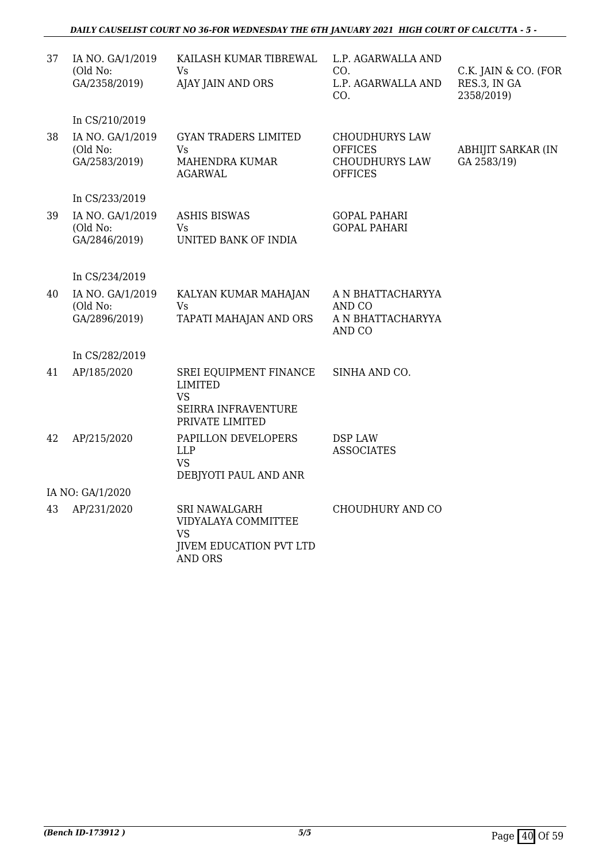### *DAILY CAUSELIST COURT NO 36-FOR WEDNESDAY THE 6TH JANUARY 2021 HIGH COURT OF CALCUTTA - 5 -*

| 37<br>IA NO. GA/1/2019<br>KAILASH KUMAR TIBREWAL<br>L.P. AGARWALLA AND<br>(Old No:<br>Vs<br>CO.<br>GA/2358/2019)<br>RES.3, IN GA<br>AJAY JAIN AND ORS<br>L.P. AGARWALLA AND<br>CO.<br>2358/2019)<br>In CS/210/2019<br>IA NO. GA/1/2019<br><b>GYAN TRADERS LIMITED</b><br>38<br><b>CHOUDHURYS LAW</b><br>(Old No:<br><b>OFFICES</b><br>ABHIJIT SARKAR (IN<br>Vs<br>GA 2583/19)<br>GA/2583/2019)<br>MAHENDRA KUMAR<br><b>CHOUDHURYS LAW</b><br><b>AGARWAL</b><br><b>OFFICES</b><br>In CS/233/2019<br>IA NO. GA/1/2019<br>39<br><b>ASHIS BISWAS</b><br><b>GOPAL PAHARI</b><br>(Old No:<br>Vs<br><b>GOPAL PAHARI</b><br>GA/2846/2019)<br>UNITED BANK OF INDIA<br>In CS/234/2019<br>IA NO. GA/1/2019<br>40<br>KALYAN KUMAR MAHAJAN<br>A N BHATTACHARYYA<br>(Old No:<br><b>Vs</b><br>AND CO<br>GA/2896/2019)<br>TAPATI MAHAJAN AND ORS<br>A N BHATTACHARYYA<br>AND CO<br>In CS/282/2019<br>AP/185/2020<br>SINHA AND CO.<br>41<br>SREI EQUIPMENT FINANCE<br>LIMITED<br><b>VS</b><br>SEIRRA INFRAVENTURE<br>PRIVATE LIMITED<br>42<br>AP/215/2020<br>PAPILLON DEVELOPERS<br><b>DSP LAW</b><br><b>LLP</b><br><b>ASSOCIATES</b><br><b>VS</b><br>DEBJYOTI PAUL AND ANR<br>IA NO: GA/1/2020<br>43<br>AP/231/2020<br>CHOUDHURY AND CO<br><b>SRI NAWALGARH</b><br>VIDYALAYA COMMITTEE<br><b>VS</b><br><b>JIVEM EDUCATION PVT LTD</b><br><b>AND ORS</b> |  |  |                      |
|-----------------------------------------------------------------------------------------------------------------------------------------------------------------------------------------------------------------------------------------------------------------------------------------------------------------------------------------------------------------------------------------------------------------------------------------------------------------------------------------------------------------------------------------------------------------------------------------------------------------------------------------------------------------------------------------------------------------------------------------------------------------------------------------------------------------------------------------------------------------------------------------------------------------------------------------------------------------------------------------------------------------------------------------------------------------------------------------------------------------------------------------------------------------------------------------------------------------------------------------------------------------------------------------------------------------------------------------|--|--|----------------------|
|                                                                                                                                                                                                                                                                                                                                                                                                                                                                                                                                                                                                                                                                                                                                                                                                                                                                                                                                                                                                                                                                                                                                                                                                                                                                                                                                         |  |  | C.K. JAIN & CO. (FOR |
|                                                                                                                                                                                                                                                                                                                                                                                                                                                                                                                                                                                                                                                                                                                                                                                                                                                                                                                                                                                                                                                                                                                                                                                                                                                                                                                                         |  |  |                      |
|                                                                                                                                                                                                                                                                                                                                                                                                                                                                                                                                                                                                                                                                                                                                                                                                                                                                                                                                                                                                                                                                                                                                                                                                                                                                                                                                         |  |  |                      |
|                                                                                                                                                                                                                                                                                                                                                                                                                                                                                                                                                                                                                                                                                                                                                                                                                                                                                                                                                                                                                                                                                                                                                                                                                                                                                                                                         |  |  |                      |
|                                                                                                                                                                                                                                                                                                                                                                                                                                                                                                                                                                                                                                                                                                                                                                                                                                                                                                                                                                                                                                                                                                                                                                                                                                                                                                                                         |  |  |                      |
|                                                                                                                                                                                                                                                                                                                                                                                                                                                                                                                                                                                                                                                                                                                                                                                                                                                                                                                                                                                                                                                                                                                                                                                                                                                                                                                                         |  |  |                      |
|                                                                                                                                                                                                                                                                                                                                                                                                                                                                                                                                                                                                                                                                                                                                                                                                                                                                                                                                                                                                                                                                                                                                                                                                                                                                                                                                         |  |  |                      |
|                                                                                                                                                                                                                                                                                                                                                                                                                                                                                                                                                                                                                                                                                                                                                                                                                                                                                                                                                                                                                                                                                                                                                                                                                                                                                                                                         |  |  |                      |
|                                                                                                                                                                                                                                                                                                                                                                                                                                                                                                                                                                                                                                                                                                                                                                                                                                                                                                                                                                                                                                                                                                                                                                                                                                                                                                                                         |  |  |                      |
|                                                                                                                                                                                                                                                                                                                                                                                                                                                                                                                                                                                                                                                                                                                                                                                                                                                                                                                                                                                                                                                                                                                                                                                                                                                                                                                                         |  |  |                      |
|                                                                                                                                                                                                                                                                                                                                                                                                                                                                                                                                                                                                                                                                                                                                                                                                                                                                                                                                                                                                                                                                                                                                                                                                                                                                                                                                         |  |  |                      |
|                                                                                                                                                                                                                                                                                                                                                                                                                                                                                                                                                                                                                                                                                                                                                                                                                                                                                                                                                                                                                                                                                                                                                                                                                                                                                                                                         |  |  |                      |
|                                                                                                                                                                                                                                                                                                                                                                                                                                                                                                                                                                                                                                                                                                                                                                                                                                                                                                                                                                                                                                                                                                                                                                                                                                                                                                                                         |  |  |                      |
|                                                                                                                                                                                                                                                                                                                                                                                                                                                                                                                                                                                                                                                                                                                                                                                                                                                                                                                                                                                                                                                                                                                                                                                                                                                                                                                                         |  |  |                      |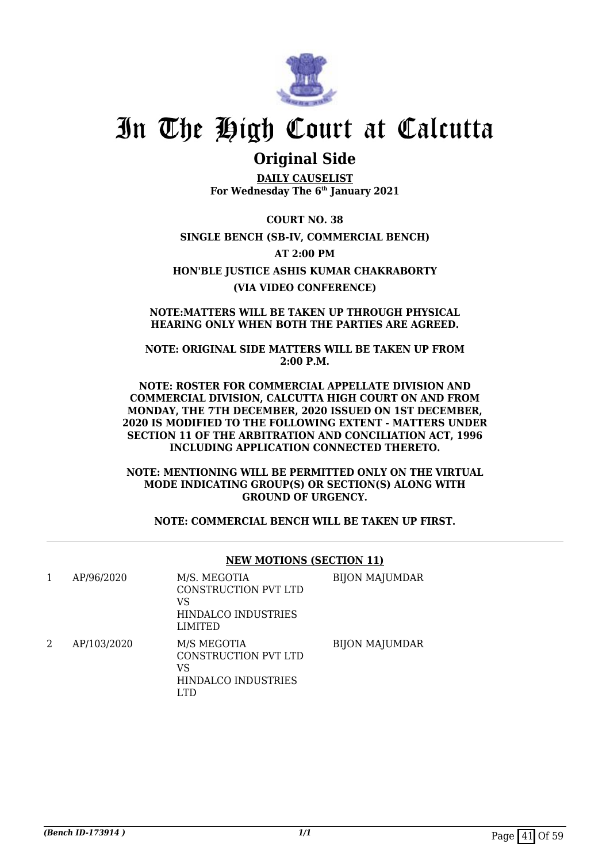

## **Original Side**

**DAILY CAUSELIST For Wednesday The 6th January 2021**

**COURT NO. 38 SINGLE BENCH (SB-IV, COMMERCIAL BENCH) AT 2:00 PM HON'BLE JUSTICE ASHIS KUMAR CHAKRABORTY (VIA VIDEO CONFERENCE)**

**NOTE:MATTERS WILL BE TAKEN UP THROUGH PHYSICAL HEARING ONLY WHEN BOTH THE PARTIES ARE AGREED.**

**NOTE: ORIGINAL SIDE MATTERS WILL BE TAKEN UP FROM 2:00 P.M.**

**NOTE: ROSTER FOR COMMERCIAL APPELLATE DIVISION AND COMMERCIAL DIVISION, CALCUTTA HIGH COURT ON AND FROM MONDAY, THE 7TH DECEMBER, 2020 ISSUED ON 1ST DECEMBER, 2020 IS MODIFIED TO THE FOLLOWING EXTENT - MATTERS UNDER SECTION 11 OF THE ARBITRATION AND CONCILIATION ACT, 1996 INCLUDING APPLICATION CONNECTED THERETO.**

**NOTE: MENTIONING WILL BE PERMITTED ONLY ON THE VIRTUAL MODE INDICATING GROUP(S) OR SECTION(S) ALONG WITH GROUND OF URGENCY.**

### **NOTE: COMMERCIAL BENCH WILL BE TAKEN UP FIRST.**

|   |             | <b>NEW MOTIONS (SECTION 11)</b>                                                     |                       |
|---|-------------|-------------------------------------------------------------------------------------|-----------------------|
| 1 | AP/96/2020  | M/S. MEGOTIA<br>CONSTRUCTION PVT LTD<br>VS<br>HINDALCO INDUSTRIES<br><b>LIMITED</b> | <b>BIJON MAJUMDAR</b> |
| 2 | AP/103/2020 | M/S MEGOTIA<br>CONSTRUCTION PVT LTD<br>VS<br>HINDALCO INDUSTRIES<br>LTD.            | <b>BIJON MAJUMDAR</b> |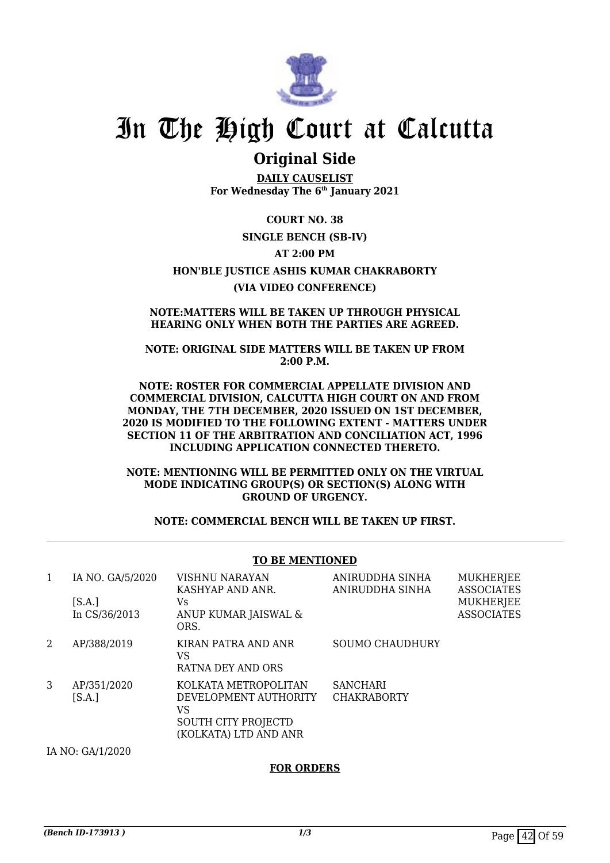

### **Original Side**

**DAILY CAUSELIST For Wednesday The 6th January 2021**

**COURT NO. 38 SINGLE BENCH (SB-IV) AT 2:00 PM HON'BLE JUSTICE ASHIS KUMAR CHAKRABORTY (VIA VIDEO CONFERENCE)**

### **NOTE:MATTERS WILL BE TAKEN UP THROUGH PHYSICAL HEARING ONLY WHEN BOTH THE PARTIES ARE AGREED.**

**NOTE: ORIGINAL SIDE MATTERS WILL BE TAKEN UP FROM 2:00 P.M.**

**NOTE: ROSTER FOR COMMERCIAL APPELLATE DIVISION AND COMMERCIAL DIVISION, CALCUTTA HIGH COURT ON AND FROM MONDAY, THE 7TH DECEMBER, 2020 ISSUED ON 1ST DECEMBER, 2020 IS MODIFIED TO THE FOLLOWING EXTENT - MATTERS UNDER SECTION 11 OF THE ARBITRATION AND CONCILIATION ACT, 1996 INCLUDING APPLICATION CONNECTED THERETO.**

**NOTE: MENTIONING WILL BE PERMITTED ONLY ON THE VIRTUAL MODE INDICATING GROUP(S) OR SECTION(S) ALONG WITH GROUND OF URGENCY.**

**NOTE: COMMERCIAL BENCH WILL BE TAKEN UP FIRST.**

### **TO BE MENTIONED**

| 1 | IA NO. GA/5/2020        | VISHNU NARAYAN<br>KASHYAP AND ANR.                                                                  | ANIRUDDHA SINHA<br>ANIRUDDHA SINHA    | <b>MUKHERJEE</b><br><b>ASSOCIATES</b> |
|---|-------------------------|-----------------------------------------------------------------------------------------------------|---------------------------------------|---------------------------------------|
|   | [S.A.]<br>In CS/36/2013 | Vs.<br>ANUP KUMAR JAISWAL &<br>ORS.                                                                 |                                       | <b>MUKHERJEE</b><br><b>ASSOCIATES</b> |
| 2 | AP/388/2019             | KIRAN PATRA AND ANR<br>VS<br>RATNA DEY AND ORS                                                      | <b>SOUMO CHAUDHURY</b>                |                                       |
| 3 | AP/351/2020<br>[S.A.]   | KOLKATA METROPOLITAN<br>DEVELOPMENT AUTHORITY<br>VS<br>SOUTH CITY PROJECTD<br>(KOLKATA) LTD AND ANR | <b>SANCHARI</b><br><b>CHAKRABORTY</b> |                                       |
|   | IA NO: GA/1/2020        |                                                                                                     |                                       |                                       |

### **FOR ORDERS**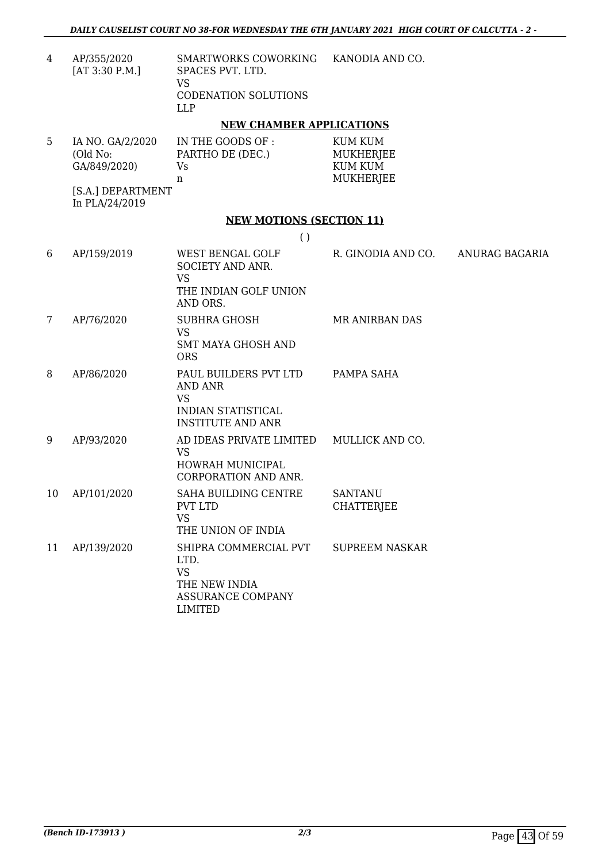4 AP/355/2020 [AT 3:30 P.M.] SMARTWORKS COWORKING SPACES PVT. LTD. VS CODENATION SOLUTIONS LLP KANODIA AND CO.

### **NEW CHAMBER APPLICATIONS**

| 5 | IA NO. GA/2/2020 | IN THE GOODS OF : | KUM KUM   |
|---|------------------|-------------------|-----------|
|   | (Old No:         | PARTHO DE (DEC.)  | MUKHERJEE |
|   | GA/849/2020)     | Vs                | KUM KUM   |
|   |                  | n                 | MUKHERJEE |

[S.A.] DEPARTMENT In PLA/24/2019

### **NEW MOTIONS (SECTION 11)**

| J |
|---|
|---|

| 6              | AP/159/2019 | WEST BENGAL GOLF<br>SOCIETY AND ANR.<br><b>VS</b><br>THE INDIAN GOLF UNION<br>AND ORS.                        | R. GINODIA AND CO.                  | ANURAG BAGARIA |
|----------------|-------------|---------------------------------------------------------------------------------------------------------------|-------------------------------------|----------------|
| $\overline{7}$ | AP/76/2020  | <b>SUBHRA GHOSH</b><br><b>VS</b><br>SMT MAYA GHOSH AND<br><b>ORS</b>                                          | MR ANIRBAN DAS                      |                |
| 8              | AP/86/2020  | PAUL BUILDERS PVT LTD<br><b>AND ANR</b><br><b>VS</b><br><b>INDIAN STATISTICAL</b><br><b>INSTITUTE AND ANR</b> | PAMPA SAHA                          |                |
| 9              | AP/93/2020  | AD IDEAS PRIVATE LIMITED<br><b>VS</b><br><b>HOWRAH MUNICIPAL</b><br><b>CORPORATION AND ANR.</b>               | MULLICK AND CO.                     |                |
| 10             | AP/101/2020 | <b>SAHA BUILDING CENTRE</b><br>PVT LTD<br><b>VS</b><br>THE UNION OF INDIA                                     | <b>SANTANU</b><br><b>CHATTERJEE</b> |                |
| 11             | AP/139/2020 | SHIPRA COMMERCIAL PVT<br>LTD.<br><b>VS</b><br>THE NEW INDIA<br><b>ASSURANCE COMPANY</b><br><b>LIMITED</b>     | <b>SUPREEM NASKAR</b>               |                |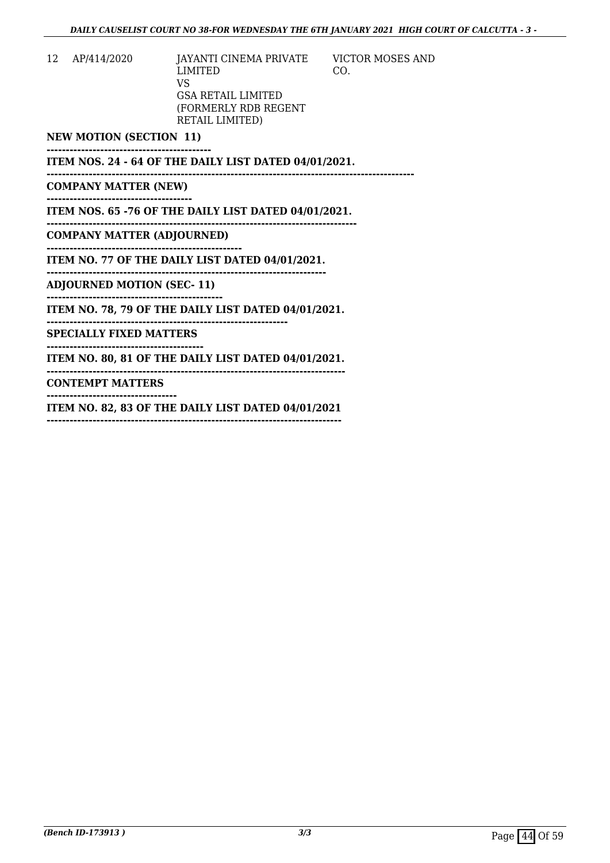VICTOR MOSES AND

CO.

12 AP/414/2020 JAYANTI CINEMA PRIVATE LIMITED VS GSA RETAIL LIMITED (FORMERLY RDB REGENT RETAIL LIMITED)

**NEW MOTION (SECTION 11)**

**------------------------------------------- ITEM NOS. 24 - 64 OF THE DAILY LIST DATED 04/01/2021.**

**------------------------------------------------------------------------------------------------** 

**COMPANY MATTER (NEW) --------------------------------------**

**ITEM NOS. 65 -76 OF THE DAILY LIST DATED 04/01/2021.**

**--------------------------------------------------------------------------------- COMPANY MATTER (ADJOURNED)**

**---------------------------------------------------** 

**ITEM NO. 77 OF THE DAILY LIST DATED 04/01/2021. -------------------------------------------------------------------------**

**ADJOURNED MOTION (SEC- 11)**

**----------------------------------------------**

**ITEM NO. 78, 79 OF THE DAILY LIST DATED 04/01/2021.**

**--------------------------------------------------------------- SPECIALLY FIXED MATTERS**

**-----------------------------------------**

**ITEM NO. 80, 81 OF THE DAILY LIST DATED 04/01/2021. ------------------------------------------------------------------------------**

**CONTEMPT MATTERS**

**----------------------------------**

**ITEM NO. 82, 83 OF THE DAILY LIST DATED 04/01/2021**

**-----------------------------------------------------------------------------**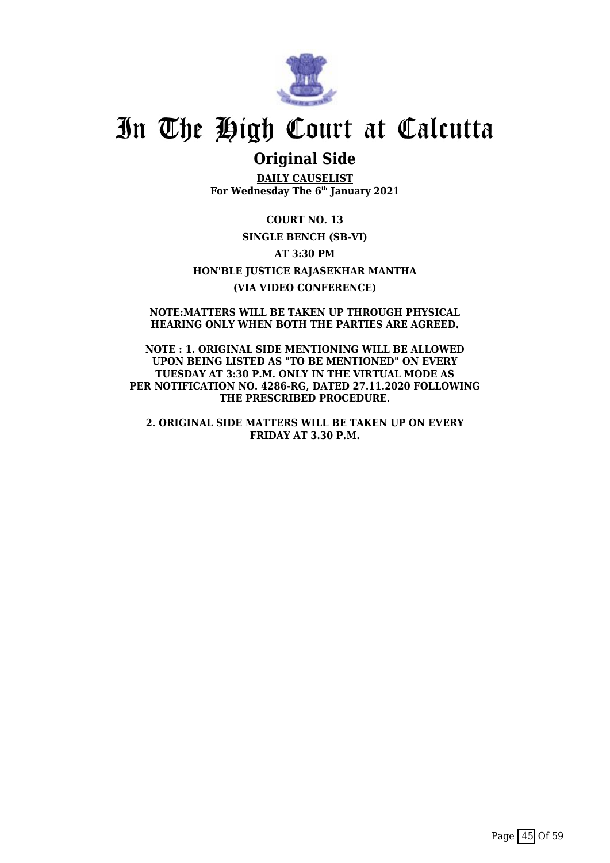

### **Original Side**

**DAILY CAUSELIST For Wednesday The 6th January 2021**

**COURT NO. 13 SINGLE BENCH (SB-VI) AT 3:30 PM HON'BLE JUSTICE RAJASEKHAR MANTHA (VIA VIDEO CONFERENCE)**

**NOTE:MATTERS WILL BE TAKEN UP THROUGH PHYSICAL HEARING ONLY WHEN BOTH THE PARTIES ARE AGREED.**

**NOTE : 1. ORIGINAL SIDE MENTIONING WILL BE ALLOWED UPON BEING LISTED AS "TO BE MENTIONED" ON EVERY TUESDAY AT 3:30 P.M. ONLY IN THE VIRTUAL MODE AS PER NOTIFICATION NO. 4286-RG, DATED 27.11.2020 FOLLOWING THE PRESCRIBED PROCEDURE.**

**2. ORIGINAL SIDE MATTERS WILL BE TAKEN UP ON EVERY FRIDAY AT 3.30 P.M.**

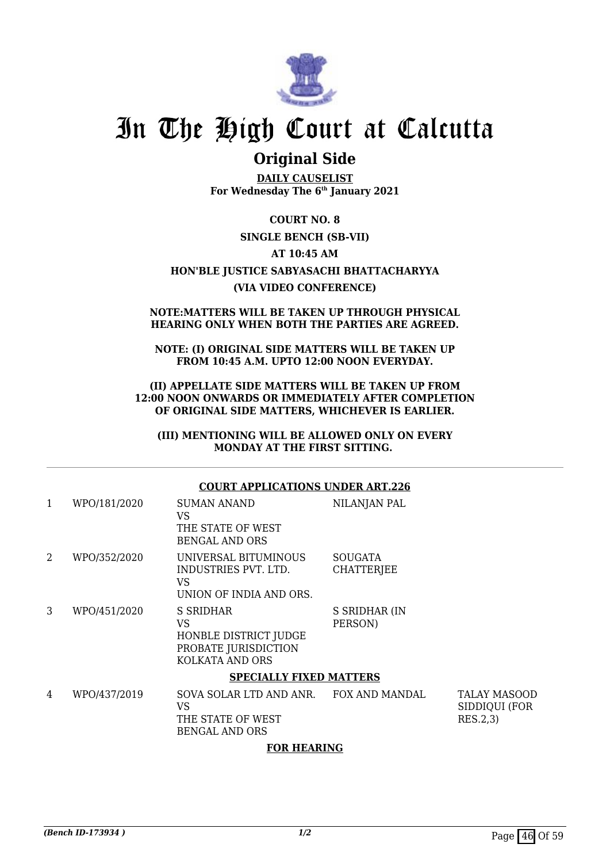

## **Original Side**

**DAILY CAUSELIST For Wednesday The 6th January 2021**

**COURT NO. 8 SINGLE BENCH (SB-VII) AT 10:45 AM HON'BLE JUSTICE SABYASACHI BHATTACHARYYA (VIA VIDEO CONFERENCE)**

#### **NOTE:MATTERS WILL BE TAKEN UP THROUGH PHYSICAL HEARING ONLY WHEN BOTH THE PARTIES ARE AGREED.**

**NOTE: (I) ORIGINAL SIDE MATTERS WILL BE TAKEN UP FROM 10:45 A.M. UPTO 12:00 NOON EVERYDAY.**

**(II) APPELLATE SIDE MATTERS WILL BE TAKEN UP FROM 12:00 NOON ONWARDS OR IMMEDIATELY AFTER COMPLETION OF ORIGINAL SIDE MATTERS, WHICHEVER IS EARLIER.**

**(III) MENTIONING WILL BE ALLOWED ONLY ON EVERY MONDAY AT THE FIRST SITTING.** 

### **COURT APPLICATIONS UNDER ART.226**

| 1 | WPO/181/2020 | <b>SUMAN ANAND</b><br>VS<br>THE STATE OF WEST<br><b>BENGAL AND ORS</b>              | NILANJAN PAL                        |                                                  |
|---|--------------|-------------------------------------------------------------------------------------|-------------------------------------|--------------------------------------------------|
| 2 | WPO/352/2020 | UNIVERSAL BITUMINOUS<br>INDUSTRIES PVT. LTD.<br>VS<br>UNION OF INDIA AND ORS.       | <b>SOUGATA</b><br><b>CHATTERJEE</b> |                                                  |
| 3 | WPO/451/2020 | S SRIDHAR<br>VS<br>HONBLE DISTRICT JUDGE<br>PROBATE JURISDICTION<br>KOLKATA AND ORS | S SRIDHAR (IN<br>PERSON)            |                                                  |
|   |              | <b>SPECIALLY FIXED MATTERS</b>                                                      |                                     |                                                  |
| 4 | WPO/437/2019 | SOVA SOLAR LTD AND ANR.<br>VS<br>THE STATE OF WEST<br><b>BENGAL AND ORS</b>         | FOX AND MANDAL                      | <b>TALAY MASOOD</b><br>SIDDIQUI (FOR<br>RES.2,3) |

### **FOR HEARING**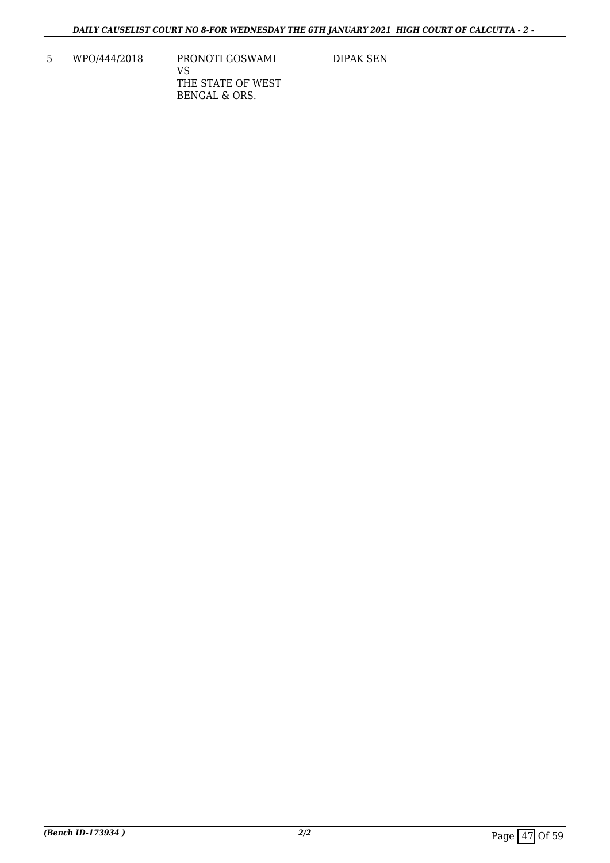5 WPO/444/2018 PRONOTI GOSWAMI VS THE STATE OF WEST BENGAL & ORS.

DIPAK SEN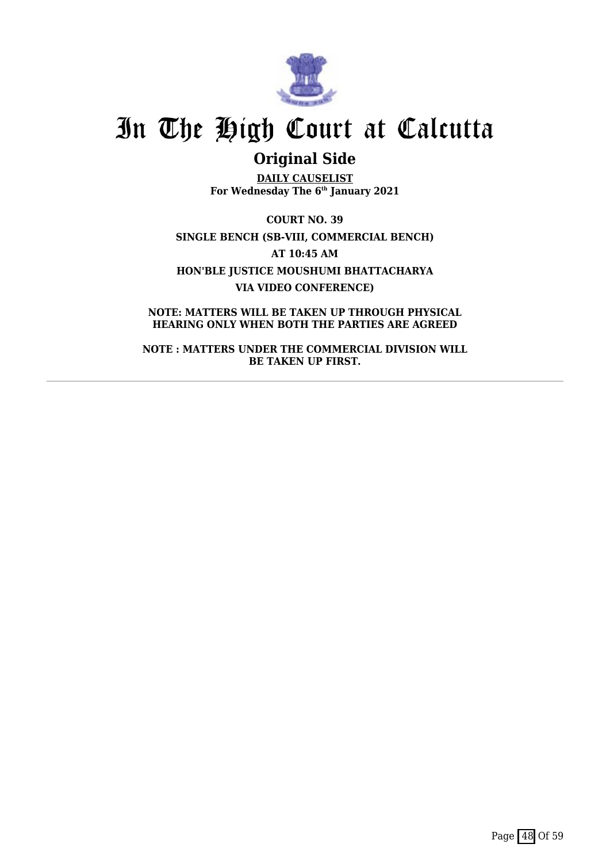

## **Original Side**

**DAILY CAUSELIST For Wednesday The 6th January 2021**

**COURT NO. 39 SINGLE BENCH (SB-VIII, COMMERCIAL BENCH) AT 10:45 AM HON'BLE JUSTICE MOUSHUMI BHATTACHARYA VIA VIDEO CONFERENCE)**

**NOTE: MATTERS WILL BE TAKEN UP THROUGH PHYSICAL HEARING ONLY WHEN BOTH THE PARTIES ARE AGREED**

**NOTE : MATTERS UNDER THE COMMERCIAL DIVISION WILL BE TAKEN UP FIRST.**

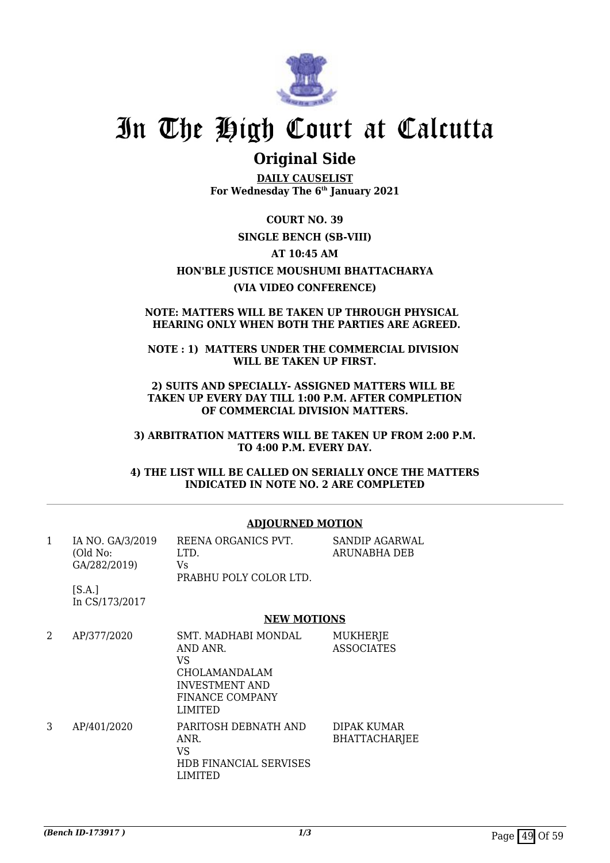

### **Original Side**

**DAILY CAUSELIST For Wednesday The 6th January 2021**

**COURT NO. 39 SINGLE BENCH (SB-VIII) AT 10:45 AM HON'BLE JUSTICE MOUSHUMI BHATTACHARYA (VIA VIDEO CONFERENCE)**

### **NOTE: MATTERS WILL BE TAKEN UP THROUGH PHYSICAL HEARING ONLY WHEN BOTH THE PARTIES ARE AGREED.**

### **NOTE : 1) MATTERS UNDER THE COMMERCIAL DIVISION WILL BE TAKEN UP FIRST.**

**2) SUITS AND SPECIALLY- ASSIGNED MATTERS WILL BE TAKEN UP EVERY DAY TILL 1:00 P.M. AFTER COMPLETION OF COMMERCIAL DIVISION MATTERS.**

**3) ARBITRATION MATTERS WILL BE TAKEN UP FROM 2:00 P.M. TO 4:00 P.M. EVERY DAY.**

**4) THE LIST WILL BE CALLED ON SERIALLY ONCE THE MATTERS INDICATED IN NOTE NO. 2 ARE COMPLETED**

| 1 | IA NO. GA/3/2019<br>(Old No:<br>GA/282/2019) | REENA ORGANICS PVT.<br>LTD.<br>Vs.<br>PRABHU POLY COLOR LTD.                                                   | SANDIP AGARWAL<br>ARUNABHA DEB      |
|---|----------------------------------------------|----------------------------------------------------------------------------------------------------------------|-------------------------------------|
|   | [S.A.]<br>In CS/173/2017                     |                                                                                                                |                                     |
|   |                                              | <b>NEW MOTIONS</b>                                                                                             |                                     |
| 2 | AP/377/2020                                  | SMT. MADHABI MONDAL<br>AND ANR.<br>VS.<br>CHOLAMANDALAM<br>INVESTMENT AND<br>FINANCE COMPANY<br><b>LIMITED</b> | MUKHERJE<br><b>ASSOCIATES</b>       |
| 3 | AP/401/2020                                  | PARITOSH DEBNATH AND<br>ANR.<br>VS<br><b>HDB FINANCIAL SERVISES</b><br>LIMITED                                 | DIPAK KUMAR<br><b>BHATTACHARJEE</b> |

### **ADJOURNED MOTION**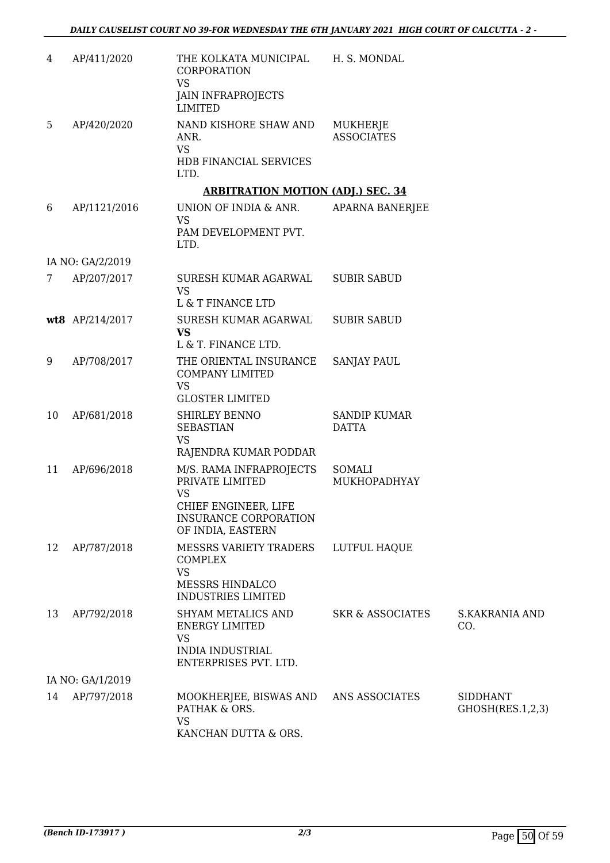| 4           | AP/411/2020      | THE KOLKATA MUNICIPAL<br><b>CORPORATION</b><br><b>VS</b><br><b>JAIN INFRAPROJECTS</b><br><b>LIMITED</b>      | H. S. MONDAL                        |                                     |
|-------------|------------------|--------------------------------------------------------------------------------------------------------------|-------------------------------------|-------------------------------------|
| 5           | AP/420/2020      | NAND KISHORE SHAW AND<br>ANR.<br><b>VS</b>                                                                   | MUKHERJE<br><b>ASSOCIATES</b>       |                                     |
|             |                  | HDB FINANCIAL SERVICES<br>LTD.                                                                               |                                     |                                     |
|             |                  | <b>ARBITRATION MOTION (ADJ.) SEC. 34</b>                                                                     |                                     |                                     |
| 6           | AP/1121/2016     | UNION OF INDIA & ANR.<br><b>VS</b><br>PAM DEVELOPMENT PVT.<br>LTD.                                           | APARNA BANERJEE                     |                                     |
|             | IA NO: GA/2/2019 |                                                                                                              |                                     |                                     |
| $7^{\circ}$ | AP/207/2017      | SURESH KUMAR AGARWAL<br><b>VS</b>                                                                            | <b>SUBIR SABUD</b>                  |                                     |
|             |                  | L & T FINANCE LTD                                                                                            |                                     |                                     |
|             | wt8 AP/214/2017  | SURESH KUMAR AGARWAL<br><b>VS</b>                                                                            | <b>SUBIR SABUD</b>                  |                                     |
|             |                  | L & T. FINANCE LTD.                                                                                          |                                     |                                     |
| 9           | AP/708/2017      | THE ORIENTAL INSURANCE<br><b>COMPANY LIMITED</b><br><b>VS</b><br><b>GLOSTER LIMITED</b>                      | <b>SANJAY PAUL</b>                  |                                     |
| 10          | AP/681/2018      | SHIRLEY BENNO<br><b>SEBASTIAN</b><br><b>VS</b><br>RAJENDRA KUMAR PODDAR                                      | <b>SANDIP KUMAR</b><br><b>DATTA</b> |                                     |
| 11          | AP/696/2018      | M/S. RAMA INFRAPROJECTS<br>PRIVATE LIMITED<br><b>VS</b>                                                      | SOMALI<br>MUKHOPADHYAY              |                                     |
|             |                  | CHIEF ENGINEER, LIFE<br><b>INSURANCE CORPORATION</b><br>OF INDIA, EASTERN                                    |                                     |                                     |
| 12          | AP/787/2018      | MESSRS VARIETY TRADERS<br><b>COMPLEX</b><br><b>VS</b><br>MESSRS HINDALCO<br><b>INDUSTRIES LIMITED</b>        | LUTFUL HAQUE                        |                                     |
| 13          | AP/792/2018      | SHYAM METALICS AND<br><b>ENERGY LIMITED</b><br><b>VS</b><br><b>INDIA INDUSTRIAL</b><br>ENTERPRISES PVT. LTD. | <b>SKR &amp; ASSOCIATES</b>         | <b>S.KAKRANIA AND</b><br>CO.        |
|             | IA NO: GA/1/2019 |                                                                                                              |                                     |                                     |
| 14          | AP/797/2018      | MOOKHERJEE, BISWAS AND<br>PATHAK & ORS.<br><b>VS</b><br>KANCHAN DUTTA & ORS.                                 | ANS ASSOCIATES                      | <b>SIDDHANT</b><br>GHOSH(RES.1,2,3) |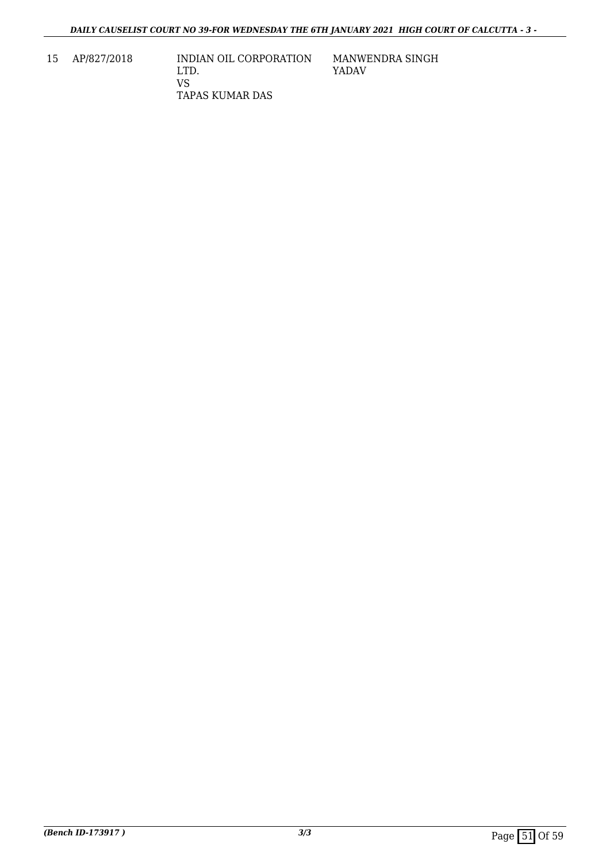15 AP/827/2018 INDIAN OIL CORPORATION LTD. VS TAPAS KUMAR DAS

MANWENDRA SINGH YADAV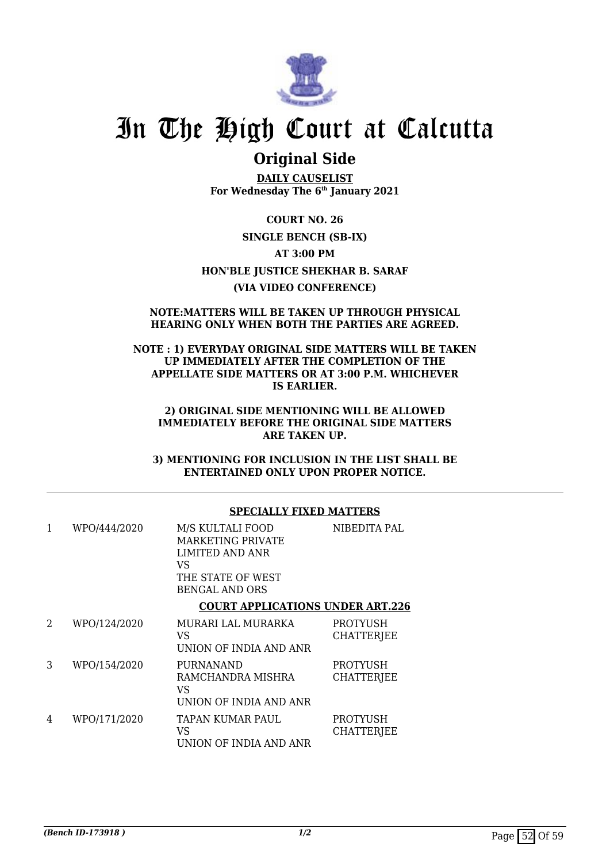

## **Original Side**

**DAILY CAUSELIST For Wednesday The 6th January 2021**

**COURT NO. 26 SINGLE BENCH (SB-IX) AT 3:00 PM HON'BLE JUSTICE SHEKHAR B. SARAF (VIA VIDEO CONFERENCE)**

### **NOTE:MATTERS WILL BE TAKEN UP THROUGH PHYSICAL HEARING ONLY WHEN BOTH THE PARTIES ARE AGREED.**

**NOTE : 1) EVERYDAY ORIGINAL SIDE MATTERS WILL BE TAKEN UP IMMEDIATELY AFTER THE COMPLETION OF THE APPELLATE SIDE MATTERS OR AT 3:00 P.M. WHICHEVER IS EARLIER.**

**2) ORIGINAL SIDE MENTIONING WILL BE ALLOWED IMMEDIATELY BEFORE THE ORIGINAL SIDE MATTERS ARE TAKEN UP.**

**3) MENTIONING FOR INCLUSION IN THE LIST SHALL BE ENTERTAINED ONLY UPON PROPER NOTICE.**

### **SPECIALLY FIXED MATTERS**

| 1 | WPO/444/2020 | M/S KULTALI FOOD<br><b>MARKETING PRIVATE</b><br>LIMITED AND ANR<br>VS<br>THE STATE OF WEST<br><b>BENGAL AND ORS</b> | NIBEDITA PAL                         |
|---|--------------|---------------------------------------------------------------------------------------------------------------------|--------------------------------------|
|   |              | <b>COURT APPLICATIONS UNDER ART.226</b>                                                                             |                                      |
| 2 | WPO/124/2020 | MURARI LAL MURARKA<br>VS<br>UNION OF INDIA AND ANR                                                                  | <b>PROTYUSH</b><br><b>CHATTERJEE</b> |
| 3 | WPO/154/2020 | <b>PURNANAND</b><br>RAMCHANDRA MISHRA<br>VS<br>UNION OF INDIA AND ANR                                               | <b>PROTYUSH</b><br><b>CHATTERJEE</b> |
| 4 | WPO/171/2020 | TAPAN KUMAR PAUL<br>VS<br>UNION OF INDIA AND ANR                                                                    | PROTYUSH<br><b>CHATTERJEE</b>        |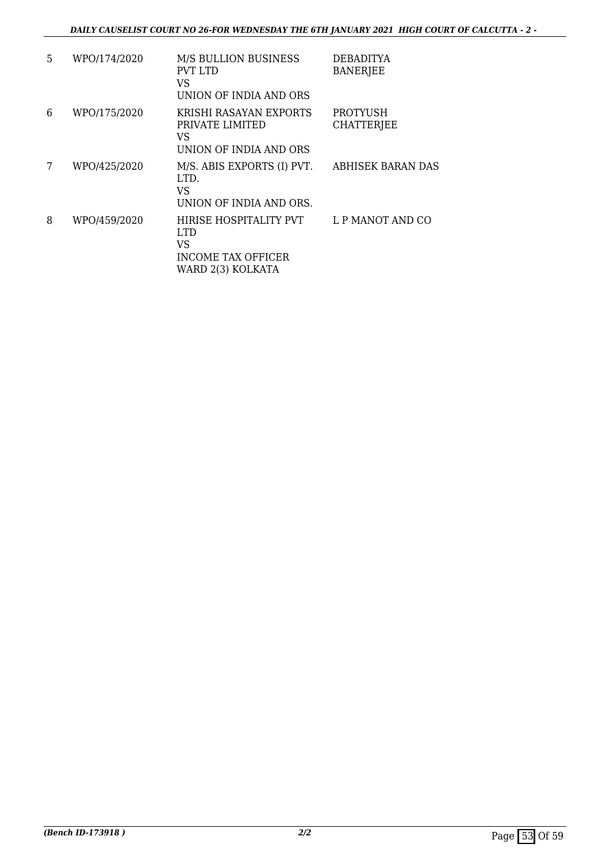### *DAILY CAUSELIST COURT NO 26-FOR WEDNESDAY THE 6TH JANUARY 2021 HIGH COURT OF CALCUTTA - 2 -*

| 5. | WPO/174/2020 | <b>M/S BULLION BUSINESS</b><br><b>PVT LTD</b><br>VS<br>UNION OF INDIA AND ORS          | DEBADITYA<br><b>BANERJEE</b>         |
|----|--------------|----------------------------------------------------------------------------------------|--------------------------------------|
| 6  | WPO/175/2020 | KRISHI RASAYAN EXPORTS<br>PRIVATE LIMITED<br>VS<br>UNION OF INDIA AND ORS              | <b>PROTYUSH</b><br><b>CHATTERJEE</b> |
| 7  | WPO/425/2020 | M/S. ABIS EXPORTS (I) PVT.<br>LTD.<br>VS<br>UNION OF INDIA AND ORS.                    | ABHISEK BARAN DAS                    |
| 8  | WPO/459/2020 | HIRISE HOSPITALITY PVT<br>LTD.<br>VS<br><b>INCOME TAX OFFICER</b><br>WARD 2(3) KOLKATA | L P MANOT AND CO                     |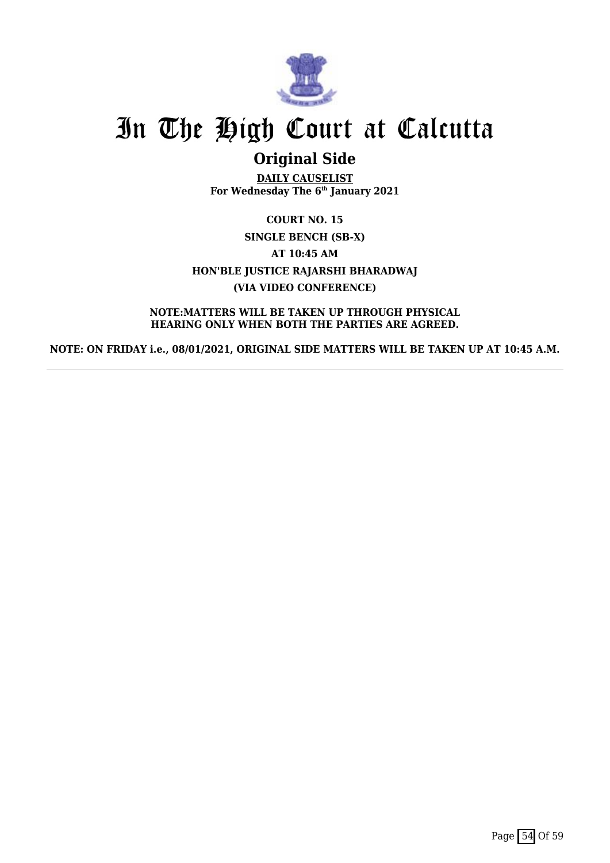

## **Original Side**

**DAILY CAUSELIST For Wednesday The 6th January 2021**

**COURT NO. 15 SINGLE BENCH (SB-X) AT 10:45 AM HON'BLE JUSTICE RAJARSHI BHARADWAJ (VIA VIDEO CONFERENCE)**

**NOTE:MATTERS WILL BE TAKEN UP THROUGH PHYSICAL HEARING ONLY WHEN BOTH THE PARTIES ARE AGREED.**

**NOTE: ON FRIDAY i.e., 08/01/2021, ORIGINAL SIDE MATTERS WILL BE TAKEN UP AT 10:45 A.M.**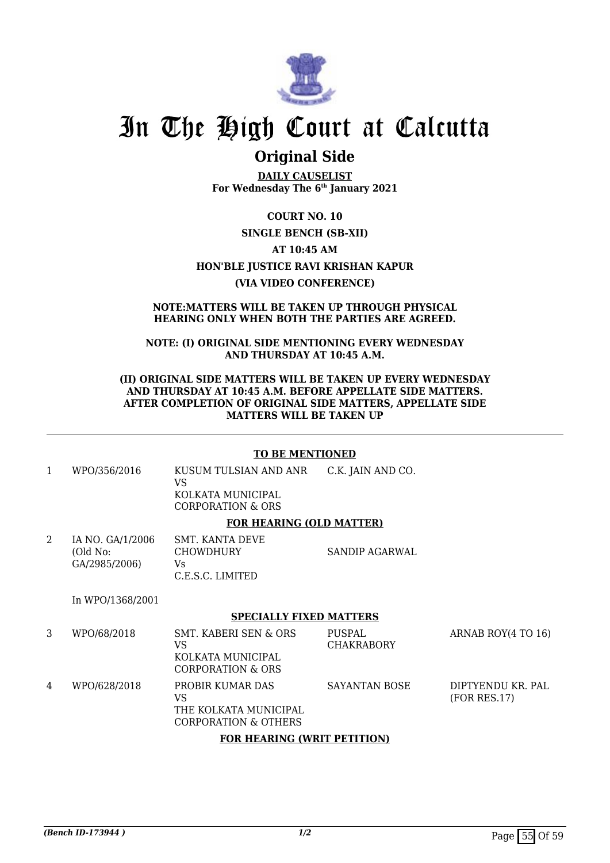

### **Original Side**

**DAILY CAUSELIST For Wednesday The 6th January 2021**

### **COURT NO. 10**

### **SINGLE BENCH (SB-XII)**

### **AT 10:45 AM**

### **HON'BLE JUSTICE RAVI KRISHAN KAPUR**

### **(VIA VIDEO CONFERENCE)**

#### **NOTE:MATTERS WILL BE TAKEN UP THROUGH PHYSICAL HEARING ONLY WHEN BOTH THE PARTIES ARE AGREED.**

### **NOTE: (I) ORIGINAL SIDE MENTIONING EVERY WEDNESDAY AND THURSDAY AT 10:45 A.M.**

### **(II) ORIGINAL SIDE MATTERS WILL BE TAKEN UP EVERY WEDNESDAY AND THURSDAY AT 10:45 A.M. BEFORE APPELLATE SIDE MATTERS. AFTER COMPLETION OF ORIGINAL SIDE MATTERS, APPELLATE SIDE MATTERS WILL BE TAKEN UP**

### **TO BE MENTIONED**

1 WPO/356/2016 KUSUM TULSIAN AND ANR VS KOLKATA MUNICIPAL C.K. JAIN AND CO.

CORPORATION & ORS

### **FOR HEARING (OLD MATTER)**

| IA NO. GA/1/2006 | SMT. KANTA DEVE  |                |
|------------------|------------------|----------------|
| (Old No:         | <b>CHOWDHURY</b> | SANDIP AGARWAL |
| GA/2985/2006)    | Vs               |                |
|                  | C.E.S.C. LIMITED |                |

In WPO/1368/2001

### **SPECIALLY FIXED MATTERS**

| 3                                  | WPO/68/2018  | SMT. KABERI SEN & ORS<br>VS<br>KOLKATA MUNICIPAL<br>CORPORATION & ORS   | PUSPAL<br><b>CHAKRABORY</b> | ARNAB ROY(4 TO 16)                |  |  |
|------------------------------------|--------------|-------------------------------------------------------------------------|-----------------------------|-----------------------------------|--|--|
| 4                                  | WPO/628/2018 | PROBIR KUMAR DAS<br>VS<br>THE KOLKATA MUNICIPAL<br>CORPORATION & OTHERS | SAYANTAN BOSE               | DIPTYENDU KR. PAL<br>(FOR RES.17) |  |  |
| <b>FOR HEARING (WRIT PETITION)</b> |              |                                                                         |                             |                                   |  |  |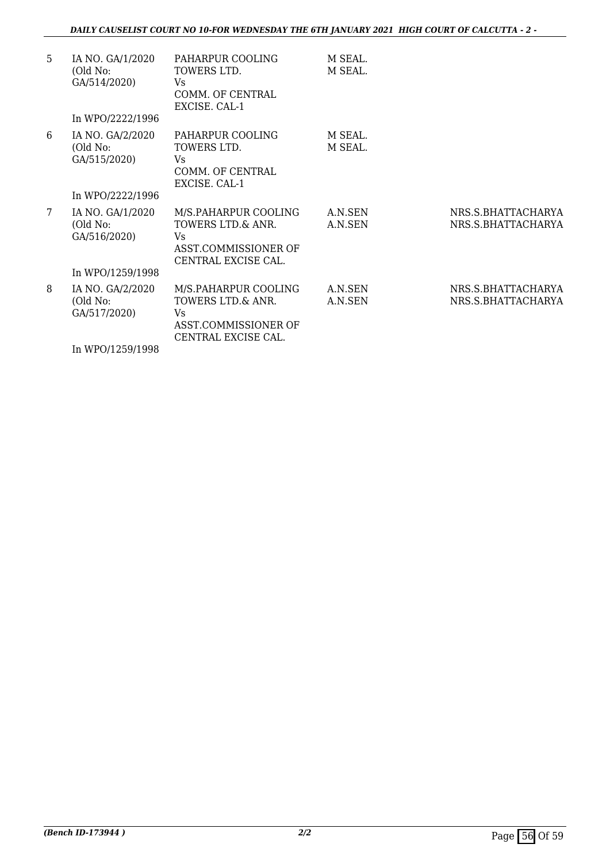### *DAILY CAUSELIST COURT NO 10-FOR WEDNESDAY THE 6TH JANUARY 2021 HIGH COURT OF CALCUTTA - 2 -*

| 5 | IA NO. GA/1/2020<br>(Old No:<br>GA/514/2020) | PAHARPUR COOLING<br>TOWERS LTD.<br>Vs.<br>COMM. OF CENTRAL<br>EXCISE, CAL-1                     | M SEAL.<br>M SEAL. |                                          |
|---|----------------------------------------------|-------------------------------------------------------------------------------------------------|--------------------|------------------------------------------|
|   | In WPO/2222/1996                             |                                                                                                 |                    |                                          |
| 6 | IA NO. GA/2/2020<br>(Old No:<br>GA/515/2020) | PAHARPUR COOLING<br>TOWERS LTD.<br>Vs.<br>COMM. OF CENTRAL<br>EXCISE. CAL-1                     | M SEAL.<br>M SEAL. |                                          |
|   | In WPO/2222/1996                             |                                                                                                 |                    |                                          |
| 7 | IA NO. GA/1/2020<br>(Old No:<br>GA/516/2020) | M/S.PAHARPUR COOLING<br>TOWERS LTD.& ANR.<br>Vs.<br>ASST.COMMISSIONER OF<br>CENTRAL EXCISE CAL. | A.N.SEN<br>A.N.SEN | NRS.S.BHATTACHARYA<br>NRS.S.BHATTACHARYA |
|   | In WPO/1259/1998                             |                                                                                                 |                    |                                          |
| 8 | IA NO. GA/2/2020<br>(Old No:<br>GA/517/2020) | M/S.PAHARPUR COOLING<br>TOWERS LTD.& ANR.<br>Vs.<br>ASST.COMMISSIONER OF<br>CENTRAL EXCISE CAL. | A.N.SEN<br>A.N.SEN | NRS.S.BHATTACHARYA<br>NRS.S.BHATTACHARYA |
|   | In WPO/1259/1998                             |                                                                                                 |                    |                                          |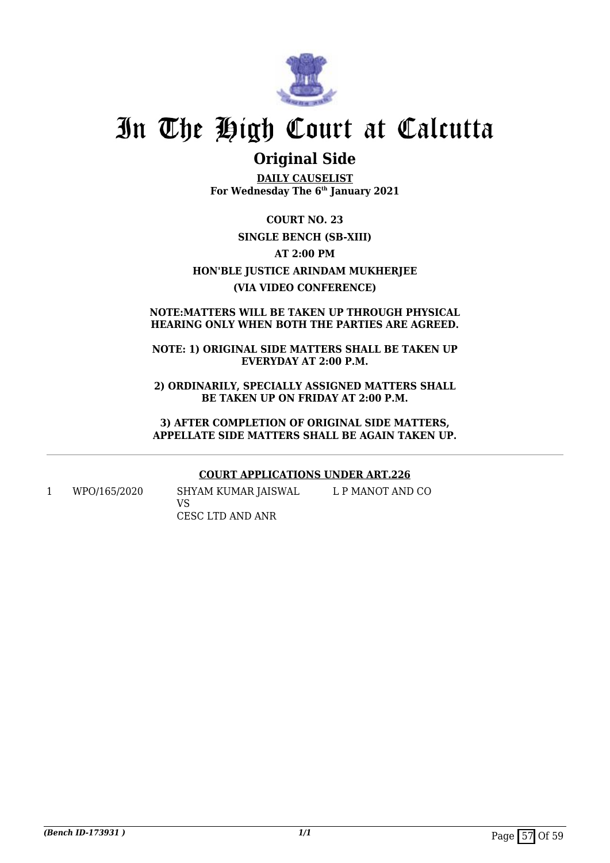

## **Original Side**

**DAILY CAUSELIST For Wednesday The 6th January 2021**

**COURT NO. 23 SINGLE BENCH (SB-XIII) AT 2:00 PM HON'BLE JUSTICE ARINDAM MUKHERJEE (VIA VIDEO CONFERENCE)**

### **NOTE:MATTERS WILL BE TAKEN UP THROUGH PHYSICAL HEARING ONLY WHEN BOTH THE PARTIES ARE AGREED.**

**NOTE: 1) ORIGINAL SIDE MATTERS SHALL BE TAKEN UP EVERYDAY AT 2:00 P.M.**

**2) ORDINARILY, SPECIALLY ASSIGNED MATTERS SHALL BE TAKEN UP ON FRIDAY AT 2:00 P.M.**

**3) AFTER COMPLETION OF ORIGINAL SIDE MATTERS, APPELLATE SIDE MATTERS SHALL BE AGAIN TAKEN UP.**

### **COURT APPLICATIONS UNDER ART.226**

1 WPO/165/2020 SHYAM KUMAR JAISWAL VS CESC LTD AND ANR L P MANOT AND CO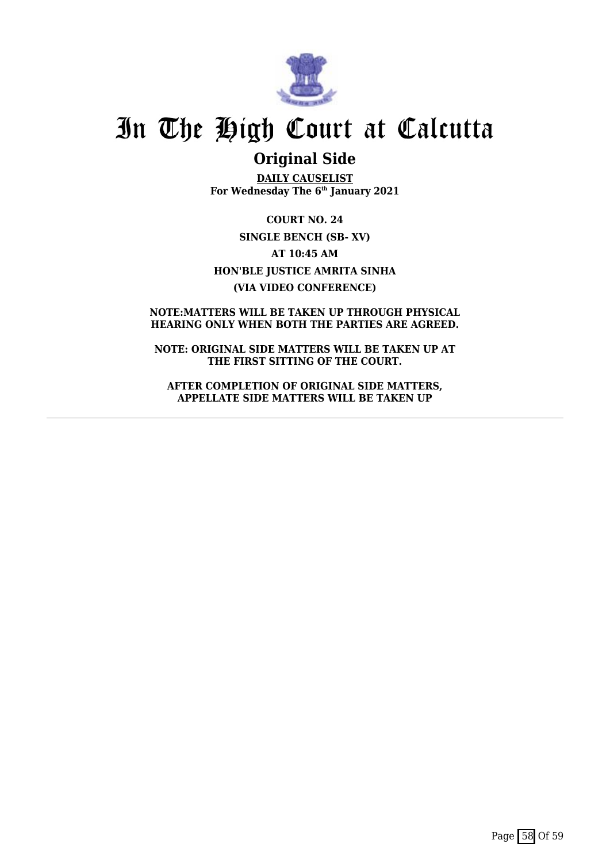

## **Original Side**

**DAILY CAUSELIST For Wednesday The 6th January 2021**

**COURT NO. 24 SINGLE BENCH (SB- XV) AT 10:45 AM HON'BLE JUSTICE AMRITA SINHA (VIA VIDEO CONFERENCE)**

### **NOTE:MATTERS WILL BE TAKEN UP THROUGH PHYSICAL HEARING ONLY WHEN BOTH THE PARTIES ARE AGREED.**

**NOTE: ORIGINAL SIDE MATTERS WILL BE TAKEN UP AT THE FIRST SITTING OF THE COURT.**

**AFTER COMPLETION OF ORIGINAL SIDE MATTERS, APPELLATE SIDE MATTERS WILL BE TAKEN UP**